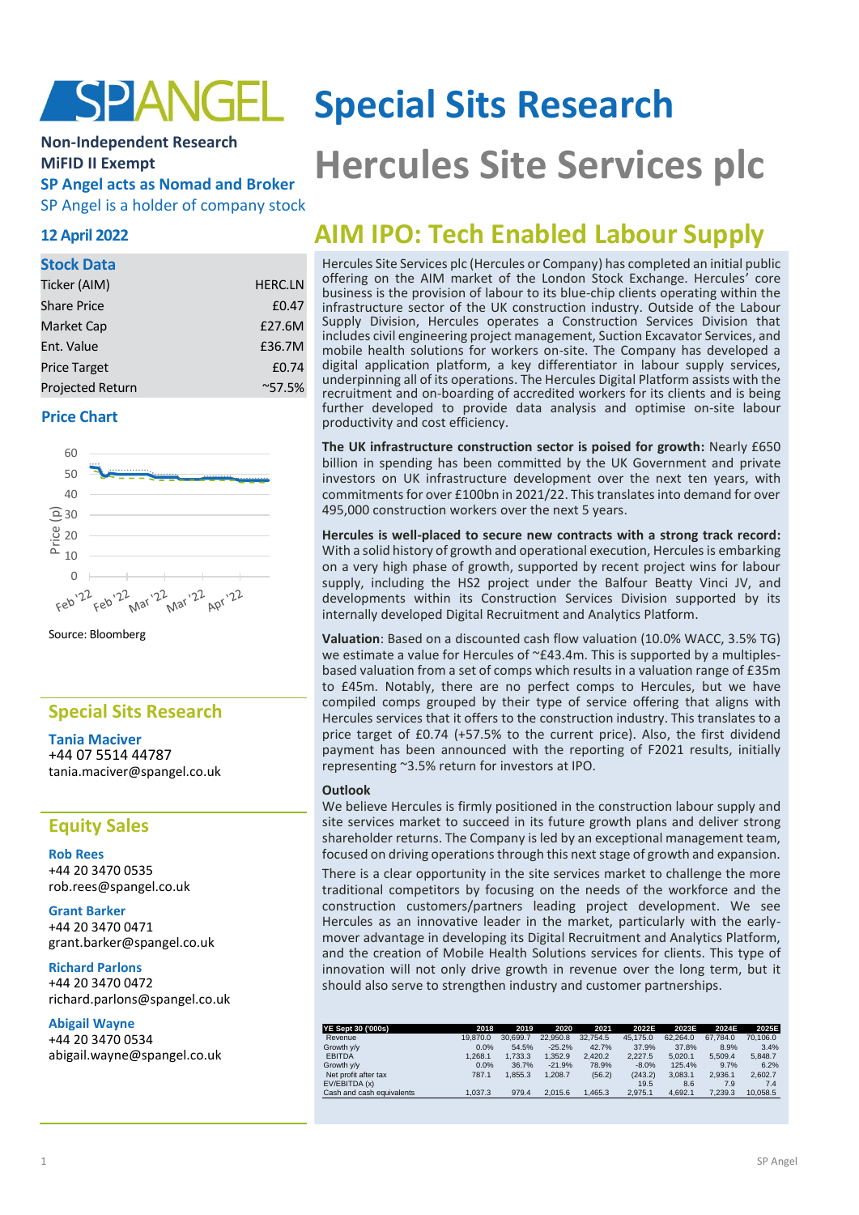# SPANGEL

# **Non-Independent Research MiFID II Exempt SP Angel acts as Nomad and Broker**

SP Angel is a holder of company stock

## **12 April 2022**

#### **Stock Data**

| Ticker (AIM)        | <b>HERC.LN</b>  |
|---------------------|-----------------|
| <b>Share Price</b>  | £0.47           |
| <b>Market Cap</b>   | £27.6M          |
| Ent. Value          | £36.7M          |
| <b>Price Target</b> | £0.74           |
| Projected Return    | $^{\sim}57.5\%$ |

### **Price Chart**



Source: Bloomberg

# **Special Sits Research**

**Tania Maciver** +44 07 5514 44787 tania.maciver@spangel.co.uk

# **Equity Sales**

**Rob Rees** +44 20 3470 0535 [rob.rees@spangel.co.uk](mailto:rob.rees@spangel.co.uk)

**Grant Barker** +44 20 3470 0471 [grant.barker@spangel.co.uk](mailto:grant.barker@spangel.co.uk)

**Richard Parlons** +44 20 3470 0472 richard.parlons@spangel.co.uk

#### **Abigail Wayne**

+44 20 3470 0534 abigail.wayne@spangel.co.uk

# **Special Sits Research**

# **Hercules Site Services plc**

# **AIM IPO: Tech Enabled Labour Supply**

Hercules Site Services plc (Hercules or Company) has completed an initial public offering on the AIM market of the London Stock Exchange. Hercules' core business is the provision of labour to its blue-chip clients operating within the infrastructure sector of the UK construction industry. Outside of the Labour Supply Division, Hercules operates a Construction Services Division that includes civil engineering project management, Suction Excavator Services, and mobile health solutions for workers on-site. The Company has developed a digital application platform, a key differentiator in labour supply services, underpinning all of its operations. The Hercules Digital Platform assists with the recruitment and on-boarding of accredited workers for its clients and is being further developed to provide data analysis and optimise on-site labour productivity and cost efficiency.

**The UK infrastructure construction sector is poised for growth:** Nearly £650 billion in spending has been committed by the UK Government and private investors on UK infrastructure development over the next ten years, with commitments for over £100bn in 2021/22. This translates into demand for over 495,000 construction workers over the next 5 years.

**Hercules is well-placed to secure new contracts with a strong track record:** With a solid history of growth and operational execution, Hercules is embarking on a very high phase of growth, supported by recent project wins for labour supply, including the HS2 project under the Balfour Beatty Vinci JV, and developments within its Construction Services Division supported by its internally developed Digital Recruitment and Analytics Platform.

**Valuation**: Based on a discounted cash flow valuation (10.0% WACC, 3.5% TG) we estimate a value for Hercules of ~£43.4m. This is supported by a multiplesbased valuation from a set of comps which results in a valuation range of £35m to £45m. Notably, there are no perfect comps to Hercules, but we have compiled comps grouped by their type of service offering that aligns with Hercules services that it offers to the construction industry. This translates to a price target of £0.74 (+57.5% to the current price). Also, the first dividend payment has been announced with the reporting of F2021 results, initially representing ~3.5% return for investors at IPO.

#### **Outlook**

We believe Hercules is firmly positioned in the construction labour supply and site services market to succeed in its future growth plans and deliver strong shareholder returns. The Company is led by an exceptional management team, focused on driving operations through this next stage of growth and expansion.

There is a clear opportunity in the site services market to challenge the more traditional competitors by focusing on the needs of the workforce and the construction customers/partners leading project development. We see Hercules as an innovative leader in the market, particularly with the earlymover advantage in developing its Digital Recruitment and Analytics Platform, and the creation of Mobile Health Solutions services for clients. This type of innovation will not only drive growth in revenue over the long term, but it should also serve to strengthen industry and customer partnerships.

| YE Sept 30 ('000s)        | 2018     | 2019     | 2020     | 2021     | 2022E    | 2023E    | 2024E    | 2025E    |
|---------------------------|----------|----------|----------|----------|----------|----------|----------|----------|
| Revenue                   | 19,870.0 | 30.699.7 | 22,950.8 | 32.754.5 | 45.175.0 | 62.264.0 | 67.784.0 | 70.106.0 |
| Growth y/y                | 0.0%     | 54.5%    | $-25.2%$ | 42.7%    | 37.9%    | 37.8%    | 8.9%     | 3.4%     |
| <b>EBITDA</b>             | 1.268.1  | 1.733.3  | .352.9   | 2.420.2  | 2.227.5  | 5.020.1  | 5.509.4  | 5.848.7  |
| Growth y/y                | 0.0%     | 36.7%    | $-21.9%$ | 78.9%    | $-8.0%$  | 125.4%   | 9.7%     | 6.2%     |
| Net profit after tax      | 787.1    | 1.855.3  | .208.7   | (56.2)   | (243.2)  | 3.083.1  | 2.936.1  | 2.602.7  |
| EV/EBITDA (x)             |          |          |          |          | 19.5     | 8.6      | 7.9      | 7.4      |
| Cash and cash equivalents | 1.037.3  | 979.4    | 2.015.6  | 1.465.3  | 2.975.1  | 4.692.1  | 7.239.3  | 10.058.5 |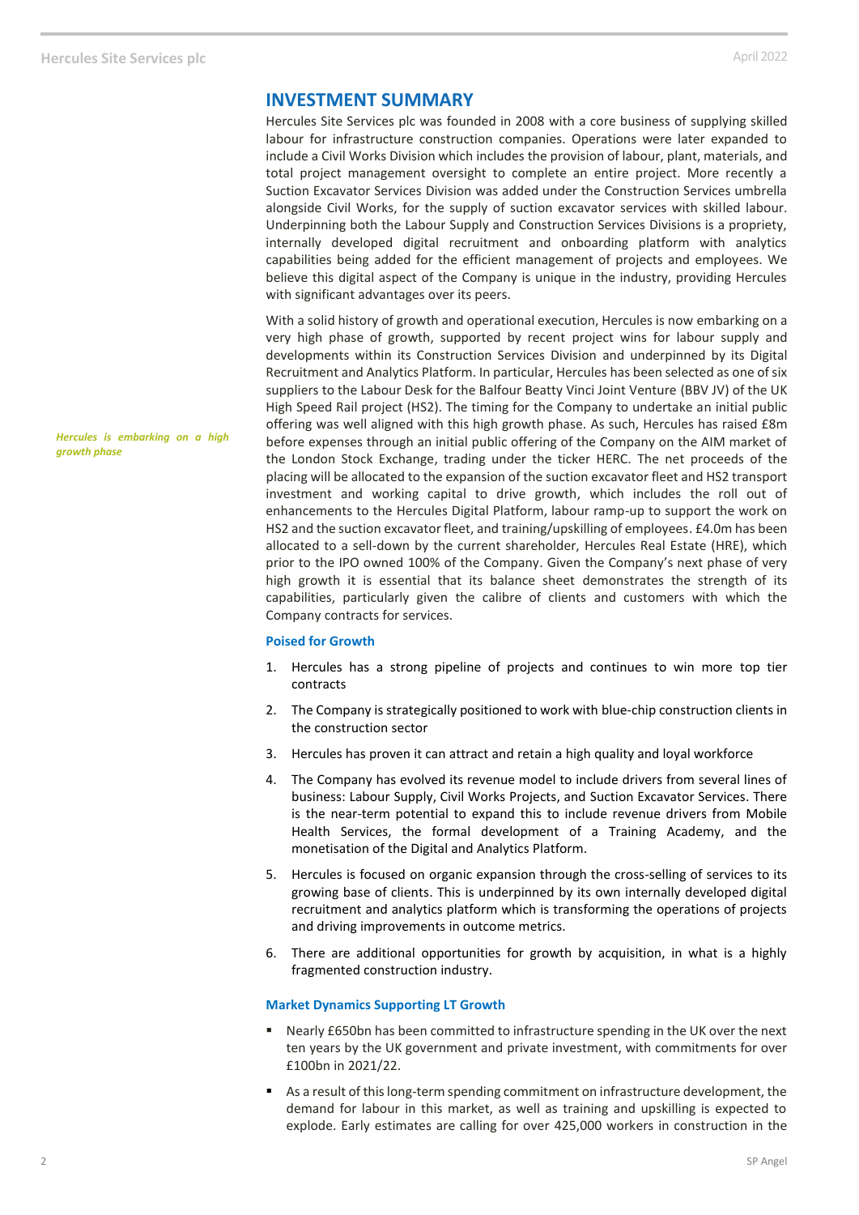# **INVESTMENT SUMMARY**

Hercules Site Services plc was founded in 2008 with a core business of supplying skilled labour for infrastructure construction companies. Operations were later expanded to include a Civil Works Division which includes the provision of labour, plant, materials, and total project management oversight to complete an entire project. More recently a Suction Excavator Services Division was added under the Construction Services umbrella alongside Civil Works, for the supply of suction excavator services with skilled labour. Underpinning both the Labour Supply and Construction Services Divisions is a propriety, internally developed digital recruitment and onboarding platform with analytics capabilities being added for the efficient management of projects and employees. We believe this digital aspect of the Company is unique in the industry, providing Hercules with significant advantages over its peers.

With a solid history of growth and operational execution, Hercules is now embarking on a very high phase of growth, supported by recent project wins for labour supply and developments within its Construction Services Division and underpinned by its Digital Recruitment and Analytics Platform. In particular, Hercules has been selected as one of six suppliers to the Labour Desk for the Balfour Beatty Vinci Joint Venture (BBV JV) of the UK High Speed Rail project (HS2). The timing for the Company to undertake an initial public offering was well aligned with this high growth phase. As such, Hercules has raised £8m before expenses through an initial public offering of the Company on the AIM market of the London Stock Exchange, trading under the ticker HERC. The net proceeds of the placing will be allocated to the expansion of the suction excavator fleet and HS2 transport investment and working capital to drive growth, which includes the roll out of enhancements to the Hercules Digital Platform, labour ramp-up to support the work on HS2 and the suction excavator fleet, and training/upskilling of employees. £4.0m has been allocated to a sell-down by the current shareholder, Hercules Real Estate (HRE), which prior to the IPO owned 100% of the Company. Given the Company's next phase of very high growth it is essential that its balance sheet demonstrates the strength of its capabilities, particularly given the calibre of clients and customers with which the Company contracts for services.

#### **Poised for Growth**

- 1. Hercules has a strong pipeline of projects and continues to win more top tier contracts
- 2. The Company is strategically positioned to work with blue-chip construction clients in the construction sector
- 3. Hercules has proven it can attract and retain a high quality and loyal workforce
- 4. The Company has evolved its revenue model to include drivers from several lines of business: Labour Supply, Civil Works Projects, and Suction Excavator Services. There is the near-term potential to expand this to include revenue drivers from Mobile Health Services, the formal development of a Training Academy, and the monetisation of the Digital and Analytics Platform.
- 5. Hercules is focused on organic expansion through the cross-selling of services to its growing base of clients. This is underpinned by its own internally developed digital recruitment and analytics platform which is transforming the operations of projects and driving improvements in outcome metrics.
- 6. There are additional opportunities for growth by acquisition, in what is a highly fragmented construction industry.

#### **Market Dynamics Supporting LT Growth**

- Nearly £650bn has been committed to infrastructure spending in the UK over the next ten years by the UK government and private investment, with commitments for over £100bn in 2021/22.
- As a result of this long-term spending commitment on infrastructure development, the demand for labour in this market, as well as training and upskilling is expected to explode. Early estimates are calling for over 425,000 workers in construction in the

*Hercules is embarking on a high growth phase*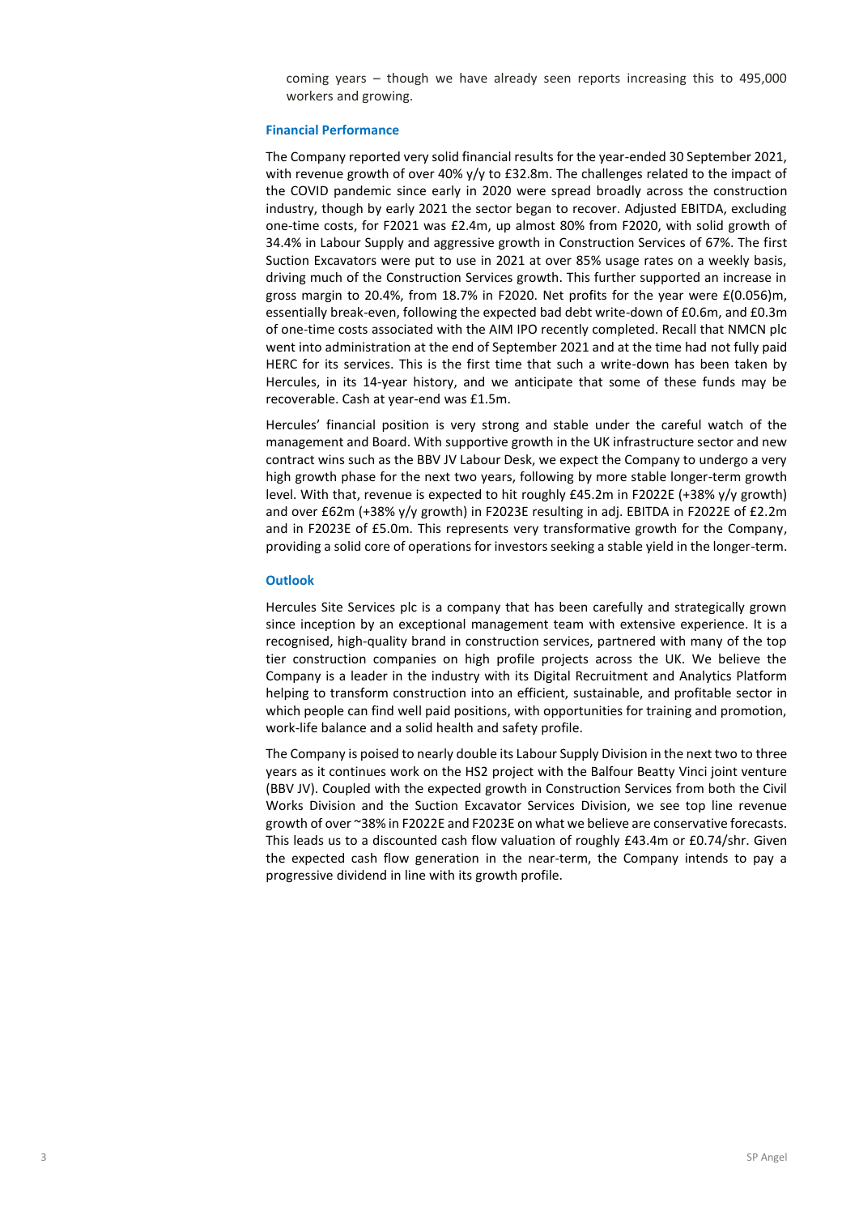coming years – though we have already seen reports increasing this to 495,000 workers and growing.

#### **Financial Performance**

The Company reported very solid financial results for the year-ended 30 September 2021, with revenue growth of over 40% y/y to £32.8m. The challenges related to the impact of the COVID pandemic since early in 2020 were spread broadly across the construction industry, though by early 2021 the sector began to recover. Adjusted EBITDA, excluding one-time costs, for F2021 was £2.4m, up almost 80% from F2020, with solid growth of 34.4% in Labour Supply and aggressive growth in Construction Services of 67%. The first Suction Excavators were put to use in 2021 at over 85% usage rates on a weekly basis, driving much of the Construction Services growth. This further supported an increase in gross margin to 20.4%, from 18.7% in F2020. Net profits for the year were £(0.056)m, essentially break-even, following the expected bad debt write-down of £0.6m, and £0.3m of one-time costs associated with the AIM IPO recently completed. Recall that NMCN plc went into administration at the end of September 2021 and at the time had not fully paid HERC for its services. This is the first time that such a write-down has been taken by Hercules, in its 14-year history, and we anticipate that some of these funds may be recoverable. Cash at year-end was £1.5m.

Hercules' financial position is very strong and stable under the careful watch of the management and Board. With supportive growth in the UK infrastructure sector and new contract wins such as the BBV JV Labour Desk, we expect the Company to undergo a very high growth phase for the next two years, following by more stable longer-term growth level. With that, revenue is expected to hit roughly £45.2m in F2022E (+38% y/y growth) and over £62m (+38% y/y growth) in F2023E resulting in adj. EBITDA in F2022E of £2.2m and in F2023E of £5.0m. This represents very transformative growth for the Company, providing a solid core of operations for investors seeking a stable yield in the longer-term.

#### **Outlook**

Hercules Site Services plc is a company that has been carefully and strategically grown since inception by an exceptional management team with extensive experience. It is a recognised, high-quality brand in construction services, partnered with many of the top tier construction companies on high profile projects across the UK. We believe the Company is a leader in the industry with its Digital Recruitment and Analytics Platform helping to transform construction into an efficient, sustainable, and profitable sector in which people can find well paid positions, with opportunities for training and promotion, work-life balance and a solid health and safety profile.

The Company is poised to nearly double its Labour Supply Division in the next two to three years as it continues work on the HS2 project with the Balfour Beatty Vinci joint venture (BBV JV). Coupled with the expected growth in Construction Services from both the Civil Works Division and the Suction Excavator Services Division, we see top line revenue growth of over ~38% in F2022E and F2023E on what we believe are conservative forecasts. This leads us to a discounted cash flow valuation of roughly £43.4m or £0.74/shr. Given the expected cash flow generation in the near-term, the Company intends to pay a progressive dividend in line with its growth profile.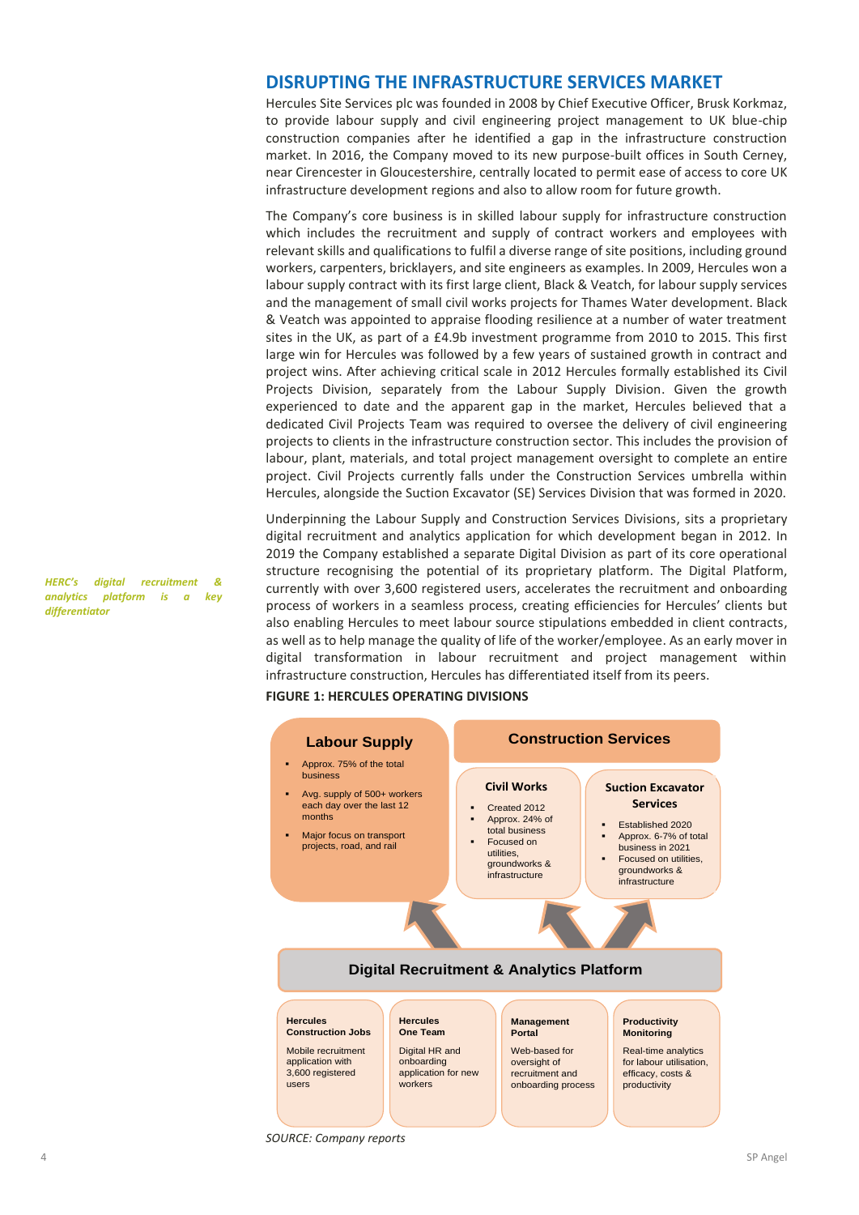### **DISRUPTING THE INFRASTRUCTURE SERVICES MARKET**

Hercules Site Services plc was founded in 2008 by Chief Executive Officer, Brusk Korkmaz, to provide labour supply and civil engineering project management to UK blue-chip construction companies after he identified a gap in the infrastructure construction market. In 2016, the Company moved to its new purpose-built offices in South Cerney, near Cirencester in Gloucestershire, centrally located to permit ease of access to core UK infrastructure development regions and also to allow room for future growth.

The Company's core business is in skilled labour supply for infrastructure construction which includes the recruitment and supply of contract workers and employees with relevant skills and qualifications to fulfil a diverse range of site positions, including ground workers, carpenters, bricklayers, and site engineers as examples. In 2009, Hercules won a labour supply contract with its first large client, Black & Veatch, for labour supply services and the management of small civil works projects for Thames Water development. Black & Veatch was appointed to appraise flooding resilience at a number of water treatment sites in the UK, as part of a £4.9b investment programme from 2010 to 2015. This first large win for Hercules was followed by a few years of sustained growth in contract and project wins. After achieving critical scale in 2012 Hercules formally established its Civil Projects Division, separately from the Labour Supply Division. Given the growth experienced to date and the apparent gap in the market, Hercules believed that a dedicated Civil Projects Team was required to oversee the delivery of civil engineering projects to clients in the infrastructure construction sector. This includes the provision of labour, plant, materials, and total project management oversight to complete an entire project. Civil Projects currently falls under the Construction Services umbrella within Hercules, alongside the Suction Excavator (SE) Services Division that was formed in 2020.

Underpinning the Labour Supply and Construction Services Divisions, sits a proprietary digital recruitment and analytics application for which development began in 2012. In 2019 the Company established a separate Digital Division as part of its core operational structure recognising the potential of its proprietary platform. The Digital Platform, currently with over 3,600 registered users, accelerates the recruitment and onboarding process of workers in a seamless process, creating efficiencies for Hercules' clients but also enabling Hercules to meet labour source stipulations embedded in client contracts, as well as to help manage the quality of life of the worker/employee. As an early mover in digital transformation in labour recruitment and project management within infrastructure construction, Hercules has differentiated itself from its peers.

#### **FIGURE 1: HERCULES OPERATING DIVISIONS**



*HERC's digital recruitment & analytics platform is a key differentiator*

*SOURCE: Company reports*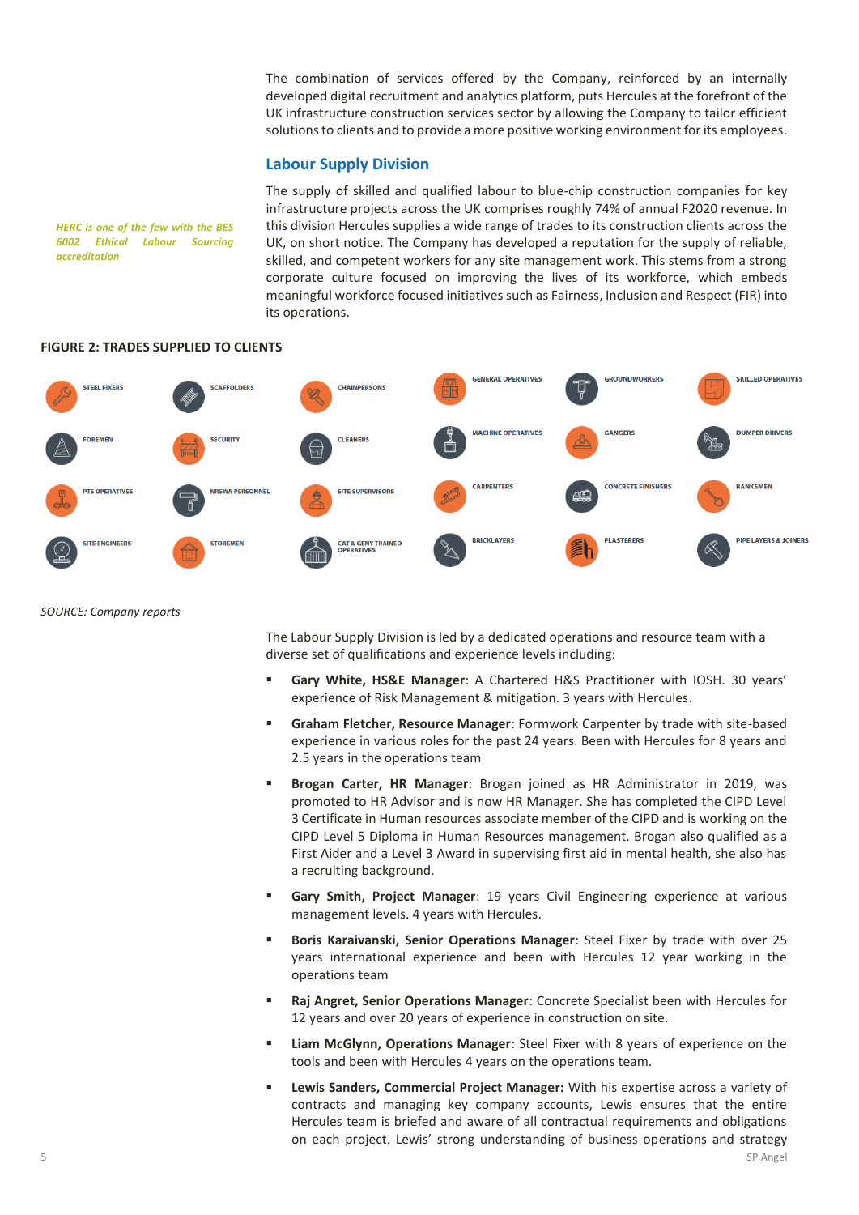The combination of services offered by the Company, reinforced by an internally developed digital recruitment and analytics platform, puts Hercules at the forefront of the UK infrastructure construction services sector by allowing the Company to tailor efficient solutions to clients and to provide a more positive working environment for its employees.

#### **Labour Supply Division**

The supply of skilled and qualified labour to blue-chip construction companies for key infrastructure projects across the UK comprises roughly 74% of annual F2020 revenue. In this division Hercules supplies a wide range of trades to its construction clients across the UK, on short notice. The Company has developed a reputation for the supply of reliable, skilled, and competent workers for any site management work. This stems from a strong corporate culture focused on improving the lives of its workforce, which embeds meaningful workforce focused initiatives such as Fairness, Inclusion and Respect (FIR) into its operations.



#### **FIGURE 2: TRADES SUPPLIED TO CLIENTS**

*HERC is one of the few with the BES 6002 Ethical Labour Sourcing* 

*accreditation*

*SOURCE: Company reports*

The Labour Supply Division is led by a dedicated operations and resource team with a diverse set of qualifications and experience levels including:

- **Gary White, HS&E Manager**: A Chartered H&S Practitioner with IOSH. 30 years' experience of Risk Management & mitigation. 3 years with Hercules.
- **Graham Fletcher, Resource Manager**: Formwork Carpenter by trade with site-based experience in various roles for the past 24 years. Been with Hercules for 8 years and 2.5 years in the operations team
- **Brogan Carter, HR Manager**: Brogan joined as HR Administrator in 2019, was promoted to HR Advisor and is now HR Manager. She has completed the CIPD Level 3 Certificate in Human resources associate member of the CIPD and is working on the CIPD Level 5 Diploma in Human Resources management. Brogan also qualified as a First Aider and a Level 3 Award in supervising first aid in mental health, she also has a recruiting background.
- **E** Gary Smith, Project Manager: 19 years Civil Engineering experience at various management levels. 4 years with Hercules.
- Boris Karaivanski, Senior Operations Manager: Steel Fixer by trade with over 25 years international experience and been with Hercules 12 year working in the operations team
- **Raj Angret, Senior Operations Manager**: Concrete Specialist been with Hercules for 12 years and over 20 years of experience in construction on site.
- **EXECT** Liam McGlynn, Operations Manager: Steel Fixer with 8 years of experience on the tools and been with Hercules 4 years on the operations team.
- **Lewis Sanders, Commercial Project Manager:** With his expertise across a variety of contracts and managing key company accounts, Lewis ensures that the entire Hercules team is briefed and aware of all contractual requirements and obligations on each project. Lewis' strong understanding of business operations and strategy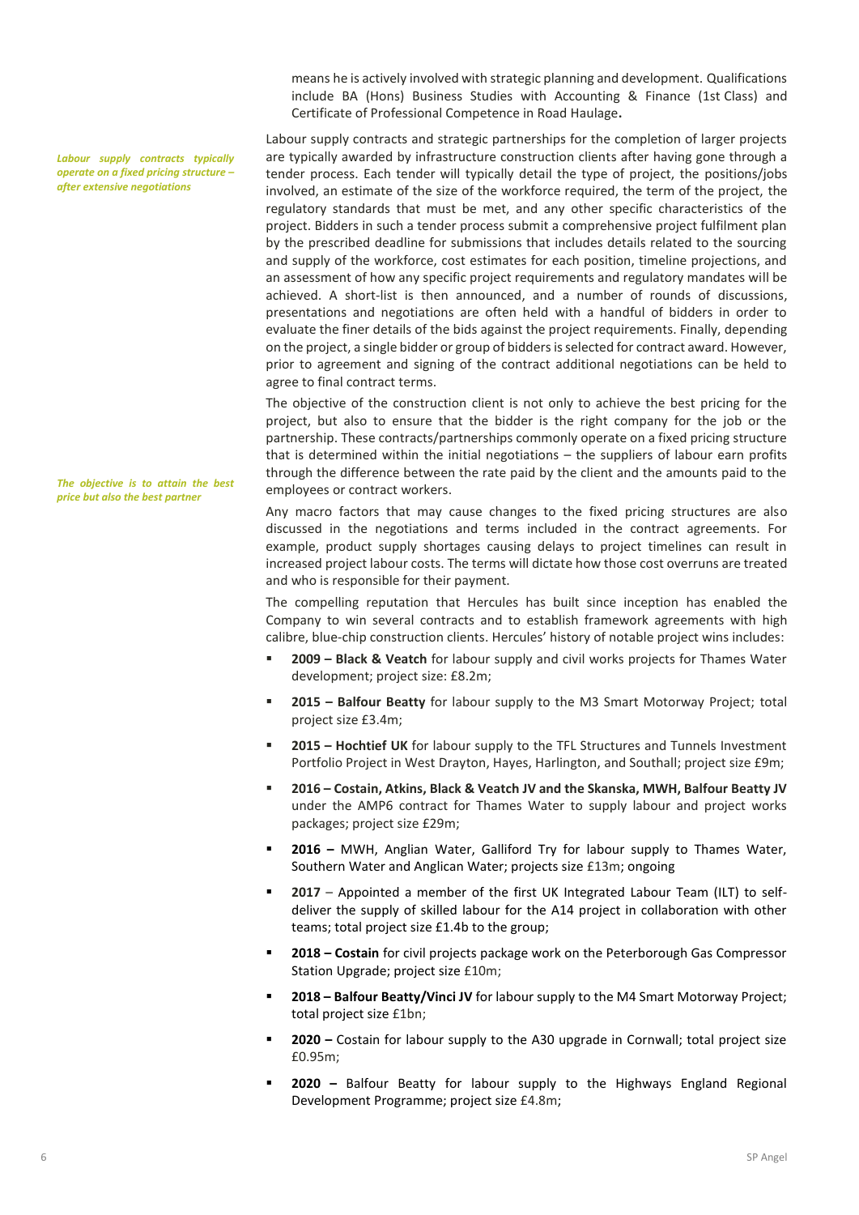*Labour supply contracts typically operate on a fixed pricing structure – after extensive negotiations*

*The objective is to attain the best price but also the best partner*

means he is actively involved with strategic planning and development. Qualifications include BA (Hons) Business Studies with Accounting & Finance (1st Class) and Certificate of Professional Competence in Road Haulage**.**

Labour supply contracts and strategic partnerships for the completion of larger projects are typically awarded by infrastructure construction clients after having gone through a tender process. Each tender will typically detail the type of project, the positions/jobs involved, an estimate of the size of the workforce required, the term of the project, the regulatory standards that must be met, and any other specific characteristics of the project. Bidders in such a tender process submit a comprehensive project fulfilment plan by the prescribed deadline for submissions that includes details related to the sourcing and supply of the workforce, cost estimates for each position, timeline projections, and an assessment of how any specific project requirements and regulatory mandates will be achieved. A short-list is then announced, and a number of rounds of discussions, presentations and negotiations are often held with a handful of bidders in order to evaluate the finer details of the bids against the project requirements. Finally, depending on the project, a single bidder or group of bidders is selected for contract award. However, prior to agreement and signing of the contract additional negotiations can be held to agree to final contract terms.

The objective of the construction client is not only to achieve the best pricing for the project, but also to ensure that the bidder is the right company for the job or the partnership. These contracts/partnerships commonly operate on a fixed pricing structure that is determined within the initial negotiations – the suppliers of labour earn profits through the difference between the rate paid by the client and the amounts paid to the employees or contract workers.

Any macro factors that may cause changes to the fixed pricing structures are also discussed in the negotiations and terms included in the contract agreements. For example, product supply shortages causing delays to project timelines can result in increased project labour costs. The terms will dictate how those cost overruns are treated and who is responsible for their payment.

The compelling reputation that Hercules has built since inception has enabled the Company to win several contracts and to establish framework agreements with high calibre, blue-chip construction clients. Hercules' history of notable project wins includes:

- **2009 – Black & Veatch** for labour supply and civil works projects for Thames Water development; project size: £8.2m;
- 2015 Balfour Beatty for labour supply to the M3 Smart Motorway Project; total project size £3.4m;
- **2015 – Hochtief UK** for labour supply to the TFL Structures and Tunnels Investment Portfolio Project in West Drayton, Hayes, Harlington, and Southall; project size £9m;
- **2016 – Costain, Atkins, Black & Veatch JV and the Skanska, MWH, Balfour Beatty JV** under the AMP6 contract for Thames Water to supply labour and project works packages; project size £29m;
- **2016 –** MWH, Anglian Water, Galliford Try for labour supply to Thames Water, Southern Water and Anglican Water; projects size £13m; ongoing
- 2017 Appointed a member of the first UK Integrated Labour Team (ILT) to selfdeliver the supply of skilled labour for the A14 project in collaboration with other teams; total project size £1.4b to the group;
- 2018 Costain for civil projects package work on the Peterborough Gas Compressor Station Upgrade; project size £10m;
- **2018 – Balfour Beatty/Vinci JV** for labour supply to the M4 Smart Motorway Project; total project size £1bn;
- **2020 –** Costain for labour supply to the A30 upgrade in Cornwall; total project size £0.95m;
- **2020** Balfour Beatty for labour supply to the Highways England Regional Development Programme; project size £4.8m;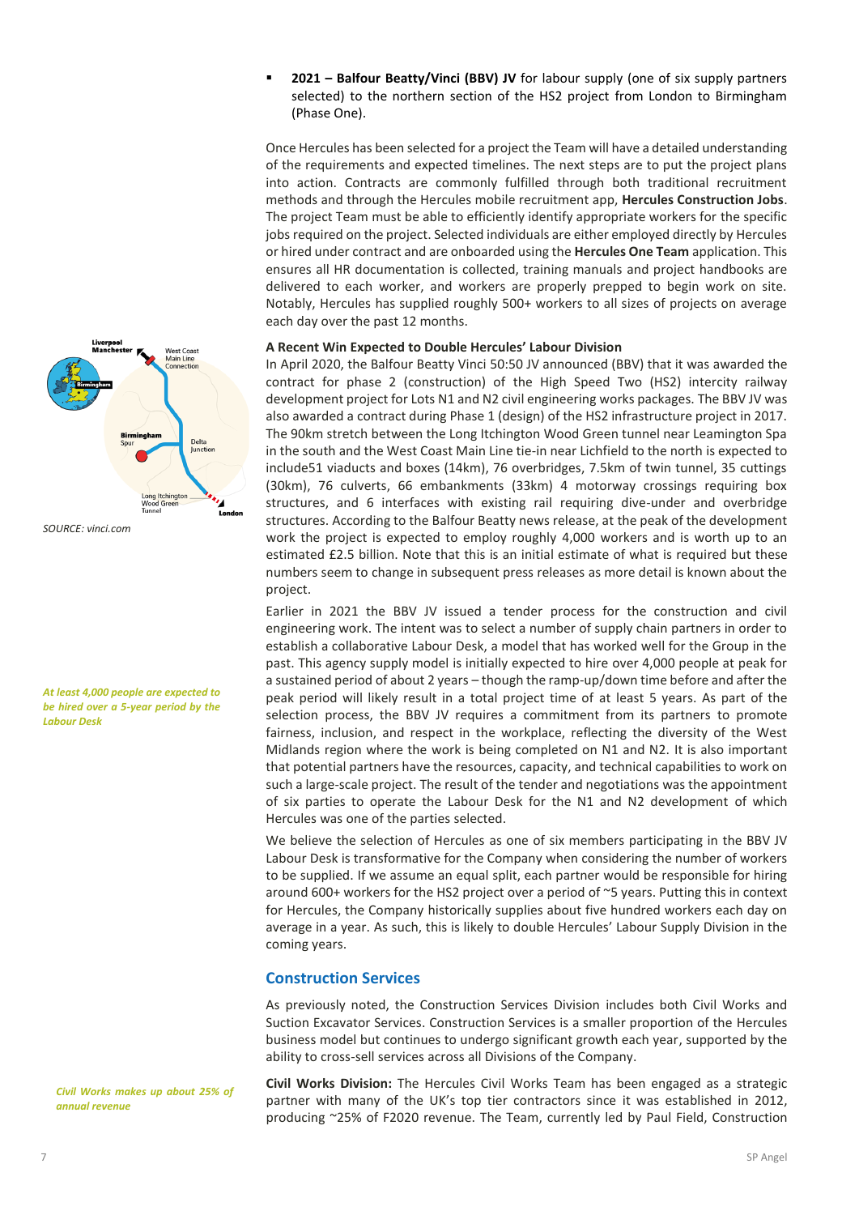▪ **2021 – Balfour Beatty/Vinci (BBV) JV** for labour supply (one of six supply partners selected) to the northern section of the HS2 project from London to Birmingham (Phase One).

Once Hercules has been selected for a project the Team will have a detailed understanding of the requirements and expected timelines. The next steps are to put the project plans into action. Contracts are commonly fulfilled through both traditional recruitment methods and through the Hercules mobile recruitment app, **Hercules Construction Jobs**. The project Team must be able to efficiently identify appropriate workers for the specific jobs required on the project. Selected individuals are either employed directly by Hercules or hired under contract and are onboarded using the **Hercules One Team** application. This ensures all HR documentation is collected, training manuals and project handbooks are delivered to each worker, and workers are properly prepped to begin work on site. Notably, Hercules has supplied roughly 500+ workers to all sizes of projects on average each day over the past 12 months.

#### **A Recent Win Expected to Double Hercules' Labour Division**

In April 2020, the Balfour Beatty Vinci 50:50 JV announced (BBV) that it was awarded the contract for phase 2 (construction) of the High Speed Two (HS2) intercity railway development project for Lots N1 and N2 civil engineering works packages. The BBV JV was also awarded a contract during Phase 1 (design) of the HS2 infrastructure project in 2017. The 90km stretch between the Long Itchington Wood Green tunnel near Leamington Spa in the south and the West Coast Main Line tie-in near Lichfield to the north is expected to include51 viaducts and boxes (14km), 76 overbridges, 7.5km of twin tunnel, 35 cuttings (30km), 76 culverts, 66 embankments (33km) 4 motorway crossings requiring box structures, and 6 interfaces with existing rail requiring dive-under and overbridge structures. According to the Balfour Beatty news release, at the peak of the development work the project is expected to employ roughly 4,000 workers and is worth up to an estimated £2.5 billion. Note that this is an initial estimate of what is required but these numbers seem to change in subsequent press releases as more detail is known about the project.

Earlier in 2021 the BBV JV issued a tender process for the construction and civil engineering work. The intent was to select a number of supply chain partners in order to establish a collaborative Labour Desk, a model that has worked well for the Group in the past. This agency supply model is initially expected to hire over 4,000 people at peak for a sustained period of about 2 years – though the ramp-up/down time before and after the peak period will likely result in a total project time of at least 5 years. As part of the selection process, the BBV JV requires a commitment from its partners to promote fairness, inclusion, and respect in the workplace, reflecting the diversity of the West Midlands region where the work is being completed on N1 and N2. It is also important that potential partners have the resources, capacity, and technical capabilities to work on such a large-scale project. The result of the tender and negotiations was the appointment of six parties to operate the Labour Desk for the N1 and N2 development of which Hercules was one of the parties selected.

We believe the selection of Hercules as one of six members participating in the BBV JV Labour Desk is transformative for the Company when considering the number of workers to be supplied. If we assume an equal split, each partner would be responsible for hiring around 600+ workers for the HS2 project over a period of ~5 years. Putting this in context for Hercules, the Company historically supplies about five hundred workers each day on average in a year. As such, this is likely to double Hercules' Labour Supply Division in the coming years.

#### **Construction Services**

As previously noted, the Construction Services Division includes both Civil Works and Suction Excavator Services. Construction Services is a smaller proportion of the Hercules business model but continues to undergo significant growth each year, supported by the ability to cross-sell services across all Divisions of the Company.

**Civil Works Division:** The Hercules Civil Works Team has been engaged as a strategic partner with many of the UK's top tier contractors since it was established in 2012, producing ~25% of F2020 revenue. The Team, currently led by Paul Field, Construction



```
SOURCE: vinci.com
```
*At least 4,000 people are expected to be hired over a 5-year period by the Labour Desk*

*Civil Works makes up about 25% of annual revenue*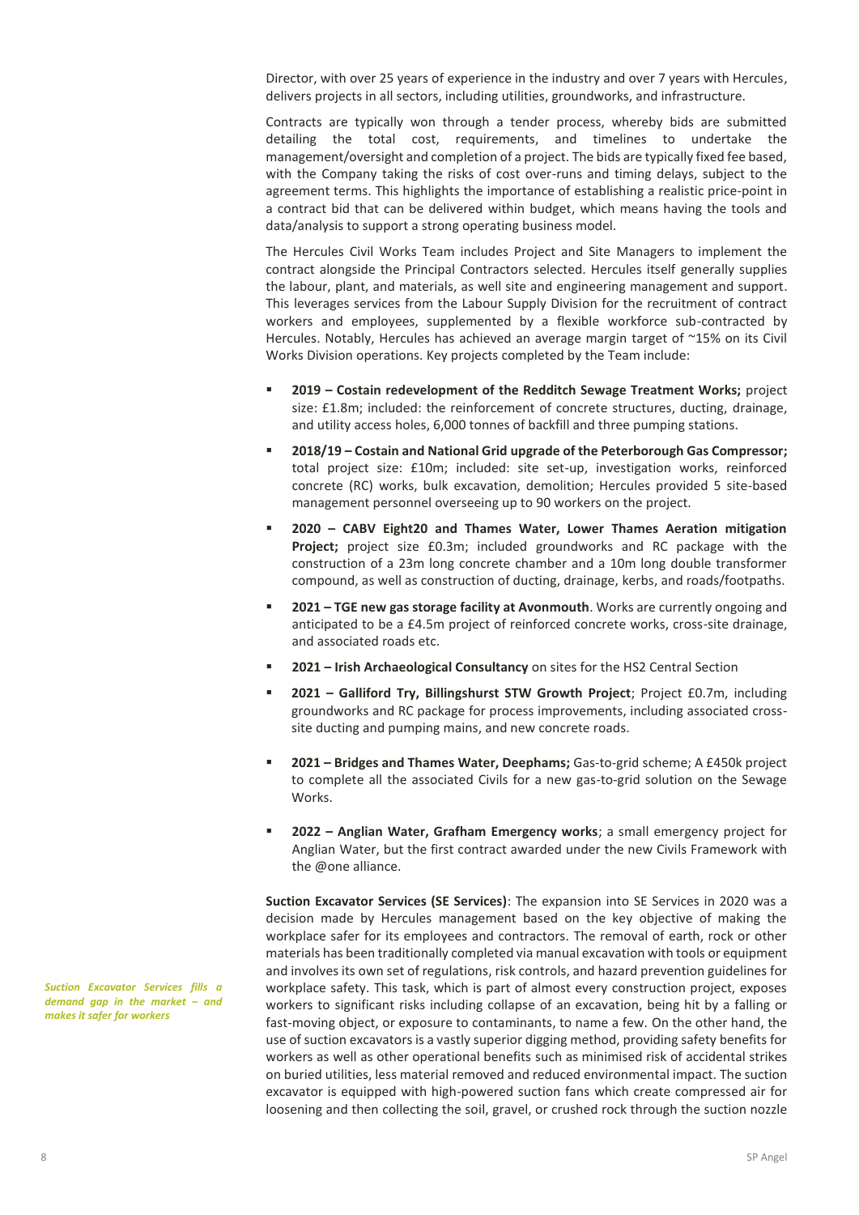Director, with over 25 years of experience in the industry and over 7 years with Hercules, delivers projects in all sectors, including utilities, groundworks, and infrastructure.

Contracts are typically won through a tender process, whereby bids are submitted detailing the total cost, requirements, and timelines to undertake the management/oversight and completion of a project. The bids are typically fixed fee based, with the Company taking the risks of cost over-runs and timing delays, subject to the agreement terms. This highlights the importance of establishing a realistic price-point in a contract bid that can be delivered within budget, which means having the tools and data/analysis to support a strong operating business model.

The Hercules Civil Works Team includes Project and Site Managers to implement the contract alongside the Principal Contractors selected. Hercules itself generally supplies the labour, plant, and materials, as well site and engineering management and support. This leverages services from the Labour Supply Division for the recruitment of contract workers and employees, supplemented by a flexible workforce sub-contracted by Hercules. Notably, Hercules has achieved an average margin target of ~15% on its Civil Works Division operations. Key projects completed by the Team include:

- **2019 – Costain redevelopment of the Redditch Sewage Treatment Works;** project size: £1.8m; included: the reinforcement of concrete structures, ducting, drainage, and utility access holes, 6,000 tonnes of backfill and three pumping stations.
- **2018/19 – Costain and National Grid upgrade of the Peterborough Gas Compressor;**  total project size: £10m; included: site set-up, investigation works, reinforced concrete (RC) works, bulk excavation, demolition; Hercules provided 5 site-based management personnel overseeing up to 90 workers on the project.
- **2020 – CABV Eight20 and Thames Water, Lower Thames Aeration mitigation Project;** project size £0.3m; included groundworks and RC package with the construction of a 23m long concrete chamber and a 10m long double transformer compound, as well as construction of ducting, drainage, kerbs, and roads/footpaths.
- **2021 TGE new gas storage facility at Avonmouth**. Works are currently ongoing and anticipated to be a £4.5m project of reinforced concrete works, cross-site drainage, and associated roads etc.
- **2021 – Irish Archaeological Consultancy** on sites for the HS2 Central Section
- **2021 – Galliford Try, Billingshurst STW Growth Project**; Project £0.7m, including groundworks and RC package for process improvements, including associated crosssite ducting and pumping mains, and new concrete roads.
- **2021 – Bridges and Thames Water, Deephams;** Gas-to-grid scheme; A £450k project to complete all the associated Civils for a new gas-to-grid solution on the Sewage Works.
- **2022 – Anglian Water, Grafham Emergency works**; a small emergency project for Anglian Water, but the first contract awarded under the new Civils Framework with the @one alliance.

**Suction Excavator Services (SE Services)**: The expansion into SE Services in 2020 was a decision made by Hercules management based on the key objective of making the workplace safer for its employees and contractors. The removal of earth, rock or other materials has been traditionally completed via manual excavation with tools or equipment and involves its own set of regulations, risk controls, and hazard prevention guidelines for workplace safety. This task, which is part of almost every construction project, exposes workers to significant risks including collapse of an excavation, being hit by a falling or fast-moving object, or exposure to contaminants, to name a few. On the other hand, the use of suction excavators is a vastly superior digging method, providing safety benefits for workers as well as other operational benefits such as minimised risk of accidental strikes on buried utilities, less material removed and reduced environmental impact. The suction excavator is equipped with high-powered suction fans which create compressed air for loosening and then collecting the soil, gravel, or crushed rock through the suction nozzle

*Suction Excavator Services fills a demand gap in the market – and makes it safer for workers*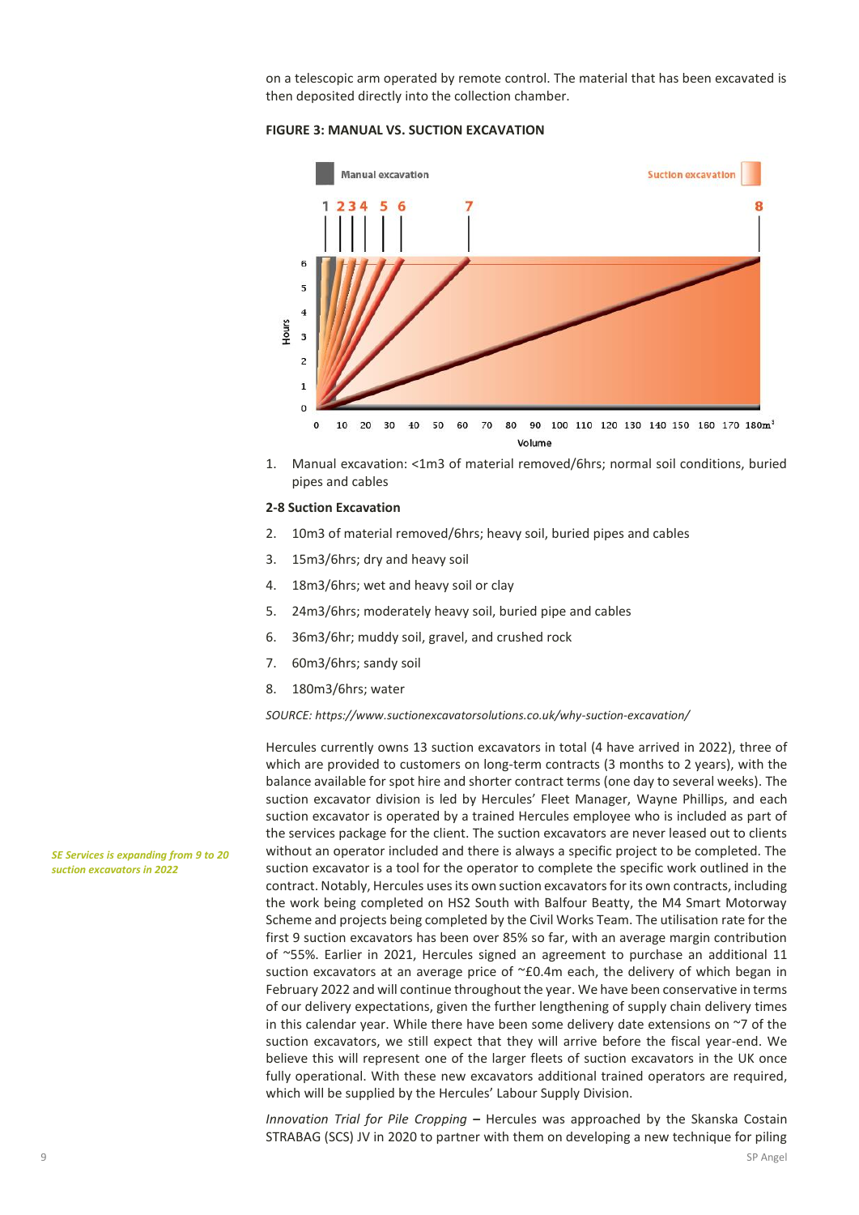on a telescopic arm operated by remote control. The material that has been excavated is then deposited directly into the collection chamber.

#### **FIGURE 3: MANUAL VS. SUCTION EXCAVATION**



1. Manual excavation: <1m3 of material removed/6hrs; normal soil conditions, buried pipes and cables

#### **2-8 Suction Excavation**

- 2. 10m3 of material removed/6hrs; heavy soil, buried pipes and cables
- 3. 15m3/6hrs; dry and heavy soil
- 4. 18m3/6hrs; wet and heavy soil or clay
- 5. 24m3/6hrs; moderately heavy soil, buried pipe and cables
- 6. 36m3/6hr; muddy soil, gravel, and crushed rock
- 7. 60m3/6hrs; sandy soil
- 8. 180m3/6hrs; water

*SOURCE: https://www.suctionexcavatorsolutions.co.uk/why-suction-excavation/*

Hercules currently owns 13 suction excavators in total (4 have arrived in 2022), three of which are provided to customers on long-term contracts (3 months to 2 years), with the balance available for spot hire and shorter contract terms (one day to several weeks). The suction excavator division is led by Hercules' Fleet Manager, Wayne Phillips, and each suction excavator is operated by a trained Hercules employee who is included as part of the services package for the client. The suction excavators are never leased out to clients without an operator included and there is always a specific project to be completed. The suction excavator is a tool for the operator to complete the specific work outlined in the contract. Notably, Hercules uses its own suction excavators for its own contracts, including the work being completed on HS2 South with Balfour Beatty, the M4 Smart Motorway Scheme and projects being completed by the Civil Works Team. The utilisation rate for the first 9 suction excavators has been over 85% so far, with an average margin contribution of ~55%. Earlier in 2021, Hercules signed an agreement to purchase an additional 11 suction excavators at an average price of ~£0.4m each, the delivery of which began in February 2022 and will continue throughout the year. We have been conservative in terms of our delivery expectations, given the further lengthening of supply chain delivery times in this calendar year. While there have been some delivery date extensions on ~7 of the suction excavators, we still expect that they will arrive before the fiscal year-end. We believe this will represent one of the larger fleets of suction excavators in the UK once fully operational. With these new excavators additional trained operators are required, which will be supplied by the Hercules' Labour Supply Division.

*Innovation Trial for Pile Cropping* **–** Hercules was approached by the Skanska Costain STRABAG (SCS) JV in 2020 to partner with them on developing a new technique for piling

*SE Services is expanding from 9 to 20 suction excavators in 2022*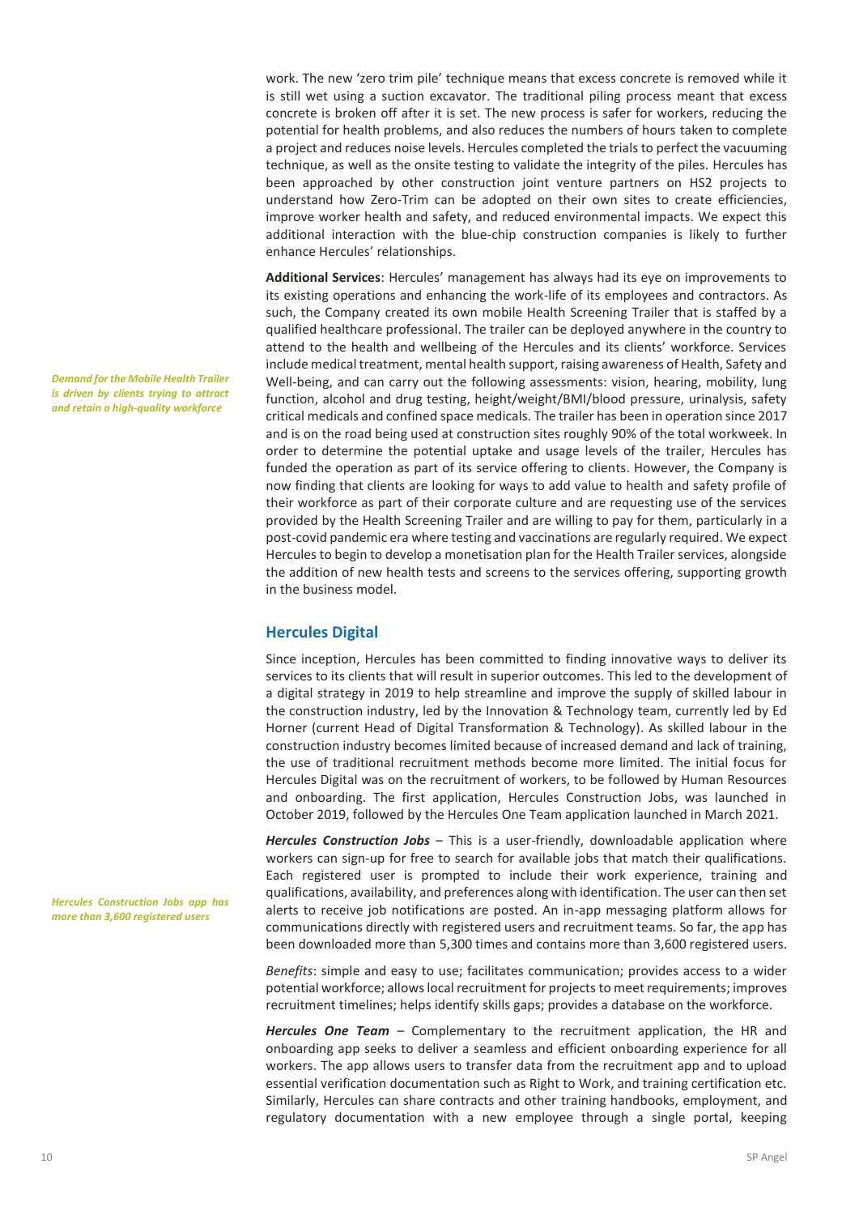work. The new 'zero trim pile' technique means that excess concrete is removed while it is still wet using a suction excavator. The traditional piling process meant that excess concrete is broken off after it is set. The new process is safer for workers, reducing the potential for health problems, and also reduces the numbers of hours taken to complete a project and reduces noise levels. Hercules completed the trials to perfect the vacuuming technique, as well as the onsite testing to validate the integrity of the piles. Hercules has been approached by other construction joint venture partners on HS2 projects to understand how Zero-Trim can be adopted on their own sites to create efficiencies, improve worker health and safety, and reduced environmental impacts. We expect this additional interaction with the blue-chip construction companies is likely to further enhance Hercules' relationships.

**Additional Services**: Hercules' management has always had its eye on improvements to its existing operations and enhancing the work-life of its employees and contractors. As such, the Company created its own mobile Health Screening Trailer that is staffed by a qualified healthcare professional. The trailer can be deployed anywhere in the country to attend to the health and wellbeing of the Hercules and its clients' workforce. Services include medical treatment, mental health support, raising awareness of Health, Safety and Well-being, and can carry out the following assessments: vision, hearing, mobility, lung function, alcohol and drug testing, height/weight/BMI/blood pressure, urinalysis, safety critical medicals and confined space medicals. The trailer has been in operation since 2017 and is on the road being used at construction sites roughly 90% of the total workweek. In order to determine the potential uptake and usage levels of the trailer, Hercules has funded the operation as part of its service offering to clients. However, the Company is now finding that clients are looking for ways to add value to health and safety profile of their workforce as part of their corporate culture and are requesting use of the services provided by the Health Screening Trailer and are willing to pay for them, particularly in a post-covid pandemic era where testing and vaccinations are regularly required. We expect Hercules to begin to develop a monetisation plan for the Health Trailer services, alongside the addition of new health tests and screens to the services offering, supporting growth in the business model.

#### **Hercules Digital**

Since inception, Hercules has been committed to finding innovative ways to deliver its services to its clients that will result in superior outcomes. This led to the development of a digital strategy in 2019 to help streamline and improve the supply of skilled labour in the construction industry, led by the Innovation & Technology team, currently led by Ed Horner (current Head of Digital Transformation & Technology). As skilled labour in the construction industry becomes limited because of increased demand and lack of training, the use of traditional recruitment methods become more limited. The initial focus for Hercules Digital was on the recruitment of workers, to be followed by Human Resources and onboarding. The first application, Hercules Construction Jobs, was launched in October 2019, followed by the Hercules One Team application launched in March 2021.

*Hercules Construction Jobs* – This is a user-friendly, downloadable application where workers can sign-up for free to search for available jobs that match their qualifications. Each registered user is prompted to include their work experience, training and qualifications, availability, and preferences along with identification. The user can then set alerts to receive job notifications are posted. An in-app messaging platform allows for communications directly with registered users and recruitment teams. So far, the app has been downloaded more than 5,300 times and contains more than 3,600 registered users.

*Benefits*: simple and easy to use; facilitates communication; provides access to a wider potential workforce; allows local recruitment for projects to meet requirements; improves recruitment timelines; helps identify skills gaps; provides a database on the workforce.

*Hercules One Team* – Complementary to the recruitment application, the HR and onboarding app seeks to deliver a seamless and efficient onboarding experience for all workers. The app allows users to transfer data from the recruitment app and to upload essential verification documentation such as Right to Work, and training certification etc. Similarly, Hercules can share contracts and other training handbooks, employment, and regulatory documentation with a new employee through a single portal, keeping

*Demand for the Mobile Health Trailer is driven by clients trying to attract and retain a high-quality workforce*

*Hercules Construction Jobs app has more than 3,600 registered users*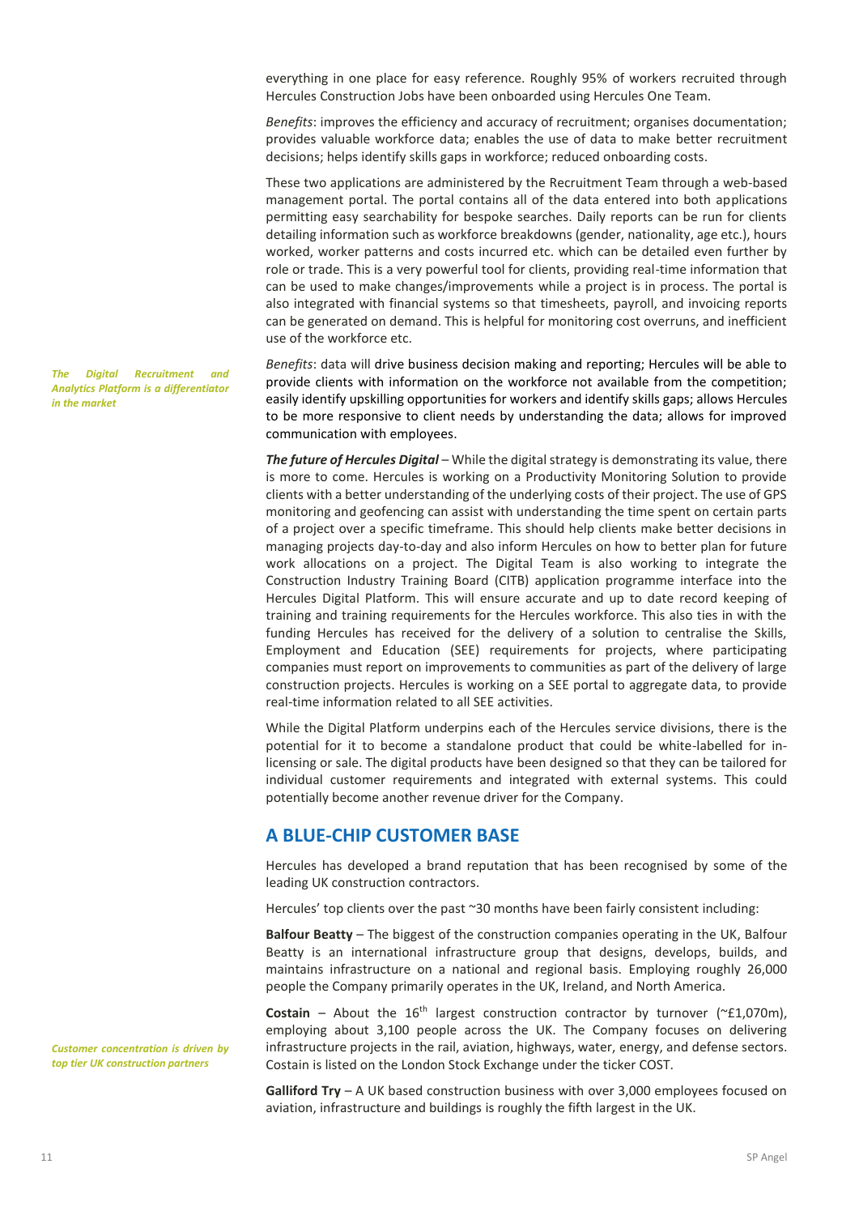everything in one place for easy reference. Roughly 95% of workers recruited through Hercules Construction Jobs have been onboarded using Hercules One Team.

*Benefits*: improves the efficiency and accuracy of recruitment; organises documentation; provides valuable workforce data; enables the use of data to make better recruitment decisions; helps identify skills gaps in workforce; reduced onboarding costs.

These two applications are administered by the Recruitment Team through a web-based management portal. The portal contains all of the data entered into both applications permitting easy searchability for bespoke searches. Daily reports can be run for clients detailing information such as workforce breakdowns (gender, nationality, age etc.), hours worked, worker patterns and costs incurred etc. which can be detailed even further by role or trade. This is a very powerful tool for clients, providing real-time information that can be used to make changes/improvements while a project is in process. The portal is also integrated with financial systems so that timesheets, payroll, and invoicing reports can be generated on demand. This is helpful for monitoring cost overruns, and inefficient use of the workforce etc.

*Benefits*: data will drive business decision making and reporting; Hercules will be able to provide clients with information on the workforce not available from the competition; easily identify upskilling opportunities for workers and identify skills gaps; allows Hercules to be more responsive to client needs by understanding the data; allows for improved communication with employees.

*The future of Hercules Digital* – While the digital strategy is demonstrating its value, there is more to come. Hercules is working on a Productivity Monitoring Solution to provide clients with a better understanding of the underlying costs of their project. The use of GPS monitoring and geofencing can assist with understanding the time spent on certain parts of a project over a specific timeframe. This should help clients make better decisions in managing projects day-to-day and also inform Hercules on how to better plan for future work allocations on a project. The Digital Team is also working to integrate the Construction Industry Training Board (CITB) application programme interface into the Hercules Digital Platform. This will ensure accurate and up to date record keeping of training and training requirements for the Hercules workforce. This also ties in with the funding Hercules has received for the delivery of a solution to centralise the Skills, Employment and Education (SEE) requirements for projects, where participating companies must report on improvements to communities as part of the delivery of large construction projects. Hercules is working on a SEE portal to aggregate data, to provide real-time information related to all SEE activities.

While the Digital Platform underpins each of the Hercules service divisions, there is the potential for it to become a standalone product that could be white-labelled for inlicensing or sale. The digital products have been designed so that they can be tailored for individual customer requirements and integrated with external systems. This could potentially become another revenue driver for the Company.

#### **A BLUE-CHIP CUSTOMER BASE**

Hercules has developed a brand reputation that has been recognised by some of the leading UK construction contractors.

Hercules' top clients over the past ~30 months have been fairly consistent including:

**Balfour Beatty** – The biggest of the construction companies operating in the UK, Balfour Beatty is an international infrastructure group that designs, develops, builds, and maintains infrastructure on a national and regional basis. Employing roughly 26,000 people the Company primarily operates in the UK, Ireland, and North America.

**Costain** – About the  $16^{th}$  largest construction contractor by turnover ( $\text{r}$ £1,070m), employing about 3,100 people across the UK. The Company focuses on delivering infrastructure projects in the rail, aviation, highways, water, energy, and defense sectors. Costain is listed on the London Stock Exchange under the ticker COST.

**Galliford Try** – A UK based construction business with over 3,000 employees focused on aviation, infrastructure and buildings is roughly the fifth largest in the UK.

*The Digital Recruitment and Analytics Platform is a differentiator in the market*

*Customer concentration is driven by top tier UK construction partners*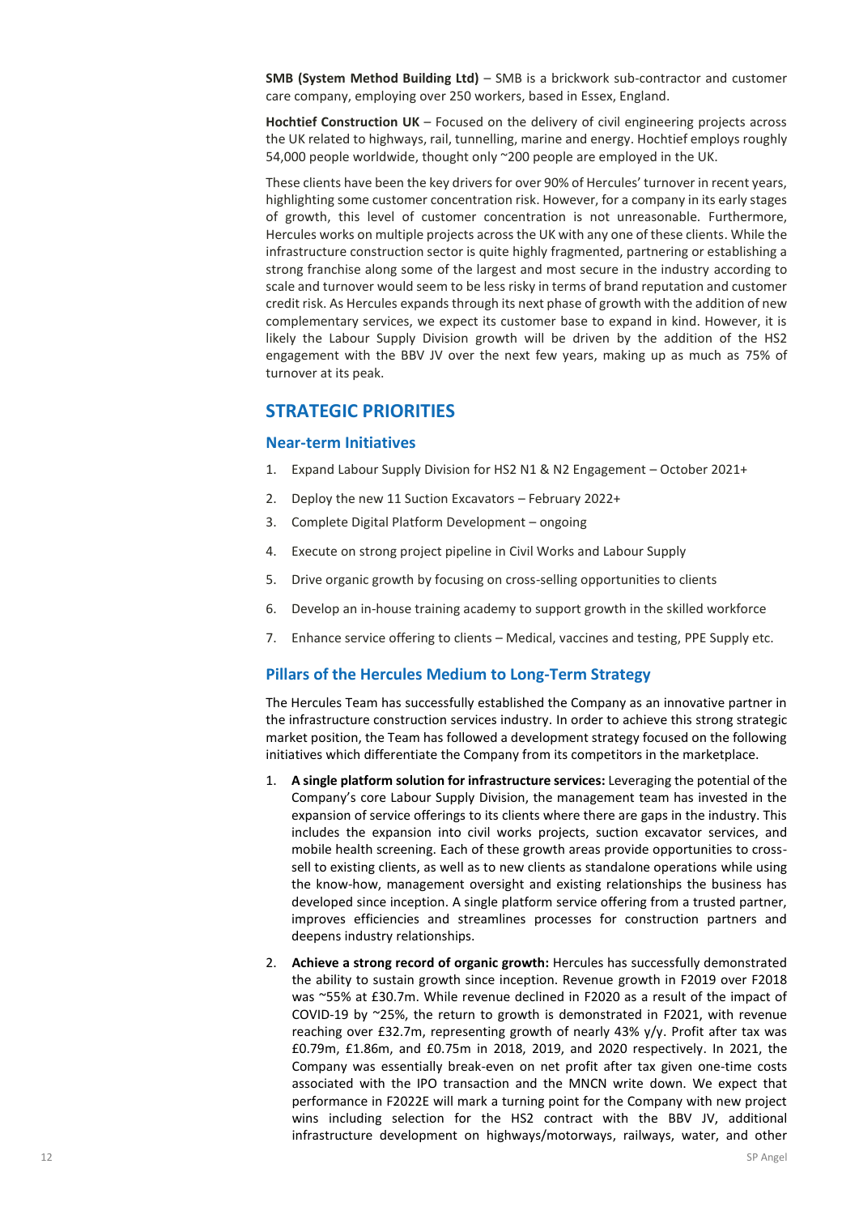**SMB (System Method Building Ltd)** – SMB is a brickwork sub-contractor and customer care company, employing over 250 workers, based in Essex, England.

**Hochtief Construction UK** – Focused on the delivery of civil engineering projects across the UK related to highways, rail, tunnelling, marine and energy. Hochtief employs roughly 54,000 people worldwide, thought only ~200 people are employed in the UK.

These clients have been the key drivers for over 90% of Hercules' turnover in recent years, highlighting some customer concentration risk. However, for a company in its early stages of growth, this level of customer concentration is not unreasonable. Furthermore, Hercules works on multiple projects across the UK with any one of these clients. While the infrastructure construction sector is quite highly fragmented, partnering or establishing a strong franchise along some of the largest and most secure in the industry according to scale and turnover would seem to be less risky in terms of brand reputation and customer credit risk. As Hercules expands through its next phase of growth with the addition of new complementary services, we expect its customer base to expand in kind. However, it is likely the Labour Supply Division growth will be driven by the addition of the HS2 engagement with the BBV JV over the next few years, making up as much as 75% of turnover at its peak.

# **STRATEGIC PRIORITIES**

#### **Near-term Initiatives**

- 1. Expand Labour Supply Division for HS2 N1 & N2 Engagement October 2021+
- 2. Deploy the new 11 Suction Excavators February 2022+
- 3. Complete Digital Platform Development ongoing
- 4. Execute on strong project pipeline in Civil Works and Labour Supply
- 5. Drive organic growth by focusing on cross-selling opportunities to clients
- 6. Develop an in-house training academy to support growth in the skilled workforce
- 7. Enhance service offering to clients Medical, vaccines and testing, PPE Supply etc.

#### **Pillars of the Hercules Medium to Long-Term Strategy**

The Hercules Team has successfully established the Company as an innovative partner in the infrastructure construction services industry. In order to achieve this strong strategic market position, the Team has followed a development strategy focused on the following initiatives which differentiate the Company from its competitors in the marketplace.

- 1. **A single platform solution for infrastructure services:** Leveraging the potential of the Company's core Labour Supply Division, the management team has invested in the expansion of service offerings to its clients where there are gaps in the industry. This includes the expansion into civil works projects, suction excavator services, and mobile health screening. Each of these growth areas provide opportunities to crosssell to existing clients, as well as to new clients as standalone operations while using the know-how, management oversight and existing relationships the business has developed since inception. A single platform service offering from a trusted partner, improves efficiencies and streamlines processes for construction partners and deepens industry relationships.
- 2. **Achieve a strong record of organic growth:** Hercules has successfully demonstrated the ability to sustain growth since inception. Revenue growth in F2019 over F2018 was ~55% at £30.7m. While revenue declined in F2020 as a result of the impact of COVID-19 by ~25%, the return to growth is demonstrated in F2021, with revenue reaching over £32.7m, representing growth of nearly 43% y/y. Profit after tax was £0.79m, £1.86m, and £0.75m in 2018, 2019, and 2020 respectively. In 2021, the Company was essentially break-even on net profit after tax given one-time costs associated with the IPO transaction and the MNCN write down. We expect that performance in F2022E will mark a turning point for the Company with new project wins including selection for the HS2 contract with the BBV JV, additional infrastructure development on highways/motorways, railways, water, and other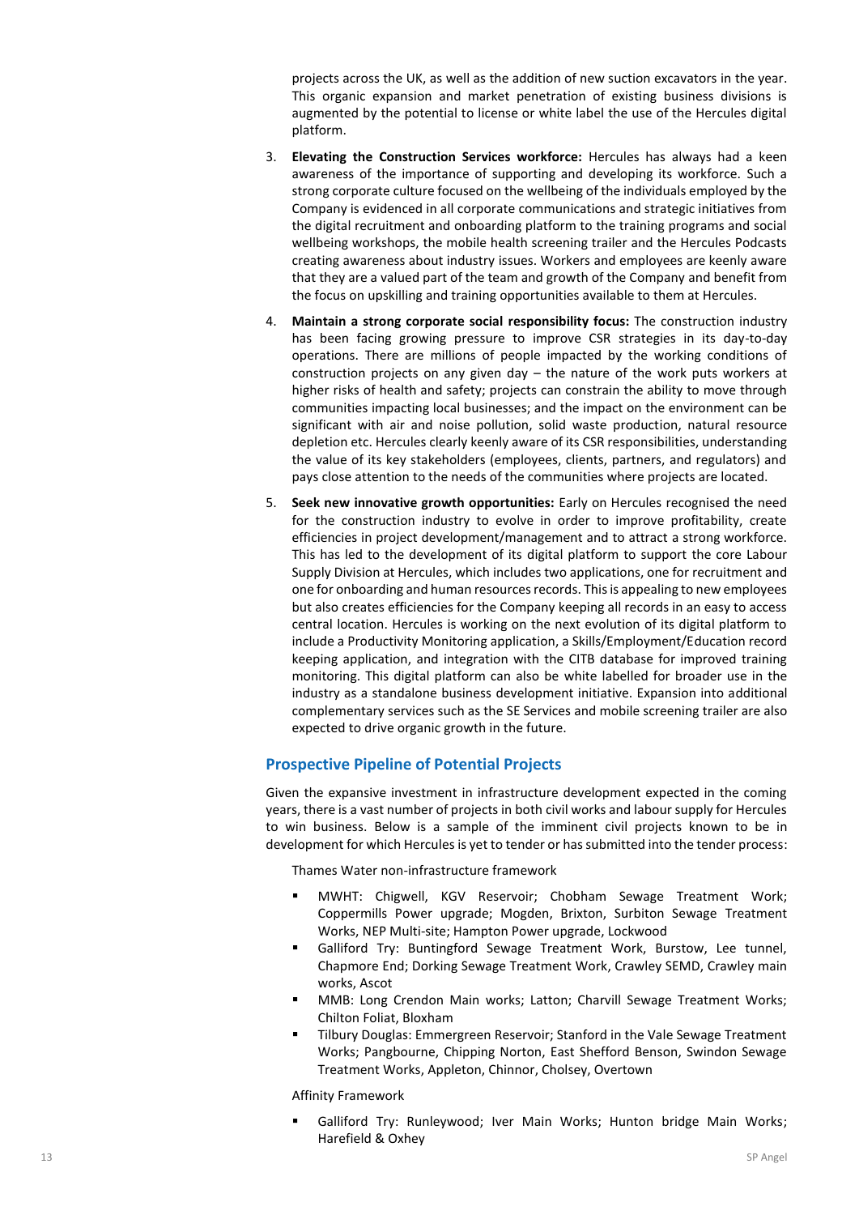projects across the UK, as well as the addition of new suction excavators in the year. This organic expansion and market penetration of existing business divisions is augmented by the potential to license or white label the use of the Hercules digital platform.

- 3. **Elevating the Construction Services workforce:** Hercules has always had a keen awareness of the importance of supporting and developing its workforce. Such a strong corporate culture focused on the wellbeing of the individuals employed by the Company is evidenced in all corporate communications and strategic initiatives from the digital recruitment and onboarding platform to the training programs and social wellbeing workshops, the mobile health screening trailer and the Hercules Podcasts creating awareness about industry issues. Workers and employees are keenly aware that they are a valued part of the team and growth of the Company and benefit from the focus on upskilling and training opportunities available to them at Hercules.
- 4. **Maintain a strong corporate social responsibility focus:** The construction industry has been facing growing pressure to improve CSR strategies in its day-to-day operations. There are millions of people impacted by the working conditions of construction projects on any given day – the nature of the work puts workers at higher risks of health and safety; projects can constrain the ability to move through communities impacting local businesses; and the impact on the environment can be significant with air and noise pollution, solid waste production, natural resource depletion etc. Hercules clearly keenly aware of its CSR responsibilities, understanding the value of its key stakeholders (employees, clients, partners, and regulators) and pays close attention to the needs of the communities where projects are located.
- 5. **Seek new innovative growth opportunities:** Early on Hercules recognised the need for the construction industry to evolve in order to improve profitability, create efficiencies in project development/management and to attract a strong workforce. This has led to the development of its digital platform to support the core Labour Supply Division at Hercules, which includes two applications, one for recruitment and one for onboarding and human resources records. This is appealing to new employees but also creates efficiencies for the Company keeping all records in an easy to access central location. Hercules is working on the next evolution of its digital platform to include a Productivity Monitoring application, a Skills/Employment/Education record keeping application, and integration with the CITB database for improved training monitoring. This digital platform can also be white labelled for broader use in the industry as a standalone business development initiative. Expansion into additional complementary services such as the SE Services and mobile screening trailer are also expected to drive organic growth in the future.

# **Prospective Pipeline of Potential Projects**

Given the expansive investment in infrastructure development expected in the coming years, there is a vast number of projects in both civil works and labour supply for Hercules to win business. Below is a sample of the imminent civil projects known to be in development for which Hercules is yet to tender or has submitted into the tender process:

Thames Water non-infrastructure framework

- MWHT: Chigwell, KGV Reservoir; Chobham Sewage Treatment Work; Coppermills Power upgrade; Mogden, Brixton, Surbiton Sewage Treatment Works, NEP Multi-site; Hampton Power upgrade, Lockwood
- Galliford Try: Buntingford Sewage Treatment Work, Burstow, Lee tunnel, Chapmore End; Dorking Sewage Treatment Work, Crawley SEMD, Crawley main works, Ascot
- MMB: Long Crendon Main works; Latton; Charvill Sewage Treatment Works; Chilton Foliat, Bloxham
- Tilbury Douglas: Emmergreen Reservoir; Stanford in the Vale Sewage Treatment Works; Pangbourne, Chipping Norton, East Shefford Benson, Swindon Sewage Treatment Works, Appleton, Chinnor, Cholsey, Overtown

Affinity Framework

Galliford Try: Runleywood; Iver Main Works; Hunton bridge Main Works; Harefield & Oxhey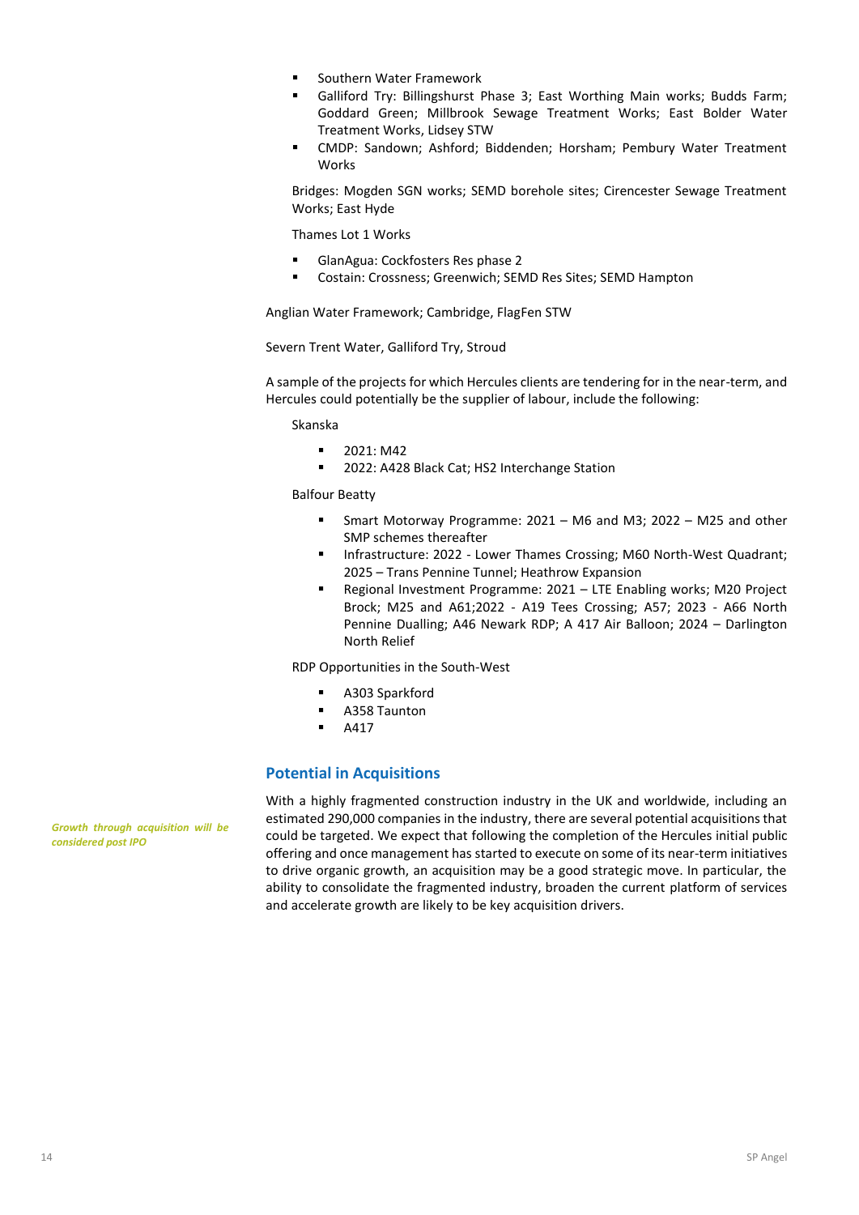- Southern Water Framework
- Galliford Try: Billingshurst Phase 3; East Worthing Main works; Budds Farm; Goddard Green; Millbrook Sewage Treatment Works; East Bolder Water Treatment Works, Lidsey STW
- CMDP: Sandown; Ashford; Biddenden; Horsham; Pembury Water Treatment Works

Bridges: Mogden SGN works; SEMD borehole sites; Cirencester Sewage Treatment Works; East Hyde

Thames Lot 1 Works

- GlanAgua: Cockfosters Res phase 2
- Costain: Crossness; Greenwich; SEMD Res Sites; SEMD Hampton

Anglian Water Framework; Cambridge, FlagFen STW

Severn Trent Water, Galliford Try, Stroud

A sample of the projects for which Hercules clients are tendering for in the near-term, and Hercules could potentially be the supplier of labour, include the following:

Skanska

- 2021: M42
- 2022: A428 Black Cat; HS2 Interchange Station

Balfour Beatty

- Smart Motorway Programme: 2021 M6 and M3; 2022 M25 and other SMP schemes thereafter
- **■** Infrastructure: 2022 Lower Thames Crossing; M60 North-West Quadrant; 2025 – Trans Pennine Tunnel; Heathrow Expansion
- Regional Investment Programme: 2021 LTE Enabling works; M20 Project Brock; M25 and A61;2022 - A19 Tees Crossing; A57; 2023 - A66 North Pennine Dualling; A46 Newark RDP; A 417 Air Balloon; 2024 – Darlington North Relief

RDP Opportunities in the South-West

- A303 Sparkford
- A358 Taunton
- A417

#### **Potential in Acquisitions**

With a highly fragmented construction industry in the UK and worldwide, including an estimated 290,000 companies in the industry, there are several potential acquisitions that could be targeted. We expect that following the completion of the Hercules initial public offering and once management has started to execute on some of its near-term initiatives to drive organic growth, an acquisition may be a good strategic move. In particular, the ability to consolidate the fragmented industry, broaden the current platform of services and accelerate growth are likely to be key acquisition drivers.

*Growth through acquisition will be considered post IPO*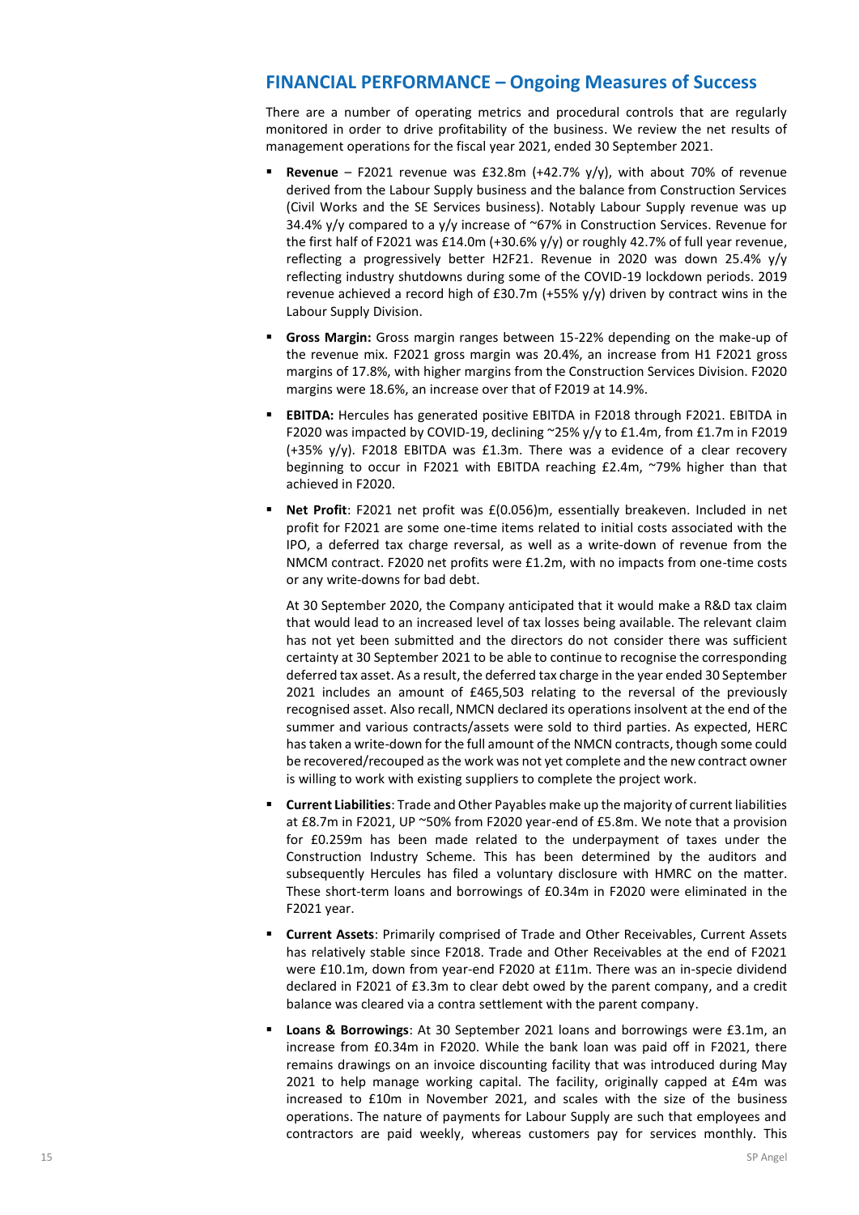# **FINANCIAL PERFORMANCE – Ongoing Measures of Success**

There are a number of operating metrics and procedural controls that are regularly monitored in order to drive profitability of the business. We review the net results of management operations for the fiscal year 2021, ended 30 September 2021.

- **Revenue** F2021 revenue was £32.8m (+42.7% y/y), with about 70% of revenue derived from the Labour Supply business and the balance from Construction Services (Civil Works and the SE Services business). Notably Labour Supply revenue was up 34.4%  $y/y$  compared to a  $y/y$  increase of ~67% in Construction Services. Revenue for the first half of F2021 was £14.0m (+30.6%  $y/y$ ) or roughly 42.7% of full year revenue, reflecting a progressively better H2F21. Revenue in 2020 was down 25.4% y/y reflecting industry shutdowns during some of the COVID-19 lockdown periods. 2019 revenue achieved a record high of  $£30.7m (+55% y/y)$  driven by contract wins in the Labour Supply Division.
- Gross Margin: Gross margin ranges between 15-22% depending on the make-up of the revenue mix. F2021 gross margin was 20.4%, an increase from H1 F2021 gross margins of 17.8%, with higher margins from the Construction Services Division. F2020 margins were 18.6%, an increase over that of F2019 at 14.9%.
- **EBITDA:** Hercules has generated positive EBITDA in F2018 through F2021. EBITDA in F2020 was impacted by COVID-19, declining ~25% y/y to £1.4m, from £1.7m in F2019 (+35% y/y). F2018 EBITDA was £1.3m. There was a evidence of a clear recovery beginning to occur in F2021 with EBITDA reaching £2.4m, ~79% higher than that achieved in F2020.
- **Net Profit:** F2021 net profit was £(0.056)m, essentially breakeven. Included in net profit for F2021 are some one-time items related to initial costs associated with the IPO, a deferred tax charge reversal, as well as a write-down of revenue from the NMCM contract. F2020 net profits were £1.2m, with no impacts from one-time costs or any write-downs for bad debt.

At 30 September 2020, the Company anticipated that it would make a R&D tax claim that would lead to an increased level of tax losses being available. The relevant claim has not yet been submitted and the directors do not consider there was sufficient certainty at 30 September 2021 to be able to continue to recognise the corresponding deferred tax asset. As a result, the deferred tax charge in the year ended 30 September 2021 includes an amount of £465,503 relating to the reversal of the previously recognised asset. Also recall, NMCN declared its operations insolvent at the end of the summer and various contracts/assets were sold to third parties. As expected, HERC has taken a write-down for the full amount of the NMCN contracts, though some could be recovered/recouped as the work was not yet complete and the new contract owner is willing to work with existing suppliers to complete the project work.

- **Current Liabilities**: Trade and Other Payables make up the majority of current liabilities at £8.7m in F2021, UP ~50% from F2020 year-end of £5.8m. We note that a provision for £0.259m has been made related to the underpayment of taxes under the Construction Industry Scheme. This has been determined by the auditors and subsequently Hercules has filed a voluntary disclosure with HMRC on the matter. These short-term loans and borrowings of £0.34m in F2020 were eliminated in the F2021 year.
- **Current Assets**: Primarily comprised of Trade and Other Receivables, Current Assets has relatively stable since F2018. Trade and Other Receivables at the end of F2021 were £10.1m, down from year-end F2020 at £11m. There was an in-specie dividend declared in F2021 of £3.3m to clear debt owed by the parent company, and a credit balance was cleared via a contra settlement with the parent company.
- **Loans & Borrowings**: At 30 September 2021 loans and borrowings were £3.1m, an increase from £0.34m in F2020. While the bank loan was paid off in F2021, there remains drawings on an invoice discounting facility that was introduced during May 2021 to help manage working capital. The facility, originally capped at £4m was increased to £10m in November 2021, and scales with the size of the business operations. The nature of payments for Labour Supply are such that employees and contractors are paid weekly, whereas customers pay for services monthly. This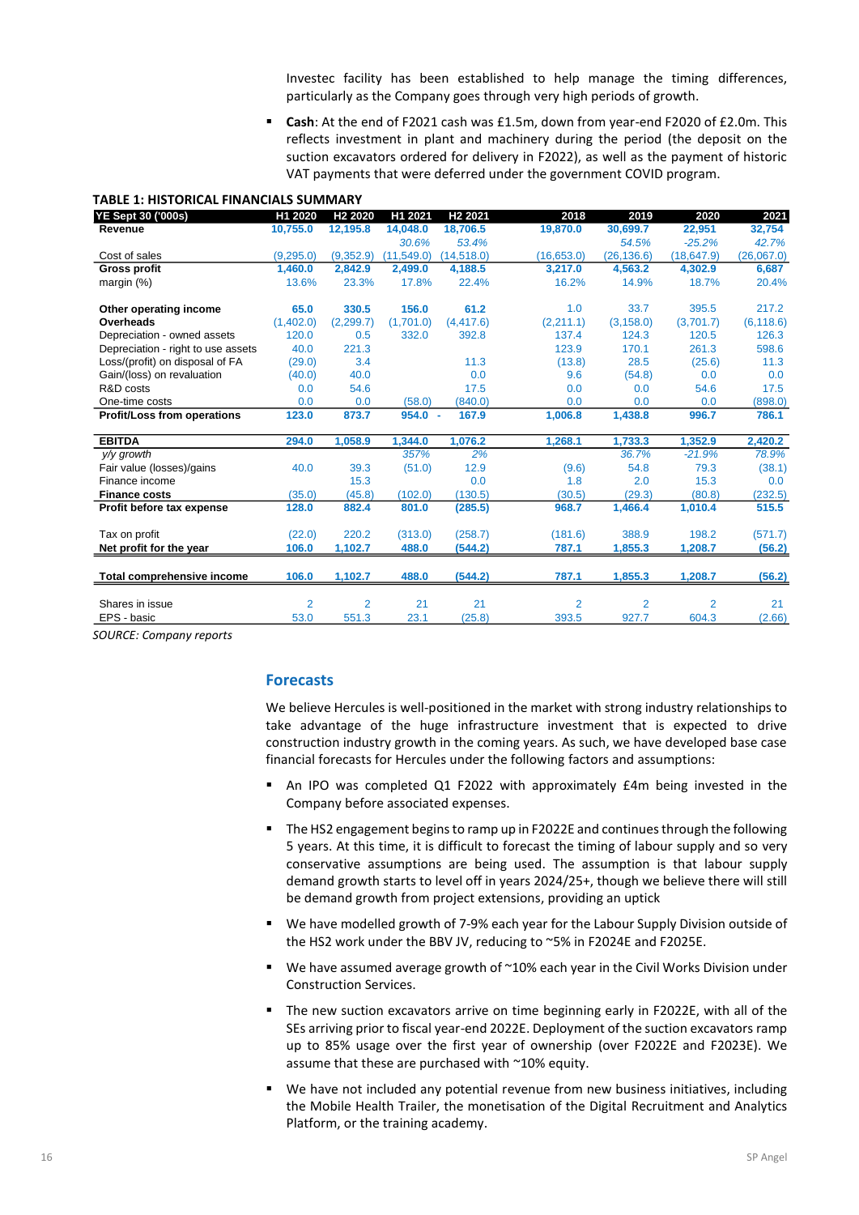Investec facility has been established to help manage the timing differences, particularly as the Company goes through very high periods of growth.

▪ **Cash**: At the end of F2021 cash was £1.5m, down from year-end F2020 of £2.0m. This reflects investment in plant and machinery during the period (the deposit on the suction excavators ordered for delivery in F2022), as well as the payment of historic VAT payments that were deferred under the government COVID program.

#### **TABLE 1: HISTORICAL FINANCIALS SUMMARY**

| YE Sept 30 ('000s)                 | H1 2020        | H <sub>2</sub> 2020 | H1 2021     | H <sub>2</sub> 2021 | 2018           | 2019           | 2020           | 2021       |
|------------------------------------|----------------|---------------------|-------------|---------------------|----------------|----------------|----------------|------------|
| Revenue                            | 10,755.0       | 12,195.8            | 14,048.0    | 18,706.5            | 19,870.0       | 30,699.7       | 22,951         | 32,754     |
|                                    |                |                     | 30.6%       | 53.4%               |                | 54.5%          | $-25.2%$       | 42.7%      |
| Cost of sales                      | (9.295.0)      | (9,352.9)           | (11, 549.0) | (14, 518.0)         | (16, 653.0)    | (26, 136.6)    | (18, 647.9)    | (26,067.0) |
| <b>Gross profit</b>                | 1.460.0        | 2,842.9             | 2,499.0     | 4,188.5             | 3.217.0        | 4.563.2        | 4,302.9        | 6,687      |
| margin $(\%)$                      | 13.6%          | 23.3%               | 17.8%       | 22.4%               | 16.2%          | 14.9%          | 18.7%          | 20.4%      |
| Other operating income             | 65.0           | 330.5               | 156.0       | 61.2                | 1.0            | 33.7           | 395.5          | 217.2      |
| Overheads                          | (1,402.0)      | (2, 299.7)          | (1.701.0)   | (4, 417.6)          | (2,211.1)      | (3, 158.0)     | (3,701.7)      | (6, 118.6) |
| Depreciation - owned assets        | 120.0          | 0.5                 | 332.0       | 392.8               | 137.4          | 124.3          | 120.5          | 126.3      |
| Depreciation - right to use assets | 40.0           | 221.3               |             |                     | 123.9          | 170.1          | 261.3          | 598.6      |
| Loss/(profit) on disposal of FA    | (29.0)         | 3.4                 |             | 11.3                | (13.8)         | 28.5           | (25.6)         | 11.3       |
| Gain/(loss) on revaluation         | (40.0)         | 40.0                |             | 0.0                 | 9.6            | (54.8)         | 0.0            | 0.0        |
| R&D costs                          | 0.0            | 54.6                |             | 17.5                | 0.0            | 0.0            | 54.6           | 17.5       |
| One-time costs                     | 0.0            | 0.0                 | (58.0)      | (840.0)             | 0.0            | 0.0            | 0.0            | (898.0)    |
| <b>Profit/Loss from operations</b> | 123.0          | 873.7               | 954.0       | 167.9<br>×          | 1.006.8        | 1.438.8        | 996.7          | 786.1      |
| <b>EBITDA</b>                      | 294.0          | 1,058.9             | 1,344.0     | 1,076.2             | 1,268.1        | 1,733.3        | 1,352.9        | 2,420.2    |
| y/y growth                         |                |                     | 357%        | 2%                  |                | 36.7%          | $-21.9%$       | 78.9%      |
| Fair value (losses)/gains          | 40.0           | 39.3                | (51.0)      | 12.9                | (9.6)          | 54.8           | 79.3           | (38.1)     |
| Finance income                     |                | 15.3                |             | 0.0                 | 1.8            | 2.0            | 15.3           | 0.0        |
| <b>Finance costs</b>               | (35.0)         | (45.8)              | (102.0)     | (130.5)             | (30.5)         | (29.3)         | (80.8)         | (232.5)    |
| Profit before tax expense          | 128.0          | 882.4               | 801.0       | (285.5)             | 968.7          | 1,466.4        | 1,010.4        | 515.5      |
| Tax on profit                      | (22.0)         | 220.2               | (313.0)     | (258.7)             | (181.6)        | 388.9          | 198.2          | (571.7)    |
| Net profit for the year            | 106.0          | 1,102.7             | 488.0       | (544.2)             | 787.1          | 1,855.3        | 1,208.7        | (56.2)     |
| Total comprehensive income         | 106.0          | 1,102.7             | 488.0       | (544.2)             | 787.1          | 1,855.3        | 1,208.7        | (56.2)     |
|                                    |                |                     |             |                     |                |                |                |            |
| Shares in issue                    | $\overline{2}$ | $\overline{2}$      | 21          | 21                  | $\overline{2}$ | $\overline{2}$ | $\overline{2}$ | 21         |
| EPS - basic                        | 53.0           | 551.3               | 23.1        | (25.8)              | 393.5          | 927.7          | 604.3          | (2.66)     |
|                                    |                |                     |             |                     |                |                |                |            |

*SOURCE: Company reports*

#### **Forecasts**

We believe Hercules is well-positioned in the market with strong industry relationships to take advantage of the huge infrastructure investment that is expected to drive construction industry growth in the coming years. As such, we have developed base case financial forecasts for Hercules under the following factors and assumptions:

- An IPO was completed Q1 F2022 with approximately £4m being invested in the Company before associated expenses.
- **The HS2 engagement begins to ramp up in F2022E and continues through the following** 5 years. At this time, it is difficult to forecast the timing of labour supply and so very conservative assumptions are being used. The assumption is that labour supply demand growth starts to level off in years 2024/25+, though we believe there will still be demand growth from project extensions, providing an uptick
- We have modelled growth of 7-9% each year for the Labour Supply Division outside of the HS2 work under the BBV JV, reducing to ~5% in F2024E and F2025E.
- We have assumed average growth of ~10% each year in the Civil Works Division under Construction Services.
- The new suction excavators arrive on time beginning early in F2022E, with all of the SEs arriving prior to fiscal year-end 2022E. Deployment of the suction excavators ramp up to 85% usage over the first year of ownership (over F2022E and F2023E). We assume that these are purchased with ~10% equity.
- We have not included any potential revenue from new business initiatives, including the Mobile Health Trailer, the monetisation of the Digital Recruitment and Analytics Platform, or the training academy.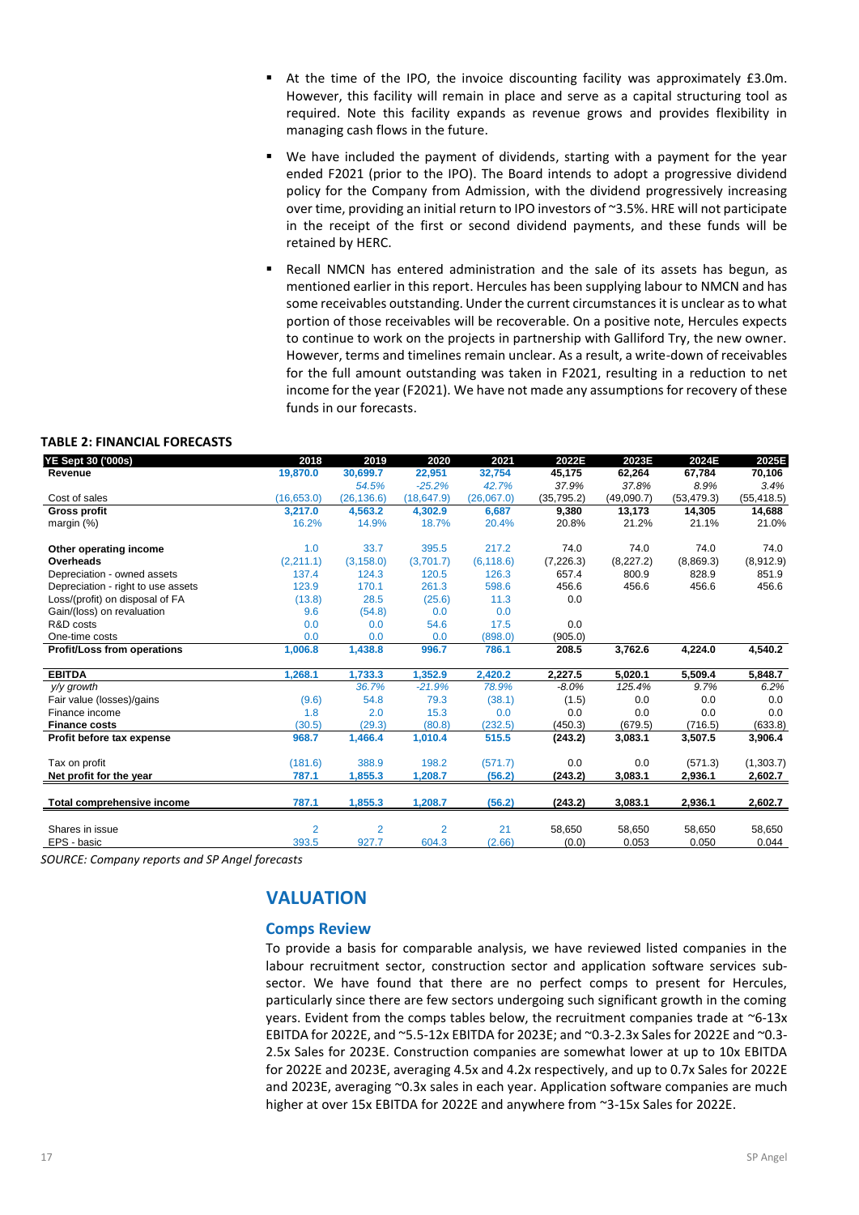- At the time of the IPO, the invoice discounting facility was approximately £3.0m. However, this facility will remain in place and serve as a capital structuring tool as required. Note this facility expands as revenue grows and provides flexibility in managing cash flows in the future.
- We have included the payment of dividends, starting with a payment for the year ended F2021 (prior to the IPO). The Board intends to adopt a progressive dividend policy for the Company from Admission, with the dividend progressively increasing over time, providing an initial return to IPO investors of ~3.5%. HRE will not participate in the receipt of the first or second dividend payments, and these funds will be retained by HERC.
- Recall NMCN has entered administration and the sale of its assets has begun, as mentioned earlier in this report. Hercules has been supplying labour to NMCN and has some receivables outstanding. Under the current circumstances it is unclear as to what portion of those receivables will be recoverable. On a positive note, Hercules expects to continue to work on the projects in partnership with Galliford Try, the new owner. However, terms and timelines remain unclear. As a result, a write-down of receivables for the full amount outstanding was taken in F2021, resulting in a reduction to net income for the year (F2021). We have not made any assumptions for recovery of these funds in our forecasts.

#### **TABLE 2: FINANCIAL FORECASTS**

| YE Sept 30 ('000s)                 | 2018           | 2019           | 2020           | 2021       | 2022E       | 2023E      | 2024E       | 2025E       |
|------------------------------------|----------------|----------------|----------------|------------|-------------|------------|-------------|-------------|
| Revenue                            | 19,870.0       | 30,699.7       | 22,951         | 32,754     | 45,175      | 62,264     | 67,784      | 70,106      |
|                                    |                | 54.5%          | $-25.2%$       | 42.7%      | 37.9%       | 37.8%      | 8.9%        | 3.4%        |
| Cost of sales                      | (16,653.0)     | (26, 136.6)    | (18, 647.9)    | (26,067.0) | (35, 795.2) | (49,090.7) | (53, 479.3) | (55, 418.5) |
| Gross profit                       | 3.217.0        | 4,563.2        | 4,302.9        | 6,687      | 9,380       | 13,173     | 14,305      | 14,688      |
| margin $(\%)$                      | 16.2%          | 14.9%          | 18.7%          | 20.4%      | 20.8%       | 21.2%      | 21.1%       | 21.0%       |
| Other operating income             | 1.0            | 33.7           | 395.5          | 217.2      | 74.0        | 74.0       | 74.0        | 74.0        |
| Overheads                          | (2,211.1)      | (3, 158.0)     | (3,701.7)      | (6, 118.6) | (7, 226.3)  | (8, 227.2) | (8,869.3)   | (8,912.9)   |
| Depreciation - owned assets        | 137.4          | 124.3          | 120.5          | 126.3      | 657.4       | 800.9      | 828.9       | 851.9       |
| Depreciation - right to use assets | 123.9          | 170.1          | 261.3          | 598.6      | 456.6       | 456.6      | 456.6       | 456.6       |
| Loss/(profit) on disposal of FA    | (13.8)         | 28.5           | (25.6)         | 11.3       | 0.0         |            |             |             |
| Gain/(loss) on revaluation         | 9.6            | (54.8)         | 0.0            | 0.0        |             |            |             |             |
| R&D costs                          | 0.0            | 0.0            | 54.6           | 17.5       | 0.0         |            |             |             |
| One-time costs                     | 0.0            | 0.0            | 0.0            | (898.0)    | (905.0)     |            |             |             |
| Profit/Loss from operations        | 1,006.8        | 1,438.8        | 996.7          | 786.1      | 208.5       | 3,762.6    | 4,224.0     | 4,540.2     |
| <b>EBITDA</b>                      | 1,268.1        | 1,733.3        | 1,352.9        | 2,420.2    | 2,227.5     | 5,020.1    | 5,509.4     | 5,848.7     |
| y/y growth                         |                | 36.7%          | $-21.9%$       | 78.9%      | $-8.0\%$    | 125.4%     | 9.7%        | 6.2%        |
| Fair value (losses)/gains          | (9.6)          | 54.8           | 79.3           | (38.1)     | (1.5)       | 0.0        | 0.0         | 0.0         |
| Finance income                     | 1.8            | 2.0            | 15.3           | 0.0        | 0.0         | 0.0        | 0.0         | 0.0         |
| <b>Finance costs</b>               | (30.5)         | (29.3)         | (80.8)         | (232.5)    | (450.3)     | (679.5)    | (716.5)     | (633.8)     |
| Profit before tax expense          | 968.7          | 1,466.4        | 1,010.4        | 515.5      | (243.2)     | 3,083.1    | 3,507.5     | 3,906.4     |
| Tax on profit                      | (181.6)        | 388.9          | 198.2          | (571.7)    | 0.0         | 0.0        | (571.3)     | (1,303.7)   |
| Net profit for the year            | 787.1          | 1,855.3        | 1,208.7        | (56.2)     | (243.2)     | 3,083.1    | 2,936.1     | 2,602.7     |
| Total comprehensive income         | 787.1          | 1,855.3        | 1,208.7        | (56.2)     | (243.2)     | 3,083.1    | 2,936.1     | 2,602.7     |
| Shares in issue                    | $\overline{2}$ | $\overline{2}$ | $\overline{2}$ | 21         | 58,650      | 58,650     | 58,650      | 58,650      |
|                                    |                |                |                |            |             |            |             |             |
| EPS - basic                        | 393.5          | 927.7          | 604.3          | (2.66)     | (0.0)       | 0.053      | 0.050       | 0.044       |

*SOURCE: Company reports and SP Angel forecasts*

# **VALUATION**

#### **Comps Review**

To provide a basis for comparable analysis, we have reviewed listed companies in the labour recruitment sector, construction sector and application software services subsector. We have found that there are no perfect comps to present for Hercules, particularly since there are few sectors undergoing such significant growth in the coming years. Evident from the comps tables below, the recruitment companies trade at ~6-13x EBITDA for 2022E, and ~5.5-12x EBITDA for 2023E; and ~0.3-2.3x Sales for 2022E and ~0.3- 2.5x Sales for 2023E. Construction companies are somewhat lower at up to 10x EBITDA for 2022E and 2023E, averaging 4.5x and 4.2x respectively, and up to 0.7x Sales for 2022E and 2023E, averaging ~0.3x sales in each year. Application software companies are much higher at over 15x EBITDA for 2022E and anywhere from ~3-15x Sales for 2022E.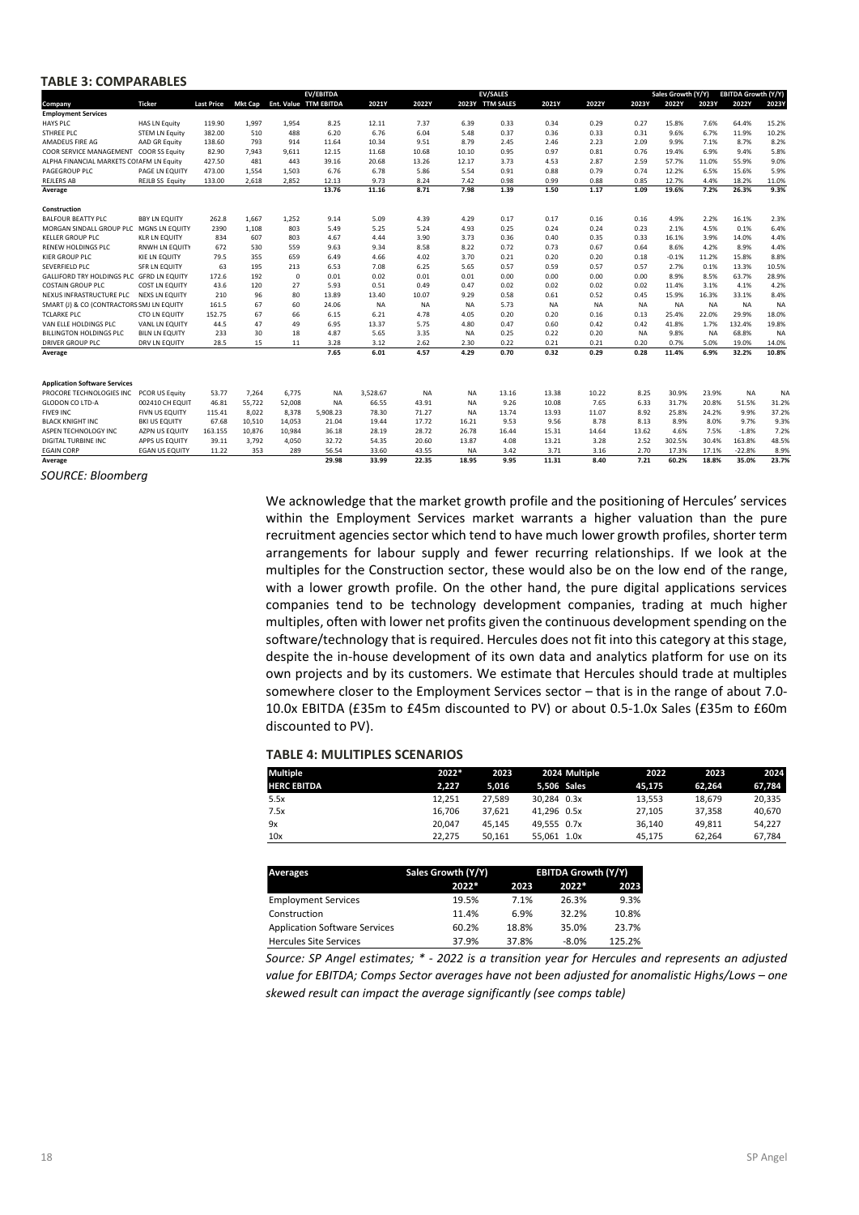#### **TABLE 3: COMPARABLES**

|                                           |                        |                   |                |            | <b>EV/EBITDA</b>      |           |           |           | <b>EV/SALES</b> |           |           |           | Sales Growth (Y/Y) |           | <b>EBITDA Growth (Y/Y)</b> |           |
|-------------------------------------------|------------------------|-------------------|----------------|------------|-----------------------|-----------|-----------|-----------|-----------------|-----------|-----------|-----------|--------------------|-----------|----------------------------|-----------|
| Company                                   | <b>Ticker</b>          | <b>Last Price</b> | <b>Mkt Cap</b> |            | Ent. Value TTM EBITDA | 2021Y     | 2022Y     |           | 2023Y TTM SALES | 2021Y     | 2022Y     | 2023Y     | 2022Y              | 2023Y     | 2022Y                      | 2023Y     |
| <b>Employment Services</b>                |                        |                   |                |            |                       |           |           |           |                 |           |           |           |                    |           |                            |           |
| <b>HAYS PLC</b>                           | <b>HAS LN Equity</b>   | 119.90            | 1,997          | 1.954      | 8.25                  | 12.11     | 7.37      | 6.39      | 0.33            | 0.34      | 0.29      | 0.27      | 15.8%              | 7.6%      | 64.4%                      | 15.2%     |
| STHREE PLC                                | <b>STEM LN Equity</b>  | 382.00            | 510            | 488        | 6.20                  | 6.76      | 6.04      | 5.48      | 0.37            | 0.36      | 0.33      | 0.31      | 9.6%               | 6.7%      | 11.9%                      | 10.2%     |
| AMADEUS FIRE AG                           | AAD GR Equity          | 138.60            | 793            | 914        | 11.64                 | 10.34     | 9.51      | 8.79      | 2.45            | 2.46      | 2.23      | 2.09      | 9.9%               | 7.1%      | 8.7%                       | 8.2%      |
| COOR SERVICE MANAGEMENT                   | <b>COOR SS Equity</b>  | 82.90             | 7.943          | 9,611      | 12.15                 | 11.68     | 10.68     | 10.10     | 0.95            | 0.97      | 0.81      | 0.76      | 19.4%              | 6.9%      | 9.4%                       | 5.8%      |
| ALPHA FINANCIAL MARKETS COIAFM LN Equity  |                        | 427.50            | 481            | 443        | 39.16                 | 20.68     | 13.26     | 12.17     | 3.73            | 4.53      | 2.87      | 2.59      | 57.7%              | 11.0%     | 55.9%                      | 9.0%      |
| PAGEGROUP PLC                             | <b>PAGE LN EQUITY</b>  | 473.00            | 1.554          | 1.503      | 6.76                  | 6.78      | 5.86      | 5.54      | 0.91            | 0.88      | 0.79      | 0.74      | 12.2%              | 6.5%      | 15.6%                      | 5.9%      |
| <b>REJLERS AB</b>                         | <b>REJLB SS Equity</b> | 133.00            | 2,618          | 2,852      | 12.13                 | 9.73      | 8.24      | 7.42      | 0.98            | 0.99      | 0.88      | 0.85      | 12.7%              | 4.4%      | 18.2%                      | 11.0%     |
| Average                                   |                        |                   |                |            | 13.76                 | 11.16     | 8.71      | 7.98      | 1.39            | 1.50      | 1.17      | 1.09      | 19.6%              | 7.2%      | 26.3%                      | 9.3%      |
|                                           |                        |                   |                |            |                       |           |           |           |                 |           |           |           |                    |           |                            |           |
| Construction                              |                        |                   |                |            |                       |           |           |           |                 |           |           |           |                    |           |                            |           |
| <b>BALFOUR BEATTY PLC</b>                 | <b>BBY LN EQUITY</b>   | 262.8             | 1,667          | 1,252      | 9.14                  | 5.09      | 4.39      | 4.29      | 0.17            | 0.17      | 0.16      | 0.16      | 4.9%               | 2.2%      | 16.1%                      | 2.3%      |
| MORGAN SINDALL GROUP PLC                  | <b>MGNS LN EQUITY</b>  | 2390              | 1.108          | 803        | 5.49                  | 5.25      | 5.24      | 4.93      | 0.25            | 0.24      | 0.24      | 0.23      | 2.1%               | 4.5%      | 0.1%                       | 6.4%      |
| <b>KELLER GROUP PLC</b>                   | <b>KLR LN EQUITY</b>   | 834               | 607            | 803        | 4.67                  | 4.44      | 3.90      | 3.73      | 0.36            | 0.40      | 0.35      | 0.33      | 16.1%              | 3.9%      | 14.0%                      | 4.4%      |
| <b>RENEW HOLDINGS PLC</b>                 | <b>RNWH LN EQUITY</b>  | 672               | 530            | 559        | 9.63                  | 9.34      | 8.58      | 8.22      | 0.72            | 0.73      | 0.67      | 0.64      | 8.6%               | 4.2%      | 8.9%                       | 4.4%      |
| <b>KIER GROUP PLC</b>                     | <b>KIE LN EQUITY</b>   | 79.5              | 355            | 659        | 6.49                  | 4.66      | 4.02      | 3.70      | 0.21            | 0.20      | 0.20      | 0.18      | $-0.1%$            | 11.2%     | 15.8%                      | 8.8%      |
| SEVERFIELD PLC                            | SFR LN EQUITY          | 63                | 195            | 213        | 6.53                  | 7.08      | 6.25      | 5.65      | 0.57            | 0.59      | 0.57      | 0.57      | 2.7%               | 0.1%      | 13.3%                      | 10.5%     |
| <b>GALLIFORD TRY HOLDINGS PLC</b>         | <b>GFRD LN EQUITY</b>  | 172.6             | 192            | $^{\circ}$ | 0.01                  | 0.02      | 0.01      | 0.01      | 0.00            | 0.00      | 0.00      | 0.00      | 8.9%               | 8.5%      | 63.7%                      | 28.9%     |
| <b>COSTAIN GROUP PLC</b>                  | <b>COST LN EQUITY</b>  | 43.6              | 120            | 27         | 5.93                  | 0.51      | 0.49      | 0.47      | 0.02            | 0.02      | 0.02      | 0.02      | 11.4%              | 3.1%      | 4.1%                       | 4.2%      |
| NEXUS INFRASTRUCTURE PLC                  | <b>NEXS LN EQUITY</b>  | 210               | 96             | 80         | 13.89                 | 13.40     | 10.07     | 9.29      | 0.58            | 0.61      | 0.52      | 0.45      | 15.9%              | 16.3%     | 33.1%                      | 8.4%      |
| SMART (J) & CO (CONTRACTORS SMJ LN EQUITY |                        | 161.5             | 67             | 60         | 24.06                 | <b>NA</b> | <b>NA</b> | <b>NA</b> | 5.73            | <b>NA</b> | <b>NA</b> | <b>NA</b> | <b>NA</b>          | <b>NA</b> | <b>NA</b>                  | <b>NA</b> |
| <b>TCLARKE PLC</b>                        | <b>CTO LN EQUITY</b>   | 152.75            | 67             | 66         | 6.15                  | 6.21      | 4.78      | 4.05      | 0.20            | 0.20      | 0.16      | 0.13      | 25.4%              | 22.0%     | 29.9%                      | 18.0%     |
| VAN ELLE HOLDINGS PLC                     | VANL LN EQUITY         | 44.5              | 47             | 49         | 6.95                  | 13.37     | 5.75      | 4.80      | 0.47            | 0.60      | 0.42      | 0.42      | 41.8%              | 1.7%      | 132.4%                     | 19.8%     |
| <b>BILLINGTON HOLDINGS PLC</b>            | <b>BILN LN EQUITY</b>  | 233               | 30             | 18         | 4.87                  | 5.65      | 3.35      | <b>NA</b> | 0.25            | 0.22      | 0.20      | <b>NA</b> | 9.8%               | <b>NA</b> | 68.8%                      | <b>NA</b> |
| <b>DRIVER GROUP PLC</b>                   | DRV LN EQUITY          | 28.5              | 15             | 11         | 3.28                  | 3.12      | 2.62      | 2.30      | 0.22            | 0.21      | 0.21      | 0.20      | 0.7%               | 5.0%      | 19.0%                      | 14.0%     |
| Average                                   |                        |                   |                |            | 7.65                  | 6.01      | 4.57      | 4.29      | 0.70            | 0.32      | 0.29      | 0.28      | 11.4%              | 6.9%      | 32.2%                      | 10.8%     |
|                                           |                        |                   |                |            |                       |           |           |           |                 |           |           |           |                    |           |                            |           |
| <b>Application Software Services</b>      |                        |                   |                |            |                       |           |           |           |                 |           |           |           |                    |           |                            |           |
| PROCORE TECHNOLOGIES INC                  | PCOR US Equity         | 53.77             | 7,264          | 6,775      | <b>NA</b>             | 3,528.67  | <b>NA</b> | <b>NA</b> | 13.16           | 13.38     | 10.22     | 8.25      | 30.9%              | 23.9%     | <b>NA</b>                  | <b>NA</b> |
| GLODON CO LTD-A                           | 002410 CH EQUIT        | 46.81             | 55,722         | 52,008     | <b>NA</b>             | 66.55     | 43.91     | <b>NA</b> | 9.26            | 10.08     | 7.65      | 6.33      | 31.7%              | 20.8%     | 51.5%                      | 31.2%     |
| <b>FIVE9 INC</b>                          | <b>FIVN US EQUITY</b>  | 115.41            | 8.022          | 8,378      | 5.908.23              | 78.30     | 71.27     | <b>NA</b> | 13.74           | 13.93     | 11.07     | 8.92      | 25.8%              | 24.2%     | 9.9%                       | 37.2%     |
| <b>BLACK KNIGHT INC</b>                   | <b>BKI US EQUITY</b>   | 67.68             | 10,510         | 14,053     | 21.04                 | 19.44     | 17.72     | 16.21     | 9.53            | 9.56      | 8.78      | 8.13      | 8.9%               | 8.0%      | 9.7%                       | 9.3%      |
| ASPEN TECHNOLOGY INC                      | <b>AZPN US EQUITY</b>  | 163.155           | 10,876         | 10.984     | 36.18                 | 28.19     | 28.72     | 26.78     | 16.44           | 15.31     | 14.64     | 13.62     | 4.6%               | 7.5%      | $-1.8%$                    | 7.2%      |
| DIGITAL TURBINE INC                       | APPS US EQUITY         | 39.11             | 3,792          | 4,050      | 32.72                 | 54.35     | 20.60     | 13.87     | 4.08            | 13.21     | 3.28      | 2.52      | 302.5%             | 30.4%     | 163.8%                     | 48.5%     |
| <b>EGAIN CORP</b>                         | <b>EGAN US EQUITY</b>  | 11.22             | 353            | 289        | 56.54                 | 33.60     | 43.55     | <b>NA</b> | 3.42            | 3.71      | 3.16      | 2.70      | 17.3%              | 17.1%     | $-22.8%$                   | 8.9%      |
| Average                                   |                        |                   |                |            | 29.98                 | 33.99     | 22.35     | 18.95     | 9.95            | 11.31     | 8.40      | 7.21      | 60.2%              | 18.8%     | 35.0%                      | 23.7%     |

*SOURCE: Bloomberg*

We acknowledge that the market growth profile and the positioning of Hercules' services within the Employment Services market warrants a higher valuation than the pure recruitment agencies sector which tend to have much lower growth profiles, shorter term arrangements for labour supply and fewer recurring relationships. If we look at the multiples for the Construction sector, these would also be on the low end of the range, with a lower growth profile. On the other hand, the pure digital applications services companies tend to be technology development companies, trading at much higher multiples, often with lower net profits given the continuous development spending on the software/technology that is required. Hercules does not fit into this category at this stage, despite the in-house development of its own data and analytics platform for use on its own projects and by its customers. We estimate that Hercules should trade at multiples somewhere closer to the Employment Services sector – that is in the range of about 7.0- 10.0x EBITDA (£35m to £45m discounted to PV) or about 0.5-1.0x Sales (£35m to £60m discounted to PV).

#### **TABLE 4: MULITIPLES SCENARIOS**

| 2022*  | 2023   | 2024 Multiple | 2022   | 2023   | 2024   |
|--------|--------|---------------|--------|--------|--------|
| 2.227  | 5.016  | 5.506 Sales   | 45.175 | 62.264 | 67,784 |
| 12.251 | 27.589 | 30.284 0.3x   | 13.553 | 18.679 | 20.335 |
| 16.706 | 37.621 | 41.296 0.5x   | 27.105 | 37.358 | 40.670 |
| 20.047 | 45.145 | 49.555 0.7x   | 36.140 | 49.811 | 54.227 |
| 22.275 | 50.161 | 55.061 1.0x   | 45.175 | 62.264 | 67,784 |
|        |        |               |        |        |        |

| <b>Averages</b>                      | Sales Growth (Y/Y) | <b>EBITDA Growth (Y/Y)</b> |          |        |  |
|--------------------------------------|--------------------|----------------------------|----------|--------|--|
|                                      | $2022*$            | 2023                       | $2022*$  | 2023   |  |
| <b>Employment Services</b>           | 19.5%              | 7.1%                       | 26.3%    | 9.3%   |  |
| Construction                         | 11.4%              | 6.9%                       | 32.2%    | 10.8%  |  |
| <b>Application Software Services</b> | 60.2%              | 18.8%                      | 35.0%    | 23.7%  |  |
| <b>Hercules Site Services</b>        | 37.9%              | 37.8%                      | $-8.0\%$ | 125.2% |  |

*Source: SP Angel estimates; \* - 2022 is a transition year for Hercules and represents an adjusted value for EBITDA; Comps Sector averages have not been adjusted for anomalistic Highs/Lows – one skewed result can impact the average significantly (see comps table)*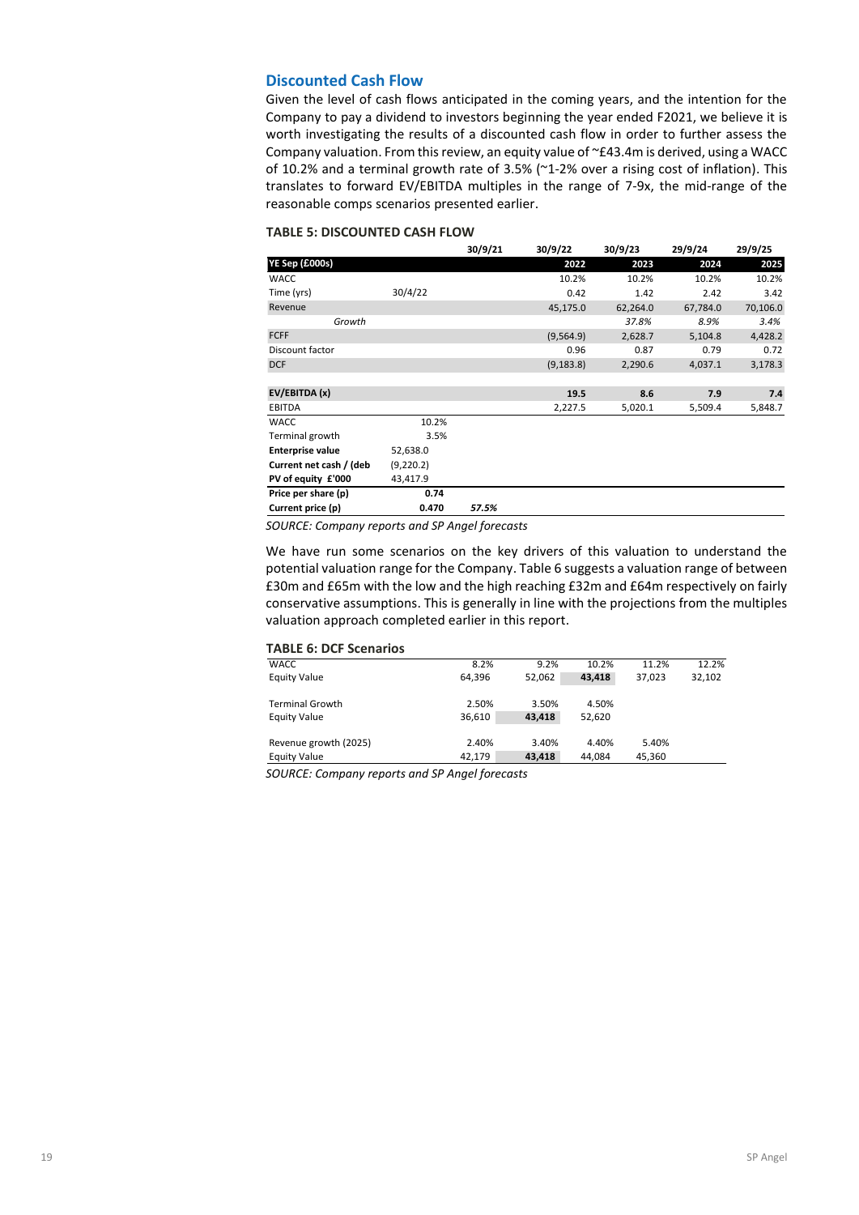#### **Discounted Cash Flow**

Given the level of cash flows anticipated in the coming years, and the intention for the Company to pay a dividend to investors beginning the year ended F2021, we believe it is worth investigating the results of a discounted cash flow in order to further assess the Company valuation. From this review, an equity value of ~£43.4m is derived, using a WACC of 10.2% and a terminal growth rate of 3.5% (~1-2% over a rising cost of inflation). This translates to forward EV/EBITDA multiples in the range of 7-9x, the mid-range of the reasonable comps scenarios presented earlier.

#### **TABLE 5: DISCOUNTED CASH FLOW**

|                         |            | 30/9/21 | 30/9/22    | 30/9/23  | 29/9/24  | 29/9/25  |
|-------------------------|------------|---------|------------|----------|----------|----------|
| YE Sep (£000s)          |            |         | 2022       | 2023     | 2024     | 2025     |
| WACC                    |            |         | 10.2%      | 10.2%    | 10.2%    | 10.2%    |
| Time (yrs)              | 30/4/22    |         | 0.42       | 1.42     | 2.42     | 3.42     |
| Revenue                 |            |         | 45,175.0   | 62,264.0 | 67,784.0 | 70,106.0 |
| Growth                  |            |         |            | 37.8%    | 8.9%     | 3.4%     |
| <b>FCFF</b>             |            |         | (9,564.9)  | 2,628.7  | 5,104.8  | 4,428.2  |
| Discount factor         |            |         | 0.96       | 0.87     | 0.79     | 0.72     |
| <b>DCF</b>              |            |         | (9, 183.8) | 2,290.6  | 4,037.1  | 3,178.3  |
|                         |            |         |            |          |          |          |
| EV/EBITDA (x)           |            |         | 19.5       | 8.6      | 7.9      | 7.4      |
| EBITDA                  |            |         | 2,227.5    | 5,020.1  | 5,509.4  | 5,848.7  |
| <b>WACC</b>             | 10.2%      |         |            |          |          |          |
| Terminal growth         | 3.5%       |         |            |          |          |          |
| <b>Enterprise value</b> | 52,638.0   |         |            |          |          |          |
| Current net cash / (deb | (9, 220.2) |         |            |          |          |          |
| PV of equity £'000      | 43,417.9   |         |            |          |          |          |
| Price per share (p)     | 0.74       |         |            |          |          |          |
| Current price (p)       | 0.470      | 57.5%   |            |          |          |          |

*SOURCE: Company reports and SP Angel forecasts*

We have run some scenarios on the key drivers of this valuation to understand the potential valuation range for the Company. Table 6 suggests a valuation range of between £30m and £65m with the low and the high reaching £32m and £64m respectively on fairly conservative assumptions. This is generally in line with the projections from the multiples valuation approach completed earlier in this report.

#### **TABLE 6: DCF Scenarios**

| <b>WACC</b>            | 8.2%   | 9.2%   | 10.2%  | 11.2%  | 12.2%  |
|------------------------|--------|--------|--------|--------|--------|
| <b>Equity Value</b>    | 64,396 | 52,062 | 43,418 | 37.023 | 32,102 |
|                        |        |        |        |        |        |
| <b>Terminal Growth</b> | 2.50%  | 3.50%  | 4.50%  |        |        |
| <b>Equity Value</b>    | 36,610 | 43,418 | 52,620 |        |        |
|                        |        |        |        |        |        |
| Revenue growth (2025)  | 2.40%  | 3.40%  | 4.40%  | 5.40%  |        |
| <b>Equity Value</b>    | 42.179 | 43.418 | 44.084 | 45.360 |        |
|                        |        |        |        |        |        |

*SOURCE: Company reports and SP Angel forecasts*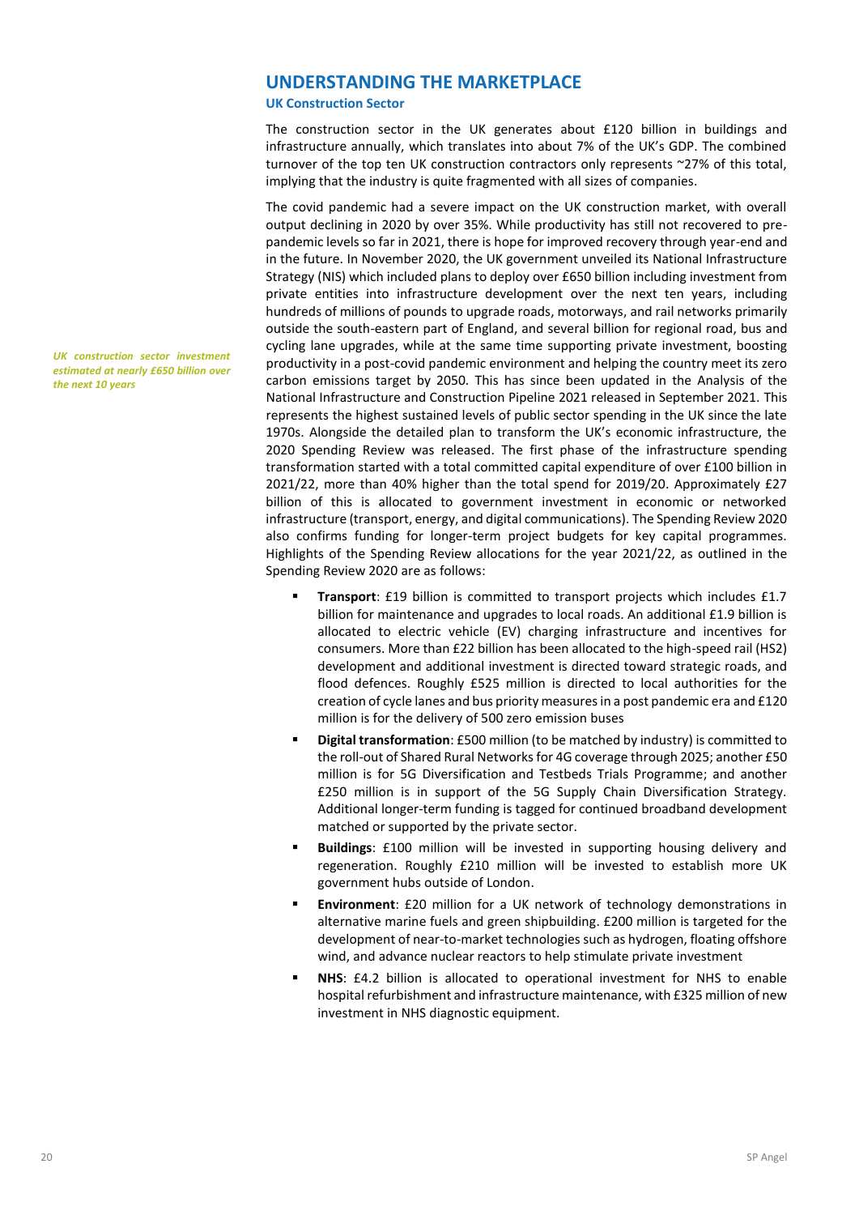# **UNDERSTANDING THE MARKETPLACE**

**UK Construction Sector**

The construction sector in the UK generates about £120 billion in buildings and infrastructure annually, which translates into about 7% of the UK's GDP. The combined turnover of the top ten UK construction contractors only represents ~27% of this total, implying that the industry is quite fragmented with all sizes of companies.

The covid pandemic had a severe impact on the UK construction market, with overall output declining in 2020 by over 35%. While productivity has still not recovered to prepandemic levels so far in 2021, there is hope for improved recovery through year-end and in the future. In November 2020, the UK government unveiled its National Infrastructure Strategy (NIS) which included plans to deploy over £650 billion including investment from private entities into infrastructure development over the next ten years, including hundreds of millions of pounds to upgrade roads, motorways, and rail networks primarily outside the south-eastern part of England, and several billion for regional road, bus and cycling lane upgrades, while at the same time supporting private investment, boosting productivity in a post-covid pandemic environment and helping the country meet its zero carbon emissions target by 2050. This has since been updated in the Analysis of the National Infrastructure and Construction Pipeline 2021 released in September 2021. This represents the highest sustained levels of public sector spending in the UK since the late 1970s. Alongside the detailed plan to transform the UK's economic infrastructure, the 2020 Spending Review was released. The first phase of the infrastructure spending transformation started with a total committed capital expenditure of over £100 billion in 2021/22, more than 40% higher than the total spend for 2019/20. Approximately £27 billion of this is allocated to government investment in economic or networked infrastructure (transport, energy, and digital communications). The Spending Review 2020 also confirms funding for longer-term project budgets for key capital programmes. Highlights of the Spending Review allocations for the year 2021/22, as outlined in the Spending Review 2020 are as follows:

- **Transport:** £19 billion is committed to transport projects which includes £1.7 billion for maintenance and upgrades to local roads. An additional £1.9 billion is allocated to electric vehicle (EV) charging infrastructure and incentives for consumers. More than £22 billion has been allocated to the high-speed rail (HS2) development and additional investment is directed toward strategic roads, and flood defences. Roughly £525 million is directed to local authorities for the creation of cycle lanes and bus priority measures in a post pandemic era and £120 million is for the delivery of 500 zero emission buses
- **Digital transformation**: £500 million (to be matched by industry) is committed to the roll-out of Shared Rural Networks for 4G coverage through 2025; another £50 million is for 5G Diversification and Testbeds Trials Programme; and another £250 million is in support of the 5G Supply Chain Diversification Strategy. Additional longer-term funding is tagged for continued broadband development matched or supported by the private sector.
- **Buildings**: £100 million will be invested in supporting housing delivery and regeneration. Roughly £210 million will be invested to establish more UK government hubs outside of London.
- **Environment:** £20 million for a UK network of technology demonstrations in alternative marine fuels and green shipbuilding. £200 million is targeted for the development of near-to-market technologies such as hydrogen, floating offshore wind, and advance nuclear reactors to help stimulate private investment
- **NHS**: £4.2 billion is allocated to operational investment for NHS to enable hospital refurbishment and infrastructure maintenance, with £325 million of new investment in NHS diagnostic equipment.

*UK construction sector investment estimated at nearly £650 billion over the next 10 years*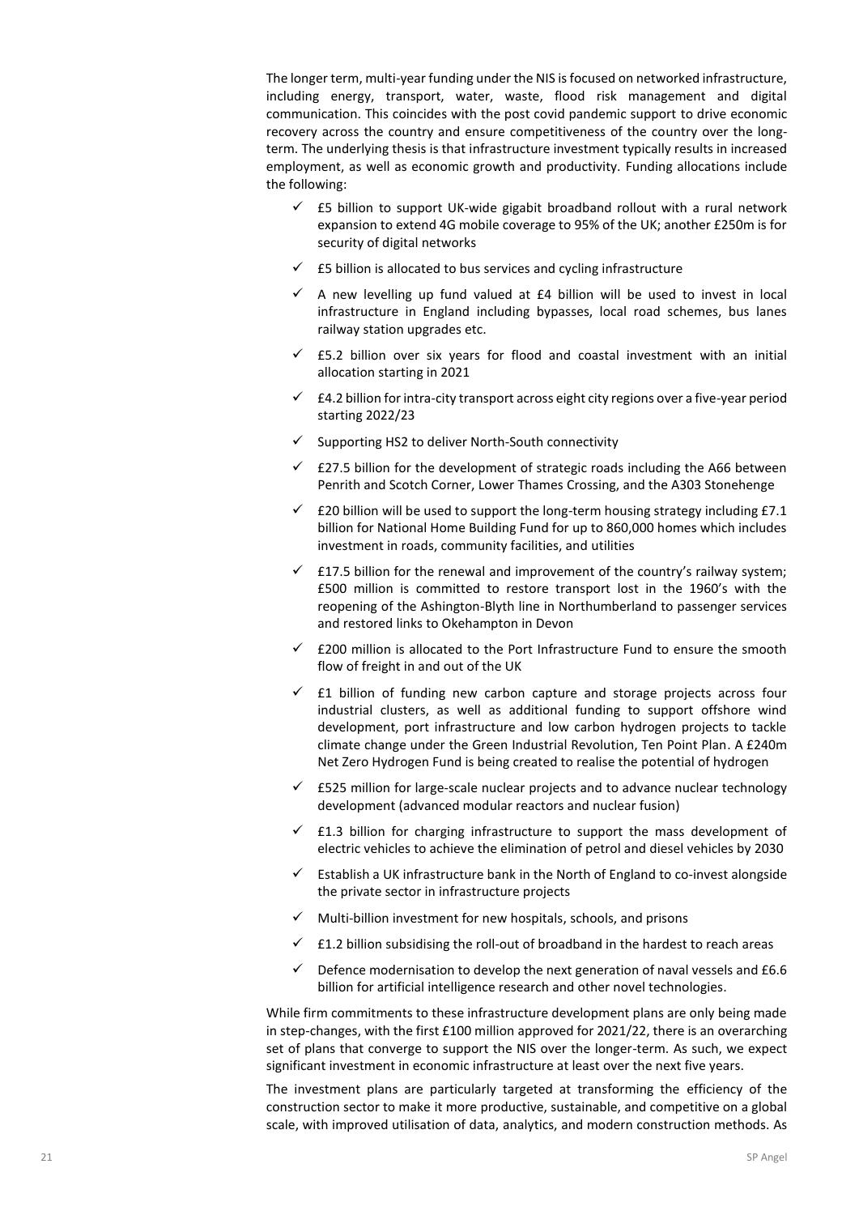The longer term, multi-year funding under the NIS is focused on networked infrastructure, including energy, transport, water, waste, flood risk management and digital communication. This coincides with the post covid pandemic support to drive economic recovery across the country and ensure competitiveness of the country over the longterm. The underlying thesis is that infrastructure investment typically results in increased employment, as well as economic growth and productivity. Funding allocations include the following:

- $\checkmark$  £5 billion to support UK-wide gigabit broadband rollout with a rural network expansion to extend 4G mobile coverage to 95% of the UK; another £250m is for security of digital networks
- $\checkmark$  £5 billion is allocated to bus services and cycling infrastructure
- $\checkmark$  A new levelling up fund valued at £4 billion will be used to invest in local infrastructure in England including bypasses, local road schemes, bus lanes railway station upgrades etc.
- $\checkmark$  £5.2 billion over six years for flood and coastal investment with an initial allocation starting in 2021
- $\checkmark$  £4.2 billion for intra-city transport across eight city regions over a five-year period starting 2022/23
- ✓ Supporting HS2 to deliver North-South connectivity
- $\checkmark$  £27.5 billion for the development of strategic roads including the A66 between Penrith and Scotch Corner, Lower Thames Crossing, and the A303 Stonehenge
- ✓ £20 billion will be used to support the long-term housing strategy including £7.1 billion for National Home Building Fund for up to 860,000 homes which includes investment in roads, community facilities, and utilities
- $\checkmark$  £17.5 billion for the renewal and improvement of the country's railway system; £500 million is committed to restore transport lost in the 1960's with the reopening of the Ashington-Blyth line in Northumberland to passenger services and restored links to Okehampton in Devon
- $\checkmark$  £200 million is allocated to the Port Infrastructure Fund to ensure the smooth flow of freight in and out of the UK
- $\checkmark$  £1 billion of funding new carbon capture and storage projects across four industrial clusters, as well as additional funding to support offshore wind development, port infrastructure and low carbon hydrogen projects to tackle climate change under the Green Industrial Revolution, Ten Point Plan. A £240m Net Zero Hydrogen Fund is being created to realise the potential of hydrogen
- $\checkmark$  £525 million for large-scale nuclear projects and to advance nuclear technology development (advanced modular reactors and nuclear fusion)
- ✓ £1.3 billion for charging infrastructure to support the mass development of electric vehicles to achieve the elimination of petrol and diesel vehicles by 2030
- Establish a UK infrastructure bank in the North of England to co-invest alongside the private sector in infrastructure projects
- $\checkmark$  Multi-billion investment for new hospitals, schools, and prisons
- £1.2 billion subsidising the roll-out of broadband in the hardest to reach areas
- $\checkmark$  Defence modernisation to develop the next generation of naval vessels and £6.6 billion for artificial intelligence research and other novel technologies.

While firm commitments to these infrastructure development plans are only being made in step-changes, with the first £100 million approved for 2021/22, there is an overarching set of plans that converge to support the NIS over the longer-term. As such, we expect significant investment in economic infrastructure at least over the next five years.

The investment plans are particularly targeted at transforming the efficiency of the construction sector to make it more productive, sustainable, and competitive on a global scale, with improved utilisation of data, analytics, and modern construction methods. As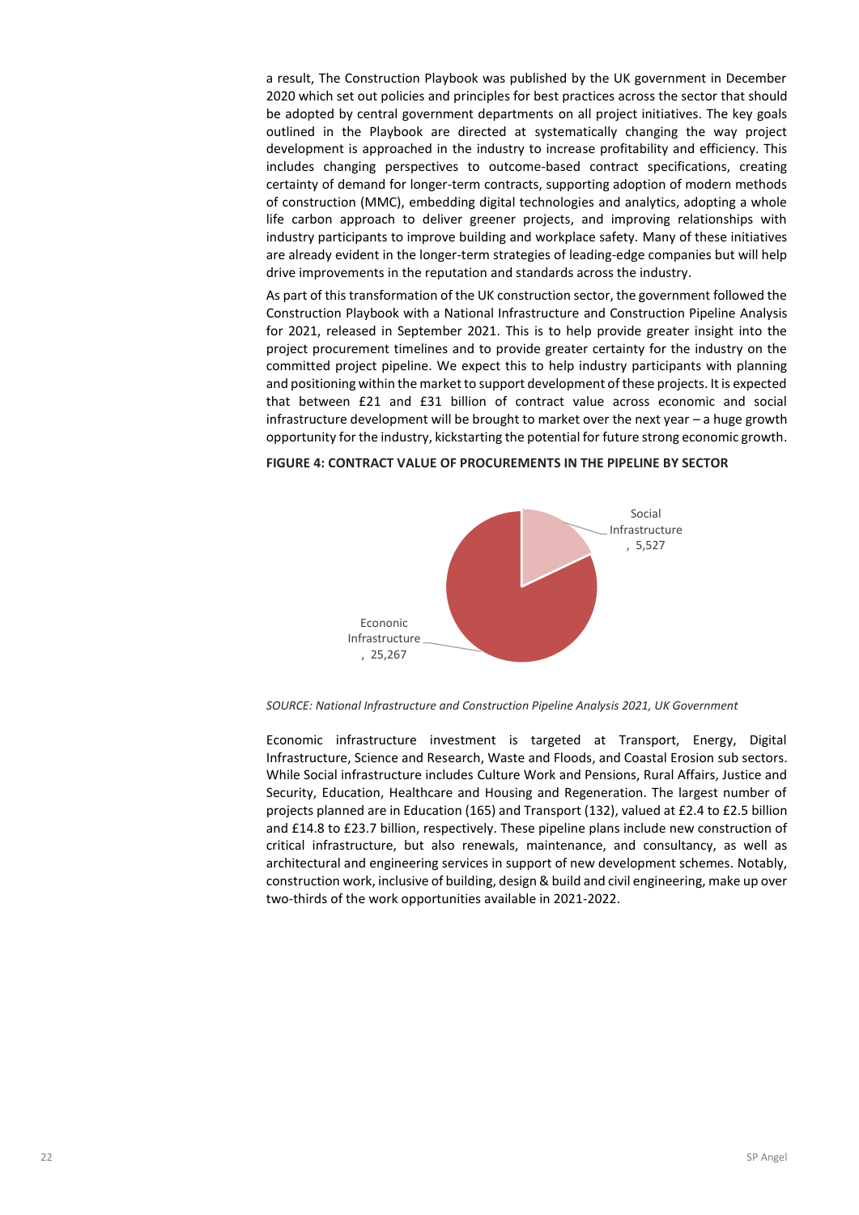a result, The Construction Playbook was published by the UK government in December 2020 which set out policies and principles for best practices across the sector that should be adopted by central government departments on all project initiatives. The key goals outlined in the Playbook are directed at systematically changing the way project development is approached in the industry to increase profitability and efficiency. This includes changing perspectives to outcome-based contract specifications, creating certainty of demand for longer-term contracts, supporting adoption of modern methods of construction (MMC), embedding digital technologies and analytics, adopting a whole life carbon approach to deliver greener projects, and improving relationships with industry participants to improve building and workplace safety. Many of these initiatives are already evident in the longer-term strategies of leading-edge companies but will help drive improvements in the reputation and standards across the industry.

As part of this transformation of the UK construction sector, the government followed the Construction Playbook with a National Infrastructure and Construction Pipeline Analysis for 2021, released in September 2021. This is to help provide greater insight into the project procurement timelines and to provide greater certainty for the industry on the committed project pipeline. We expect this to help industry participants with planning and positioning within the market to support development of these projects. It is expected that between £21 and £31 billion of contract value across economic and social infrastructure development will be brought to market over the next year – a huge growth opportunity for the industry, kickstarting the potential for future strong economic growth.

# Social Infrastructure , 5,527 Econonic Infrastructure , 25,267

#### **FIGURE 4: CONTRACT VALUE OF PROCUREMENTS IN THE PIPELINE BY SECTOR**

*SOURCE: National Infrastructure and Construction Pipeline Analysis 2021, UK Government*

Economic infrastructure investment is targeted at Transport, Energy, Digital Infrastructure, Science and Research, Waste and Floods, and Coastal Erosion sub sectors. While Social infrastructure includes Culture Work and Pensions, Rural Affairs, Justice and Security, Education, Healthcare and Housing and Regeneration. The largest number of projects planned are in Education (165) and Transport (132), valued at £2.4 to £2.5 billion and £14.8 to £23.7 billion, respectively. These pipeline plans include new construction of critical infrastructure, but also renewals, maintenance, and consultancy, as well as architectural and engineering services in support of new development schemes. Notably, construction work, inclusive of building, design & build and civil engineering, make up over two-thirds of the work opportunities available in 2021-2022.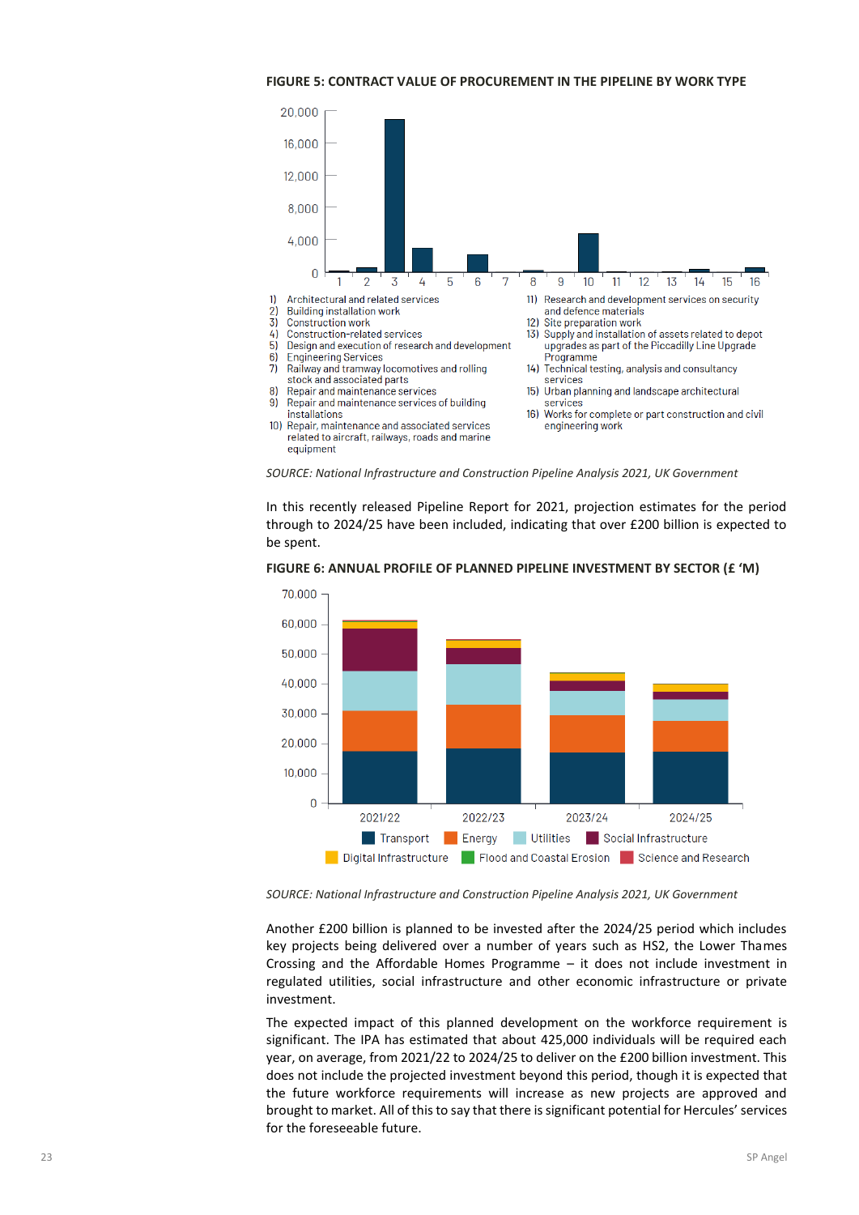#### **FIGURE 5: CONTRACT VALUE OF PROCUREMENT IN THE PIPELINE BY WORK TYPE**



*SOURCE: National Infrastructure and Construction Pipeline Analysis 2021, UK Government*

In this recently released Pipeline Report for 2021, projection estimates for the period through to 2024/25 have been included, indicating that over £200 billion is expected to be spent.



**FIGURE 6: ANNUAL PROFILE OF PLANNED PIPELINE INVESTMENT BY SECTOR (£ 'M)**

*SOURCE: National Infrastructure and Construction Pipeline Analysis 2021, UK Government*

Another £200 billion is planned to be invested after the 2024/25 period which includes key projects being delivered over a number of years such as HS2, the Lower Thames Crossing and the Affordable Homes Programme – it does not include investment in regulated utilities, social infrastructure and other economic infrastructure or private investment.

The expected impact of this planned development on the workforce requirement is significant. The IPA has estimated that about 425,000 individuals will be required each year, on average, from 2021/22 to 2024/25 to deliver on the £200 billion investment. This does not include the projected investment beyond this period, though it is expected that the future workforce requirements will increase as new projects are approved and brought to market. All of this to say that there is significant potential for Hercules' services for the foreseeable future.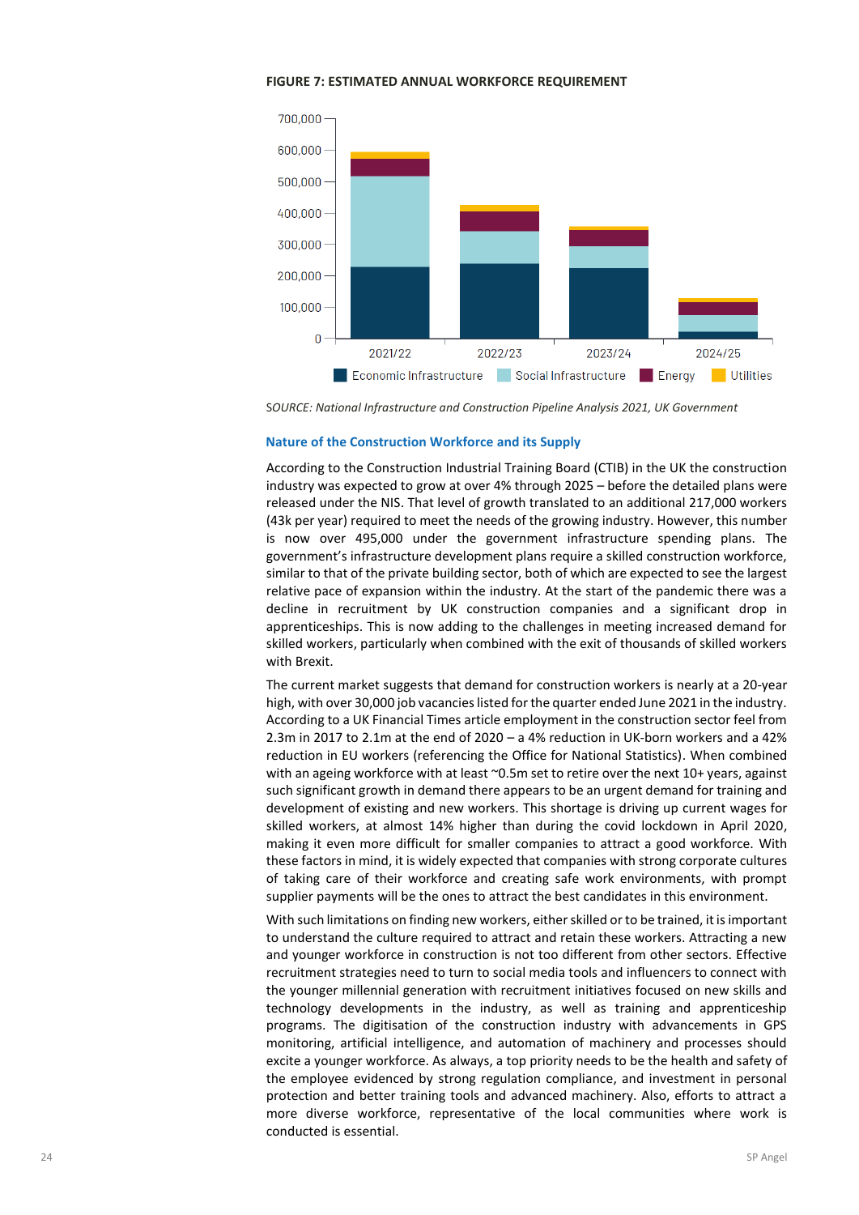



S*OURCE: National Infrastructure and Construction Pipeline Analysis 2021, UK Government*

#### **Nature of the Construction Workforce and its Supply**

According to the Construction Industrial Training Board (CTIB) in the UK the construction industry was expected to grow at over 4% through 2025 – before the detailed plans were released under the NIS. That level of growth translated to an additional 217,000 workers (43k per year) required to meet the needs of the growing industry. However, this number is now over 495,000 under the government infrastructure spending plans. The government's infrastructure development plans require a skilled construction workforce, similar to that of the private building sector, both of which are expected to see the largest relative pace of expansion within the industry. At the start of the pandemic there was a decline in recruitment by UK construction companies and a significant drop in apprenticeships. This is now adding to the challenges in meeting increased demand for skilled workers, particularly when combined with the exit of thousands of skilled workers with Brexit.

The current market suggests that demand for construction workers is nearly at a 20-year high, with over 30,000 job vacancies listed for the quarter ended June 2021 in the industry. According to a UK Financial Times article employment in the construction sector feel from 2.3m in 2017 to 2.1m at the end of 2020 – a 4% reduction in UK-born workers and a 42% reduction in EU workers (referencing the Office for National Statistics). When combined with an ageing workforce with at least ~0.5m set to retire over the next 10+ years, against such significant growth in demand there appears to be an urgent demand for training and development of existing and new workers. This shortage is driving up current wages for skilled workers, at almost 14% higher than during the covid lockdown in April 2020, making it even more difficult for smaller companies to attract a good workforce. With these factors in mind, it is widely expected that companies with strong corporate cultures of taking care of their workforce and creating safe work environments, with prompt supplier payments will be the ones to attract the best candidates in this environment.

With such limitations on finding new workers, either skilled or to be trained, it is important to understand the culture required to attract and retain these workers. Attracting a new and younger workforce in construction is not too different from other sectors. Effective recruitment strategies need to turn to social media tools and influencers to connect with the younger millennial generation with recruitment initiatives focused on new skills and technology developments in the industry, as well as training and apprenticeship programs. The digitisation of the construction industry with advancements in GPS monitoring, artificial intelligence, and automation of machinery and processes should excite a younger workforce. As always, a top priority needs to be the health and safety of the employee evidenced by strong regulation compliance, and investment in personal protection and better training tools and advanced machinery. Also, efforts to attract a more diverse workforce, representative of the local communities where work is conducted is essential.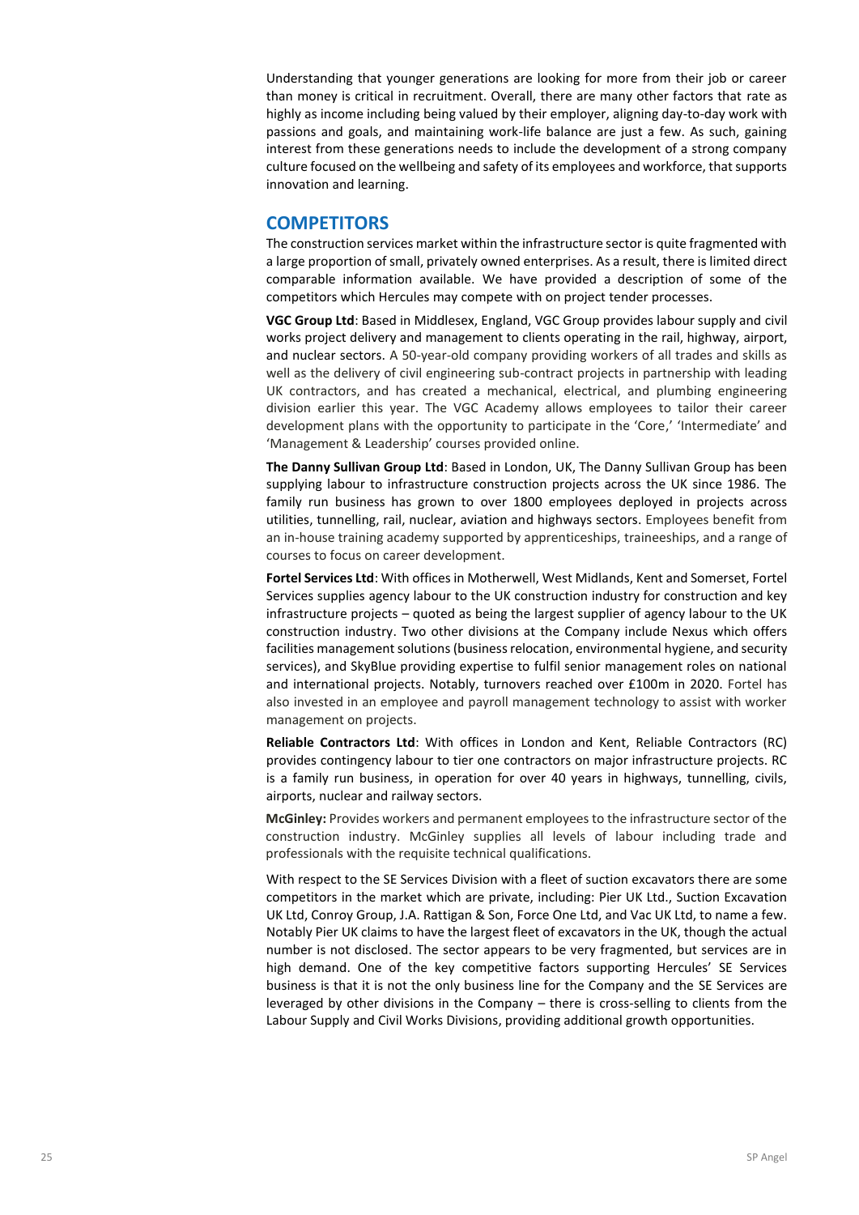Understanding that younger generations are looking for more from their job or career than money is critical in recruitment. Overall, there are many other factors that rate as highly as income including being valued by their employer, aligning day-to-day work with passions and goals, and maintaining work-life balance are just a few. As such, gaining interest from these generations needs to include the development of a strong company culture focused on the wellbeing and safety of its employees and workforce, that supports innovation and learning.

## **COMPETITORS**

The construction services market within the infrastructure sector is quite fragmented with a large proportion of small, privately owned enterprises. As a result, there is limited direct comparable information available. We have provided a description of some of the competitors which Hercules may compete with on project tender processes.

**VGC Group Ltd**: Based in Middlesex, England, VGC Group provides labour supply and civil works project delivery and management to clients operating in the rail, highway, airport, and nuclear sectors. A 50-year-old company providing workers of all trades and skills as well as the delivery of civil engineering sub-contract projects in partnership with leading UK contractors, and has created a mechanical, electrical, and plumbing engineering division earlier this year. The VGC Academy allows employees to tailor their career development plans with the opportunity to participate in the 'Core,' 'Intermediate' and 'Management & Leadership' courses provided online.

**The Danny Sullivan Group Ltd**: Based in London, UK, The Danny Sullivan Group has been supplying labour to infrastructure construction projects across the UK since 1986. The family run business has grown to over 1800 employees deployed in projects across utilities, tunnelling, rail, nuclear, aviation and highways sectors. Employees benefit from an in-house training academy supported by apprenticeships, traineeships, and a range of courses to focus on career development.

**Fortel Services Ltd**: With offices in Motherwell, West Midlands, Kent and Somerset, Fortel Services supplies agency labour to the UK construction industry for construction and key infrastructure projects – quoted as being the largest supplier of agency labour to the UK construction industry. Two other divisions at the Company include Nexus which offers facilities management solutions (business relocation, environmental hygiene, and security services), and SkyBlue providing expertise to fulfil senior management roles on national and international projects. Notably, turnovers reached over £100m in 2020. Fortel has also invested in an employee and payroll management technology to assist with worker management on projects.

**Reliable Contractors Ltd**: With offices in London and Kent, Reliable Contractors (RC) provides contingency labour to tier one contractors on major infrastructure projects. RC is a family run business, in operation for over 40 years in highways, tunnelling, civils, airports, nuclear and railway sectors.

**McGinley:** Provides workers and permanent employees to the infrastructure sector of the construction industry. McGinley supplies all levels of labour including trade and professionals with the requisite technical qualifications.

With respect to the SE Services Division with a fleet of suction excavators there are some competitors in the market which are private, including: Pier UK Ltd., Suction Excavation UK Ltd, Conroy Group, J.A. Rattigan & Son, Force One Ltd, and Vac UK Ltd, to name a few. Notably Pier UK claims to have the largest fleet of excavators in the UK, though the actual number is not disclosed. The sector appears to be very fragmented, but services are in high demand. One of the key competitive factors supporting Hercules' SE Services business is that it is not the only business line for the Company and the SE Services are leveraged by other divisions in the Company – there is cross-selling to clients from the Labour Supply and Civil Works Divisions, providing additional growth opportunities.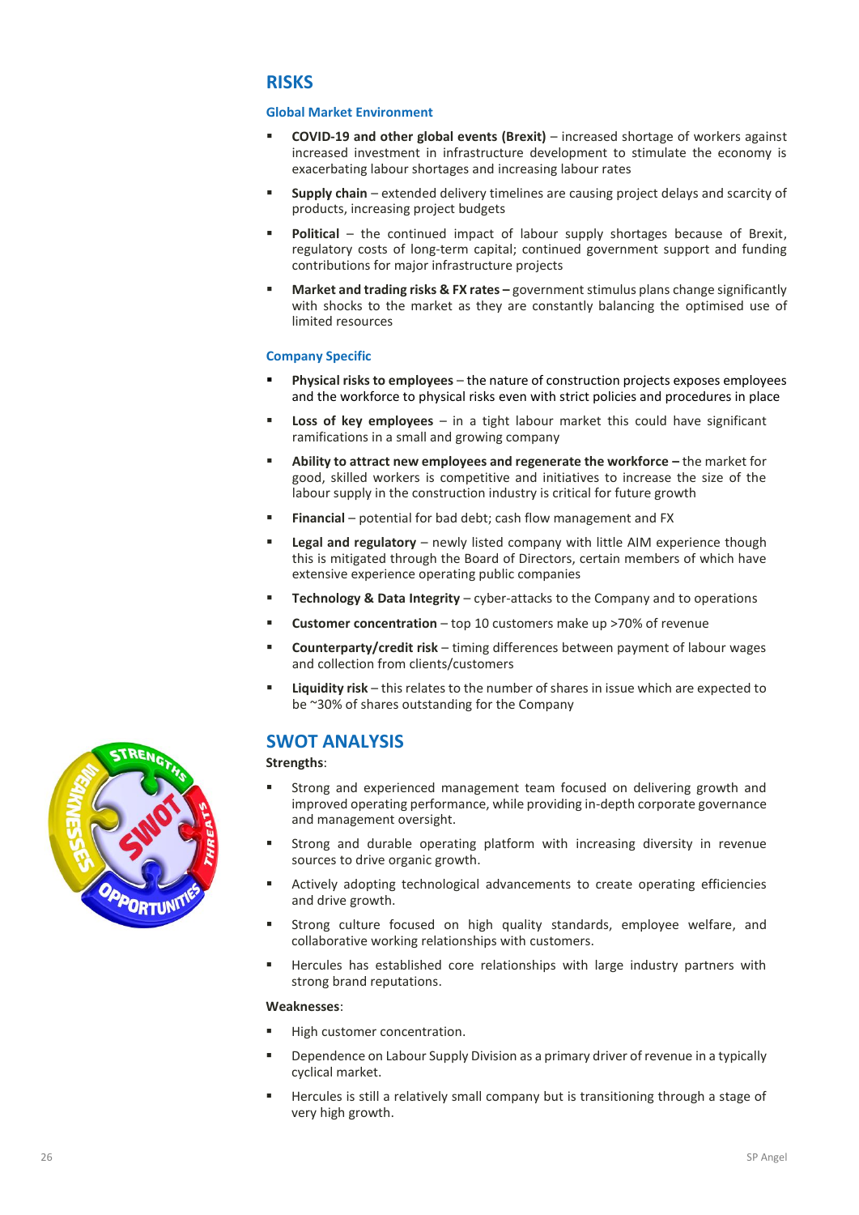# **RISKS**

#### **Global Market Environment**

- **COVID-19 and other global events (Brexit)**  increased shortage of workers against increased investment in infrastructure development to stimulate the economy is exacerbating labour shortages and increasing labour rates
- **EXECTE:** Supply chain extended delivery timelines are causing project delays and scarcity of products, increasing project budgets
- **Political** the continued impact of labour supply shortages because of Brexit, regulatory costs of long-term capital; continued government support and funding contributions for major infrastructure projects
- **Market and trading risks & FX rates –** government stimulus plans change significantly with shocks to the market as they are constantly balancing the optimised use of limited resources

#### **Company Specific**

- **Physical risks to employees** the nature of construction projects exposes employees and the workforce to physical risks even with strict policies and procedures in place
- **Loss of key employees** in a tight labour market this could have significant ramifications in a small and growing company
- **Ability to attract new employees and regenerate the workforce –** the market for good, skilled workers is competitive and initiatives to increase the size of the labour supply in the construction industry is critical for future growth
- **Financial** potential for bad debt; cash flow management and FX
- **Legal and regulatory** newly listed company with little AIM experience though this is mitigated through the Board of Directors, certain members of which have extensive experience operating public companies
- **EXECOMMOLOGY & Data Integrity** cyber-attacks to the Company and to operations
- **Customer concentration** top 10 customers make up >70% of revenue
- **Counterparty/credit risk** timing differences between payment of labour wages and collection from clients/customers
- **Liquidity risk** this relates to the number of shares in issue which are expected to be ~30% of shares outstanding for the Company

# **SWOT ANALYSIS**

**Strengths**:

- Strong and experienced management team focused on delivering growth and improved operating performance, while providing in-depth corporate governance and management oversight.
- **EXT** Strong and durable operating platform with increasing diversity in revenue sources to drive organic growth.
- Actively adopting technological advancements to create operating efficiencies and drive growth.
- **EXECT** Strong culture focused on high quality standards, employee welfare, and collaborative working relationships with customers.
- **E** Hercules has established core relationships with large industry partners with strong brand reputations.

#### **Weaknesses**:

- **■** High customer concentration.
- **E** Dependence on Labour Supply Division as a primary driver of revenue in a typically cyclical market.
- **EXED** Hercules is still a relatively small company but is transitioning through a stage of very high growth.

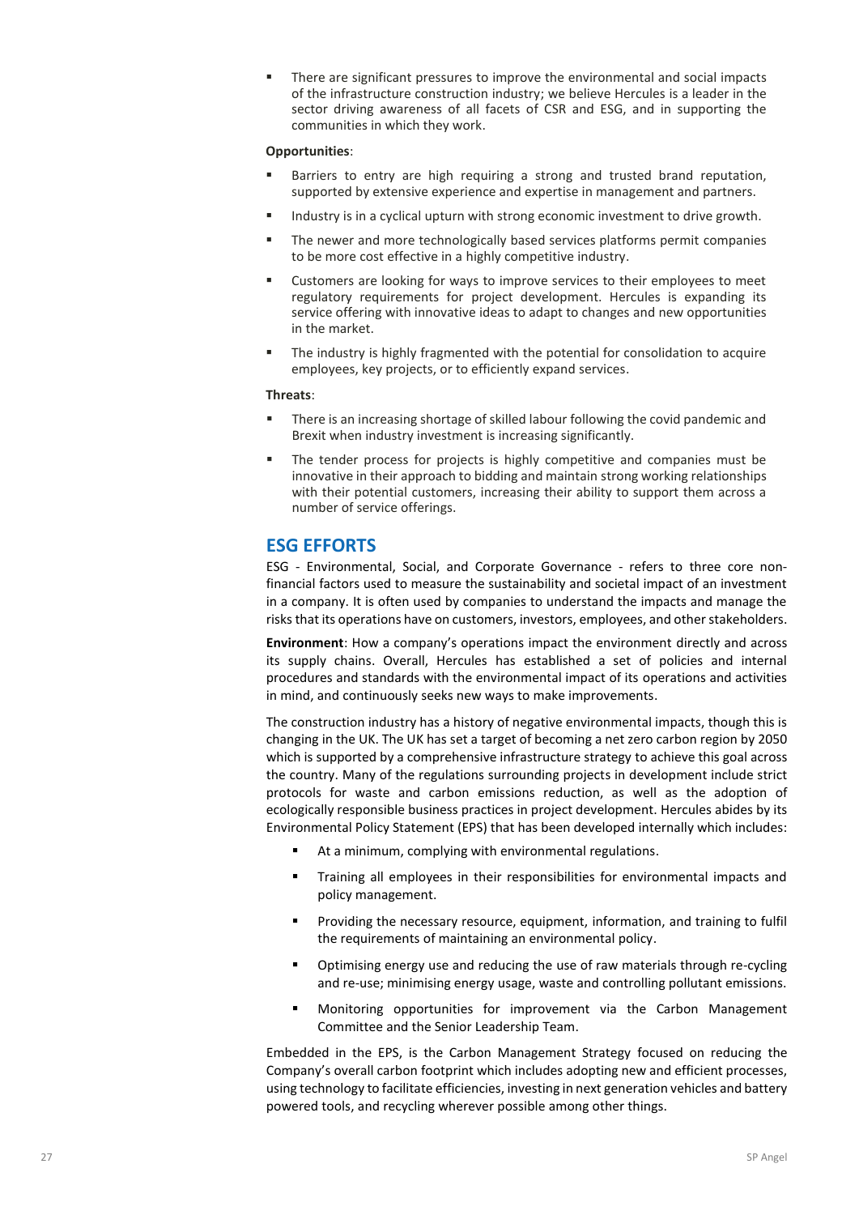There are significant pressures to improve the environmental and social impacts of the infrastructure construction industry; we believe Hercules is a leader in the sector driving awareness of all facets of CSR and ESG, and in supporting the communities in which they work.

#### **Opportunities**:

- Barriers to entry are high requiring a strong and trusted brand reputation, supported by extensive experience and expertise in management and partners.
- Industry is in a cyclical upturn with strong economic investment to drive growth.
- The newer and more technologically based services platforms permit companies to be more cost effective in a highly competitive industry.
- Customers are looking for ways to improve services to their employees to meet regulatory requirements for project development. Hercules is expanding its service offering with innovative ideas to adapt to changes and new opportunities in the market.
- The industry is highly fragmented with the potential for consolidation to acquire employees, key projects, or to efficiently expand services.

#### **Threats**:

- There is an increasing shortage of skilled labour following the covid pandemic and Brexit when industry investment is increasing significantly.
- **•** The tender process for projects is highly competitive and companies must be innovative in their approach to bidding and maintain strong working relationships with their potential customers, increasing their ability to support them across a number of service offerings.

# **ESG EFFORTS**

ESG - Environmental, Social, and Corporate Governance - refers to three core nonfinancial factors used to measure the sustainability and societal impact of an investment in a company. It is often used by companies to understand the impacts and manage the risks that its operations have on customers, investors, employees, and other stakeholders.

**Environment**: How a company's operations impact the environment directly and across its supply chains. Overall, Hercules has established a set of policies and internal procedures and standards with the environmental impact of its operations and activities in mind, and continuously seeks new ways to make improvements.

The construction industry has a history of negative environmental impacts, though this is changing in the UK. The UK has set a target of becoming a net zero carbon region by 2050 which is supported by a comprehensive infrastructure strategy to achieve this goal across the country. Many of the regulations surrounding projects in development include strict protocols for waste and carbon emissions reduction, as well as the adoption of ecologically responsible business practices in project development. Hercules abides by its Environmental Policy Statement (EPS) that has been developed internally which includes:

- At a minimum, complying with environmental regulations.
- Training all employees in their responsibilities for environmental impacts and policy management.
- **•** Providing the necessary resource, equipment, information, and training to fulfil the requirements of maintaining an environmental policy.
- Optimising energy use and reducing the use of raw materials through re-cycling and re-use; minimising energy usage, waste and controlling pollutant emissions.
- **■** Monitoring opportunities for improvement via the Carbon Management Committee and the Senior Leadership Team.

Embedded in the EPS, is the Carbon Management Strategy focused on reducing the Company's overall carbon footprint which includes adopting new and efficient processes, using technology to facilitate efficiencies, investing in next generation vehicles and battery powered tools, and recycling wherever possible among other things.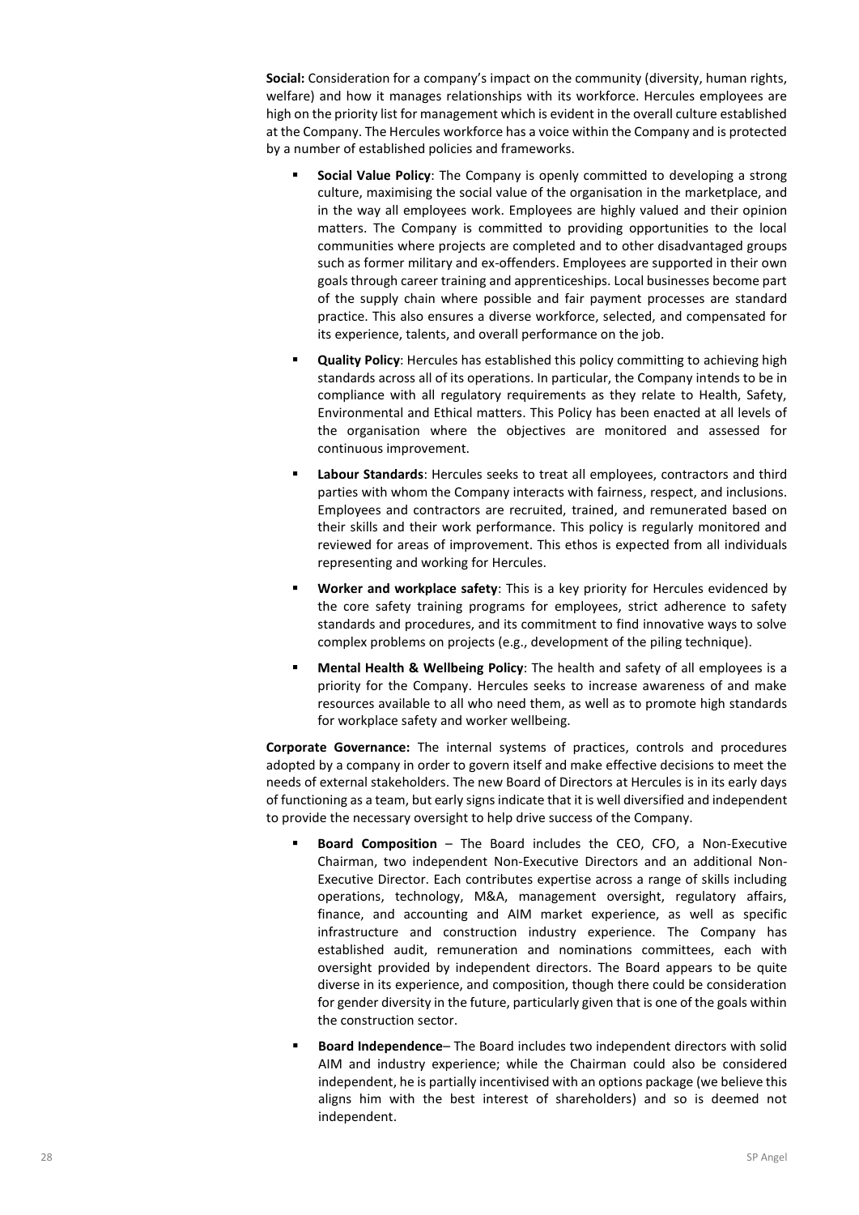**Social:** Consideration for a company's impact on the community (diversity, human rights, welfare) and how it manages relationships with its workforce. Hercules employees are high on the priority list for management which is evident in the overall culture established at the Company. The Hercules workforce has a voice within the Company and is protected by a number of established policies and frameworks.

- **Social Value Policy**: The Company is openly committed to developing a strong culture, maximising the social value of the organisation in the marketplace, and in the way all employees work. Employees are highly valued and their opinion matters. The Company is committed to providing opportunities to the local communities where projects are completed and to other disadvantaged groups such as former military and ex-offenders. Employees are supported in their own goals through career training and apprenticeships. Local businesses become part of the supply chain where possible and fair payment processes are standard practice. This also ensures a diverse workforce, selected, and compensated for its experience, talents, and overall performance on the job.
- **Quality Policy**: Hercules has established this policy committing to achieving high standards across all of its operations. In particular, the Company intends to be in compliance with all regulatory requirements as they relate to Health, Safety, Environmental and Ethical matters. This Policy has been enacted at all levels of the organisation where the objectives are monitored and assessed for continuous improvement.
- Labour Standards: Hercules seeks to treat all employees, contractors and third parties with whom the Company interacts with fairness, respect, and inclusions. Employees and contractors are recruited, trained, and remunerated based on their skills and their work performance. This policy is regularly monitored and reviewed for areas of improvement. This ethos is expected from all individuals representing and working for Hercules.
- **Worker and workplace safety**: This is a key priority for Hercules evidenced by the core safety training programs for employees, strict adherence to safety standards and procedures, and its commitment to find innovative ways to solve complex problems on projects (e.g., development of the piling technique).
- **Mental Health & Wellbeing Policy**: The health and safety of all employees is a priority for the Company. Hercules seeks to increase awareness of and make resources available to all who need them, as well as to promote high standards for workplace safety and worker wellbeing.

**Corporate Governance:** The internal systems of practices, controls and procedures adopted by a company in order to govern itself and make effective decisions to meet the needs of external stakeholders. The new Board of Directors at Hercules is in its early days of functioning as a team, but early signs indicate that it is well diversified and independent to provide the necessary oversight to help drive success of the Company.

- **Board Composition** The Board includes the CEO, CFO, a Non-Executive Chairman, two independent Non-Executive Directors and an additional Non-Executive Director. Each contributes expertise across a range of skills including operations, technology, M&A, management oversight, regulatory affairs, finance, and accounting and AIM market experience, as well as specific infrastructure and construction industry experience. The Company has established audit, remuneration and nominations committees, each with oversight provided by independent directors. The Board appears to be quite diverse in its experience, and composition, though there could be consideration for gender diversity in the future, particularly given that is one of the goals within the construction sector.
- **Board Independence** The Board includes two independent directors with solid AIM and industry experience; while the Chairman could also be considered independent, he is partially incentivised with an options package (we believe this aligns him with the best interest of shareholders) and so is deemed not independent.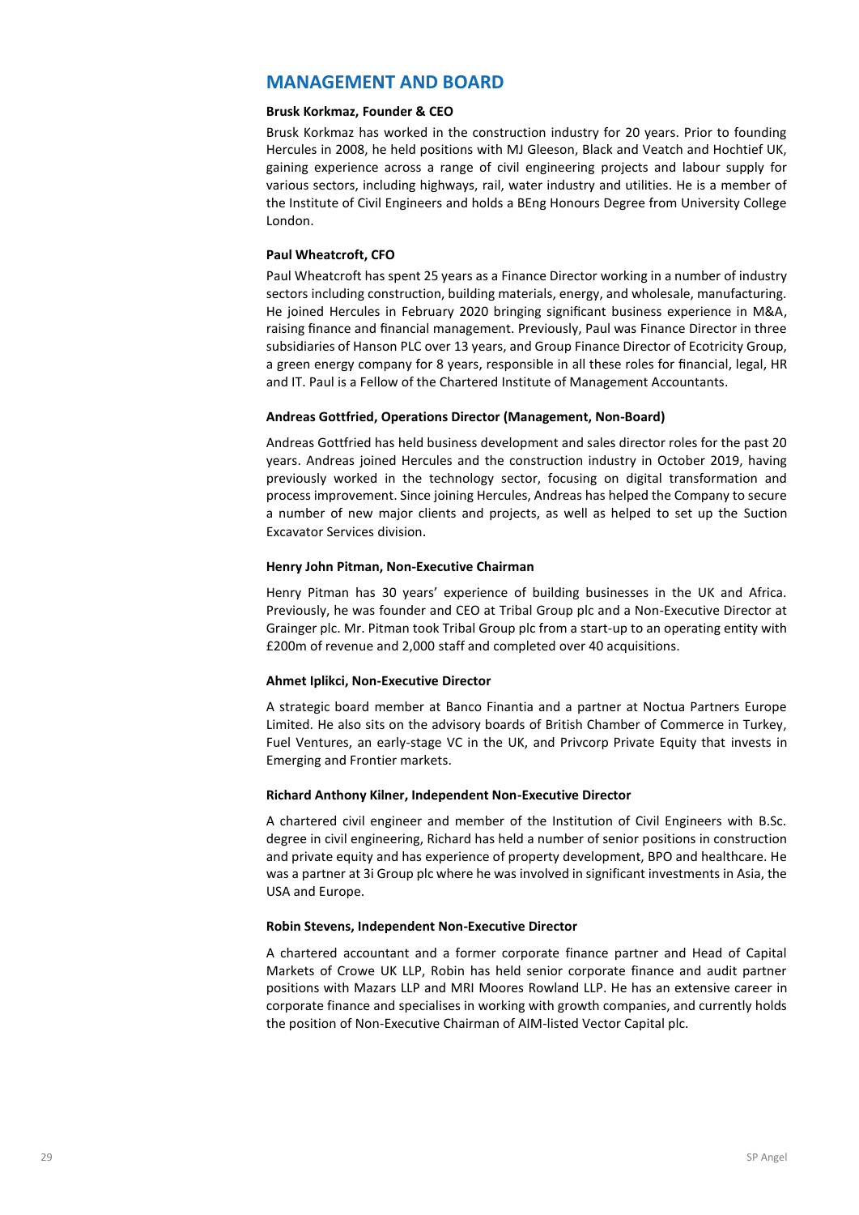# **MANAGEMENT AND BOARD**

#### **Brusk Korkmaz, Founder & CEO**

Brusk Korkmaz has worked in the construction industry for 20 years. Prior to founding Hercules in 2008, he held positions with MJ Gleeson, Black and Veatch and Hochtief UK, gaining experience across a range of civil engineering projects and labour supply for various sectors, including highways, rail, water industry and utilities. He is a member of the Institute of Civil Engineers and holds a BEng Honours Degree from University College London.

#### **Paul Wheatcroft, CFO**

Paul Wheatcroft has spent 25 years as a Finance Director working in a number of industry sectors including construction, building materials, energy, and wholesale, manufacturing. He joined Hercules in February 2020 bringing significant business experience in M&A, raising finance and financial management. Previously, Paul was Finance Director in three subsidiaries of Hanson PLC over 13 years, and Group Finance Director of Ecotricity Group, a green energy company for 8 years, responsible in all these roles for financial, legal, HR and IT. Paul is a Fellow of the Chartered Institute of Management Accountants.

#### **Andreas Gottfried, Operations Director (Management, Non-Board)**

Andreas Gottfried has held business development and sales director roles for the past 20 years. Andreas joined Hercules and the construction industry in October 2019, having previously worked in the technology sector, focusing on digital transformation and process improvement. Since joining Hercules, Andreas has helped the Company to secure a number of new major clients and projects, as well as helped to set up the Suction Excavator Services division.

#### **Henry John Pitman, Non-Executive Chairman**

Henry Pitman has 30 years' experience of building businesses in the UK and Africa. Previously, he was founder and CEO at Tribal Group plc and a Non-Executive Director at Grainger plc. Mr. Pitman took Tribal Group plc from a start-up to an operating entity with £200m of revenue and 2,000 staff and completed over 40 acquisitions.

#### **Ahmet Iplikci, Non-Executive Director**

A strategic board member at Banco Finantia and a partner at Noctua Partners Europe Limited. He also sits on the advisory boards of British Chamber of Commerce in Turkey, Fuel Ventures, an early-stage VC in the UK, and Privcorp Private Equity that invests in Emerging and Frontier markets.

#### **Richard Anthony Kilner, Independent Non-Executive Director**

A chartered civil engineer and member of the Institution of Civil Engineers with B.Sc. degree in civil engineering, Richard has held a number of senior positions in construction and private equity and has experience of property development, BPO and healthcare. He was a partner at 3i Group plc where he was involved in significant investments in Asia, the USA and Europe.

#### **Robin Stevens, Independent Non-Executive Director**

A chartered accountant and a former corporate finance partner and Head of Capital Markets of Crowe UK LLP, Robin has held senior corporate finance and audit partner positions with Mazars LLP and MRI Moores Rowland LLP. He has an extensive career in corporate finance and specialises in working with growth companies, and currently holds the position of Non-Executive Chairman of AIM-listed Vector Capital plc.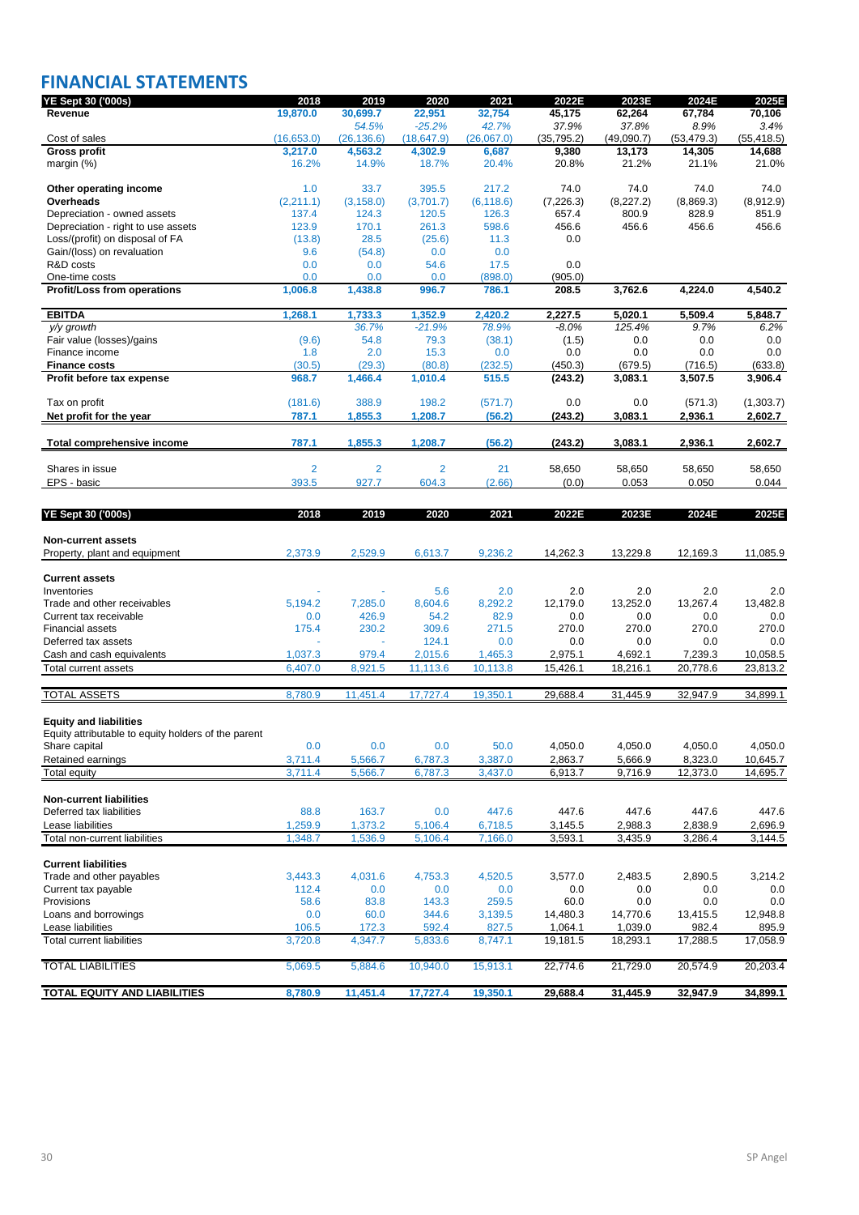# **FINANCIAL STATEMENTS**

| YE Sept 30 ('000s)                                                                   | 2018               | 2019               | 2020               | 2021               | 2022E          | 2023E          | 2024E               | 2025E                |
|--------------------------------------------------------------------------------------|--------------------|--------------------|--------------------|--------------------|----------------|----------------|---------------------|----------------------|
| Revenue                                                                              | 19,870.0           | 30,699.7           | 22,951             | 32,754             | 45,175         | 62,264         | 67,784              | 70,106               |
|                                                                                      |                    | 54.5%              | $-25.2%$           | 42.7%              | 37.9%          | 37.8%          | 8.9%                | 3.4%                 |
| Cost of sales                                                                        | (16, 653.0)        | (26, 136.6)        | (18, 647.9)        | (26,067.0)         | (35, 795.2)    | (49,090.7)     | (53, 479.3)         | (55, 418.5)          |
| <b>Gross profit</b>                                                                  | 3,217.0            | 4,563.2            | 4,302.9            | 6,687              | 9,380          | 13,173         | 14,305              | 14,688               |
| margin $(\%)$                                                                        | 16.2%              | 14.9%              | 18.7%              | 20.4%              | 20.8%          | 21.2%          | 21.1%               | 21.0%                |
| Other operating income                                                               | 1.0                | 33.7               | 395.5              | 217.2              | 74.0           | 74.0           | 74.0                | 74.0                 |
| Overheads                                                                            | (2,211.1)          | (3, 158.0)         | (3,701.7)          | (6, 118.6)         | (7, 226.3)     | (8, 227.2)     | (8,869.3)           | (8,912.9)            |
| Depreciation - owned assets                                                          | 137.4              | 124.3              | 120.5              | 126.3              | 657.4          | 800.9          | 828.9               | 851.9                |
| Depreciation - right to use assets                                                   | 123.9              | 170.1              | 261.3              | 598.6              | 456.6          | 456.6          | 456.6               | 456.6                |
| Loss/(profit) on disposal of FA                                                      | (13.8)             | 28.5               | (25.6)             | 11.3               | 0.0            |                |                     |                      |
| Gain/(loss) on revaluation                                                           | 9.6                | (54.8)             | 0.0                | 0.0                |                |                |                     |                      |
| R&D costs                                                                            | 0.0                | 0.0                | 54.6               | 17.5               | 0.0            |                |                     |                      |
| One-time costs                                                                       | 0.0                | 0.0                | 0.0                | (898.0)            | (905.0)        |                |                     |                      |
| <b>Profit/Loss from operations</b>                                                   | 1,006.8            | 1,438.8            | 996.7              | 786.1              | 208.5          | 3,762.6        | 4,224.0             | 4,540.2              |
| <b>EBITDA</b>                                                                        | 1,268.1            | 1,733.3            | 1,352.9            | 2,420.2            | 2,227.5        | 5,020.1        | 5,509.4             | 5,848.7              |
| y/y growth                                                                           |                    | 36.7%              | $-21.9%$           | 78.9%              | -8.0%          | 125.4%         | 9.7%                | 6.2%                 |
| Fair value (losses)/gains                                                            | (9.6)              | 54.8               | 79.3               | (38.1)             | (1.5)          | 0.0            | 0.0                 | 0.0                  |
| Finance income                                                                       | 1.8                | 2.0                | 15.3               | 0.0                | 0.0            | 0.0            | 0.0                 | 0.0                  |
| <b>Finance costs</b>                                                                 | (30.5)             | (29.3)             | (80.8)             | (232.5)            | (450.3)        | (679.5)        | (716.5)             | (633.8)              |
| Profit before tax expense                                                            | 968.7              | 1,466.4            | 1,010.4            | 515.5              | (243.2)        | 3,083.1        | 3,507.5             | 3,906.4              |
|                                                                                      |                    |                    |                    |                    |                |                |                     |                      |
| Tax on profit<br>Net profit for the year                                             | (181.6)<br>787.1   | 388.9<br>1,855.3   | 198.2<br>1,208.7   | (571.7)<br>(56.2)  | 0.0<br>(243.2) | 0.0<br>3,083.1 | (571.3)<br>2,936.1  | (1,303.7)<br>2,602.7 |
|                                                                                      |                    |                    |                    |                    |                |                |                     |                      |
| Total comprehensive income                                                           | 787.1              | 1,855.3            | 1,208.7            | (56.2)             | (243.2)        | 3,083.1        | 2,936.1             | 2,602.7              |
| Shares in issue                                                                      | 2                  | $\overline{2}$     | $\overline{2}$     | 21                 | 58,650         | 58,650         | 58,650              | 58,650               |
| EPS - basic                                                                          | 393.5              | 927.7              | 604.3              | (2.66)             | (0.0)          | 0.053          | 0.050               | 0.044                |
|                                                                                      |                    |                    |                    |                    |                |                |                     |                      |
| <b>YE Sept 30 ('000s)</b>                                                            | 2018               | 2019               | 2020               | 2021               | 2022E          | 2023E          | 2024E               | 2025E                |
|                                                                                      |                    |                    |                    |                    |                |                |                     |                      |
| <b>Non-current assets</b>                                                            |                    |                    |                    |                    |                |                |                     |                      |
| Property, plant and equipment                                                        | 2,373.9            | 2,529.9            | 6,613.7            | 9,236.2            | 14,262.3       | 13,229.8       | 12,169.3            | 11,085.9             |
|                                                                                      |                    |                    |                    |                    |                |                |                     |                      |
| <b>Current assets</b>                                                                |                    |                    |                    |                    |                |                |                     |                      |
| Inventories                                                                          |                    |                    | 5.6                | 2.0                | 2.0            | 2.0            | 2.0                 | 2.0                  |
| Trade and other receivables                                                          | 5,194.2            | 7,285.0            | 8,604.6            | 8,292.2            | 12,179.0       | 13,252.0       | 13,267.4            | 13,482.8             |
| Current tax receivable                                                               | 0.0                | 426.9              | 54.2               | 82.9               | 0.0            | 0.0            | 0.0                 | 0.0                  |
| <b>Financial assets</b>                                                              | 175.4              | 230.2              | 309.6              | 271.5              | 270.0          | 270.0          | 270.0               | 270.0                |
| Deferred tax assets                                                                  |                    |                    | 124.1              | 0.0                | 0.0            | 0.0            | 0.0                 | 0.0                  |
| Cash and cash equivalents                                                            | 1,037.3            | 979.4              | 2,015.6            | 1,465.3            | 2,975.1        | 4,692.1        | 7,239.3             | 10,058.5             |
| <b>Total current assets</b>                                                          | 6,407.0            | 8,921.5            | 11,113.6           | 10,113.8           | 15,426.1       | 18,216.1       | 20,778.6            | 23,813.2             |
|                                                                                      |                    |                    |                    |                    |                |                |                     |                      |
| <b>TOTAL ASSETS</b>                                                                  | 8,780.9            | 11,451.4           | 17,727.4           | 19,350.1           | 29.688.4       | 31,445.9       | 32,947.9            | 34,899.1             |
|                                                                                      |                    |                    |                    |                    |                |                |                     |                      |
| <b>Equity and liabilities</b><br>Equity attributable to equity holders of the parent |                    |                    |                    |                    |                |                |                     |                      |
|                                                                                      |                    | 0.0                |                    | 50.0               | 4,050.0        | 4,050.0        | 4,050.0             | 4,050.0              |
| Share capital                                                                        | 0.0                |                    | 0.0                |                    |                |                |                     |                      |
| Retained earnings                                                                    | 3,711.4<br>3,711.4 | 5,566.7<br>5,566.7 | 6,787.3<br>6.787.3 | 3,387.0<br>3,437.0 | 2,863.7        | 5,666.9        | 8,323.0<br>12,373.0 | 10,645.7<br>14,695.7 |
| <b>Total equity</b>                                                                  |                    |                    |                    |                    | 6,913.7        | 9,716.9        |                     |                      |
| <b>Non-current liabilities</b>                                                       |                    |                    |                    |                    |                |                |                     |                      |
| Deferred tax liabilities                                                             | 88.8               | 163.7              | 0.0                | 447.6              | 447.6          | 447.6          | 447.6               | 447.6                |
| Lease liabilities                                                                    | 1,259.9            | 1,373.2            | 5,106.4            | 6,718.5            |                | 2,988.3        | 2,838.9             | 2,696.9              |
|                                                                                      |                    |                    |                    |                    | 3,145.5        |                |                     |                      |
| Total non-current liabilities                                                        | 1,348.7            | 1,536.9            | 5,106.4            | 7,166.0            | 3,593.1        | 3,435.9        | 3,286.4             | 3,144.5              |
| <b>Current liabilities</b>                                                           |                    |                    |                    |                    |                |                |                     |                      |
| Trade and other payables                                                             | 3,443.3            | 4,031.6            | 4,753.3            | 4,520.5            | 3,577.0        | 2,483.5        | 2,890.5             | 3,214.2              |
| Current tax payable                                                                  | 112.4              | 0.0                | 0.0                | 0.0                | 0.0            | 0.0            | 0.0                 | 0.0                  |
| Provisions                                                                           | 58.6               | 83.8               | 143.3              | 259.5              | 60.0           | 0.0            | 0.0                 | 0.0                  |
| Loans and borrowings                                                                 | 0.0                | 60.0               | 344.6              | 3,139.5            | 14,480.3       | 14,770.6       | 13,415.5            | 12,948.8             |
| Lease liabilities                                                                    | 106.5              | 172.3              | 592.4              | 827.5              | 1,064.1        | 1,039.0        | 982.4               | 895.9                |
| <b>Total current liabilities</b>                                                     | 3,720.8            | 4,347.7            | 5,833.6            | 8,747.1            | 19,181.5       | 18,293.1       | 17,288.5            | 17,058.9             |
| <b>TOTAL LIABILITIES</b>                                                             | 5,069.5            | 5,884.6            | 10,940.0           | 15,913.1           | 22,774.6       | 21,729.0       | 20,574.9            | 20,203.4             |
|                                                                                      |                    |                    |                    |                    |                |                |                     |                      |
| <b>TOTAL EQUITY AND LIABILITIES</b>                                                  | 8,780.9            | 11,451.4           | 17,727.4           | 19,350.1           | 29,688.4       | 31,445.9       | 32,947.9            | 34,899.1             |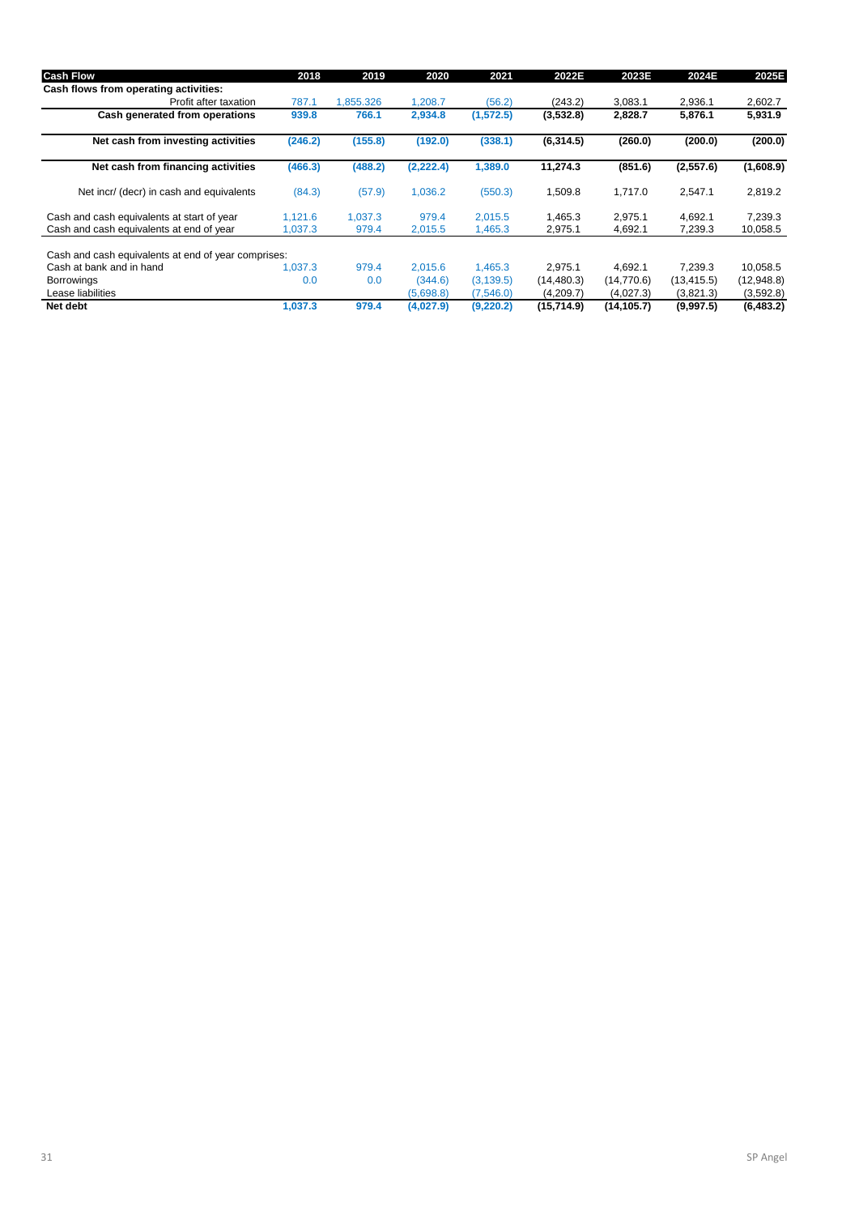| <b>Cash Flow</b>                                    | 2018    | 2019      | 2020       | 2021       | 2022E       | 2023E       | 2024E       | 2025E      |
|-----------------------------------------------------|---------|-----------|------------|------------|-------------|-------------|-------------|------------|
| Cash flows from operating activities:               |         |           |            |            |             |             |             |            |
| Profit after taxation                               | 787.1   | 1,855.326 | 1,208.7    | (56.2)     | (243.2)     | 3,083.1     | 2,936.1     | 2,602.7    |
| Cash generated from operations                      | 939.8   | 766.1     | 2,934.8    | (1, 572.5) | (3,532.8)   | 2,828.7     | 5,876.1     | 5,931.9    |
| Net cash from investing activities                  | (246.2) | (155.8)   | (192.0)    | (338.1)    | (6,314.5)   | (260.0)     | (200.0)     | (200.0)    |
| Net cash from financing activities                  | (466.3) | (488.2)   | (2, 222.4) | 1,389.0    | 11,274.3    | (851.6)     | (2,557.6)   | (1,608.9)  |
| Net incr/ (decr) in cash and equivalents            | (84.3)  | (57.9)    | 1,036.2    | (550.3)    | 1,509.8     | 1,717.0     | 2,547.1     | 2,819.2    |
| Cash and cash equivalents at start of year          | 1,121.6 | 1.037.3   | 979.4      | 2,015.5    | 1,465.3     | 2,975.1     | 4,692.1     | 7,239.3    |
| Cash and cash equivalents at end of year            | 1,037.3 | 979.4     | 2,015.5    | 1,465.3    | 2,975.1     | 4,692.1     | 7,239.3     | 10,058.5   |
| Cash and cash equivalents at end of year comprises: |         |           |            |            |             |             |             |            |
| Cash at bank and in hand                            | 1.037.3 | 979.4     | 2.015.6    | 1,465.3    | 2,975.1     | 4,692.1     | 7.239.3     | 10,058.5   |
| <b>Borrowings</b>                                   | 0.0     | 0.0       | (344.6)    | (3, 139.5) | (14,480.3)  | (14, 770.6) | (13, 415.5) | (12,948.8) |
| Lease liabilities                                   |         |           | (5,698.8)  | (7,546.0)  | (4,209.7)   | (4,027.3)   | (3,821.3)   | (3,592.8)  |
| Net debt                                            | 1.037.3 | 979.4     | (4,027.9)  | (9,220.2)  | (15, 714.9) | (14, 105.7) | (9,997.5)   | (6, 483.2) |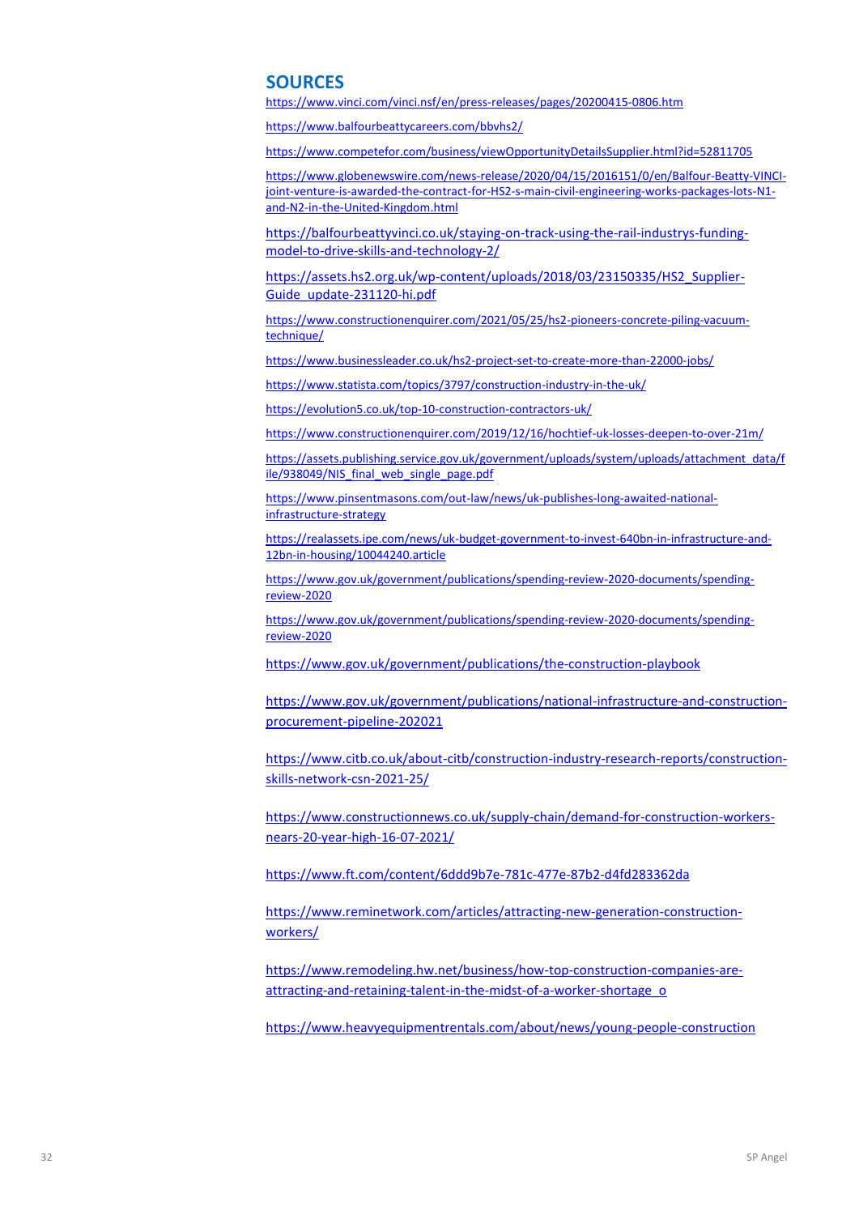### **SOURCES**

<https://www.vinci.com/vinci.nsf/en/press-releases/pages/20200415-0806.htm>

<https://www.balfourbeattycareers.com/bbvhs2/>

https://www.competefor.com/business/viewOpportunityDetailsSupplier.html?id=52811705

[https://www.globenewswire.com/news-release/2020/04/15/2016151/0/en/Balfour-Beatty-VINCI](https://www.globenewswire.com/news-release/2020/04/15/2016151/0/en/Balfour-Beatty-VINCI-joint-venture-is-awarded-the-contract-for-HS2-s-main-civil-engineering-works-packages-lots-N1-and-N2-in-the-United-Kingdom.html)[joint-venture-is-awarded-the-contract-for-HS2-s-main-civil-engineering-works-packages-lots-N1](https://www.globenewswire.com/news-release/2020/04/15/2016151/0/en/Balfour-Beatty-VINCI-joint-venture-is-awarded-the-contract-for-HS2-s-main-civil-engineering-works-packages-lots-N1-and-N2-in-the-United-Kingdom.html) [and-N2-in-the-United-Kingdom.html](https://www.globenewswire.com/news-release/2020/04/15/2016151/0/en/Balfour-Beatty-VINCI-joint-venture-is-awarded-the-contract-for-HS2-s-main-civil-engineering-works-packages-lots-N1-and-N2-in-the-United-Kingdom.html)

[https://balfourbeattyvinci.co.uk/staying-on-track-using-the-rail-industrys-funding](https://balfourbeattyvinci.co.uk/staying-on-track-using-the-rail-industrys-funding-model-to-drive-skills-and-technology-2/)[model-to-drive-skills-and-technology-2/](https://balfourbeattyvinci.co.uk/staying-on-track-using-the-rail-industrys-funding-model-to-drive-skills-and-technology-2/)

[https://assets.hs2.org.uk/wp-content/uploads/2018/03/23150335/HS2\\_Supplier-](https://assets.hs2.org.uk/wp-content/uploads/2018/03/23150335/HS2_Supplier-Guide_update-231120-hi.pdf)[Guide\\_update-231120-hi.pdf](https://assets.hs2.org.uk/wp-content/uploads/2018/03/23150335/HS2_Supplier-Guide_update-231120-hi.pdf)

[https://www.constructionenquirer.com/2021/05/25/hs2-pioneers-concrete-piling-vacuum](https://www.constructionenquirer.com/2021/05/25/hs2-pioneers-concrete-piling-vacuum-technique/)[technique/](https://www.constructionenquirer.com/2021/05/25/hs2-pioneers-concrete-piling-vacuum-technique/)

<https://www.businessleader.co.uk/hs2-project-set-to-create-more-than-22000-jobs/>

<https://www.statista.com/topics/3797/construction-industry-in-the-uk/>

<https://evolution5.co.uk/top-10-construction-contractors-uk/>

<https://www.constructionenquirer.com/2019/12/16/hochtief-uk-losses-deepen-to-over-21m/>

[https://assets.publishing.service.gov.uk/government/uploads/system/uploads/attachment\\_data/f](https://assets.publishing.service.gov.uk/government/uploads/system/uploads/attachment_data/file/938049/NIS_final_web_single_page.pdf) [ile/938049/NIS\\_final\\_web\\_single\\_page.pdf](https://assets.publishing.service.gov.uk/government/uploads/system/uploads/attachment_data/file/938049/NIS_final_web_single_page.pdf)

[https://www.pinsentmasons.com/out-law/news/uk-publishes-long-awaited-national](https://www.pinsentmasons.com/out-law/news/uk-publishes-long-awaited-national-infrastructure-strategy)[infrastructure-strategy](https://www.pinsentmasons.com/out-law/news/uk-publishes-long-awaited-national-infrastructure-strategy)

[https://realassets.ipe.com/news/uk-budget-government-to-invest-640bn-in-infrastructure-and-](https://realassets.ipe.com/news/uk-budget-government-to-invest-640bn-in-infrastructure-and-12bn-in-housing/10044240.article)[12bn-in-housing/10044240.article](https://realassets.ipe.com/news/uk-budget-government-to-invest-640bn-in-infrastructure-and-12bn-in-housing/10044240.article)

[https://www.gov.uk/government/publications/spending-review-2020-documents/spending](https://www.gov.uk/government/publications/spending-review-2020-documents/spending-review-2020)[review-2020](https://www.gov.uk/government/publications/spending-review-2020-documents/spending-review-2020)

[https://www.gov.uk/government/publications/spending-review-2020-documents/spending](https://www.gov.uk/government/publications/spending-review-2020-documents/spending-review-2020)[review-2020](https://www.gov.uk/government/publications/spending-review-2020-documents/spending-review-2020)

<https://www.gov.uk/government/publications/the-construction-playbook>

[https://www.gov.uk/government/publications/national-infrastructure-and-construction](https://www.gov.uk/government/publications/national-infrastructure-and-construction-procurement-pipeline-202021)[procurement-pipeline-202021](https://www.gov.uk/government/publications/national-infrastructure-and-construction-procurement-pipeline-202021)

[https://www.citb.co.uk/about-citb/construction-industry-research-reports/construction](https://www.citb.co.uk/about-citb/construction-industry-research-reports/construction-skills-network-csn-2021-25/)[skills-network-csn-2021-25/](https://www.citb.co.uk/about-citb/construction-industry-research-reports/construction-skills-network-csn-2021-25/)

[https://www.constructionnews.co.uk/supply-chain/demand-for-construction-workers](https://www.constructionnews.co.uk/supply-chain/demand-for-construction-workers-nears-20-year-high-16-07-2021/)[nears-20-year-high-16-07-2021/](https://www.constructionnews.co.uk/supply-chain/demand-for-construction-workers-nears-20-year-high-16-07-2021/)

<https://www.ft.com/content/6ddd9b7e-781c-477e-87b2-d4fd283362da>

[https://www.reminetwork.com/articles/attracting-new-generation-construction](https://www.reminetwork.com/articles/attracting-new-generation-construction-workers/)[workers/](https://www.reminetwork.com/articles/attracting-new-generation-construction-workers/)

[https://www.remodeling.hw.net/business/how-top-construction-companies-are](https://www.remodeling.hw.net/business/how-top-construction-companies-are-attracting-and-retaining-talent-in-the-midst-of-a-worker-shortage_o)[attracting-and-retaining-talent-in-the-midst-of-a-worker-shortage\\_o](https://www.remodeling.hw.net/business/how-top-construction-companies-are-attracting-and-retaining-talent-in-the-midst-of-a-worker-shortage_o)

<https://www.heavyequipmentrentals.com/about/news/young-people-construction>